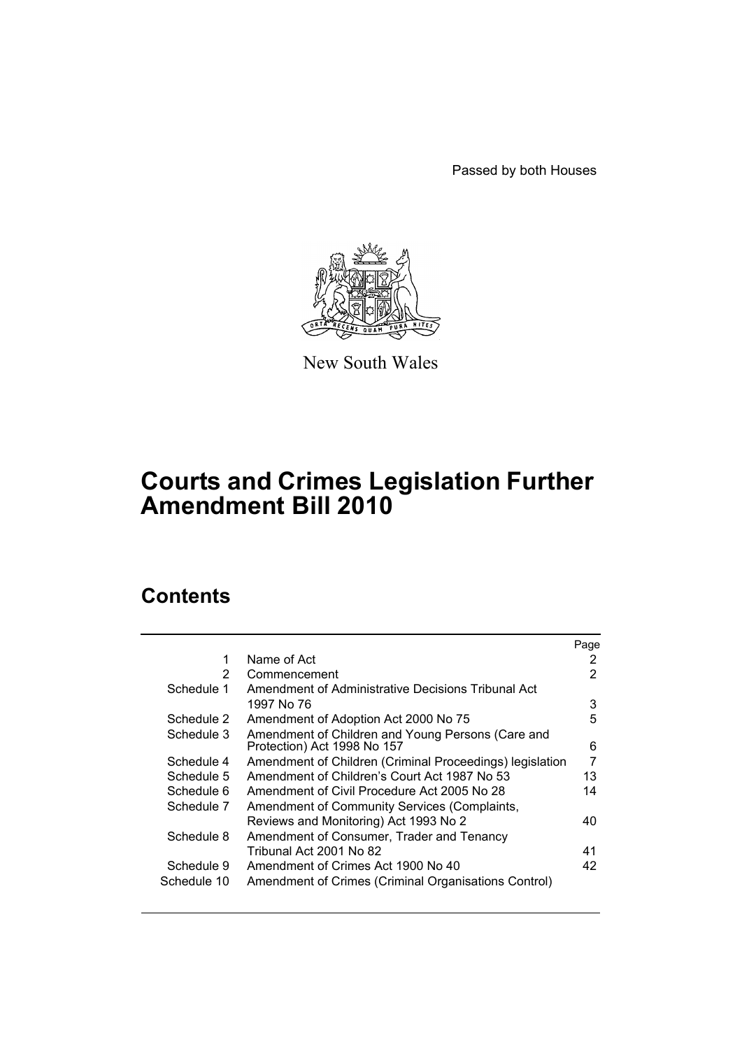Passed by both Houses



New South Wales

# **Courts and Crimes Legislation Further Amendment Bill 2010**

# **Contents**

|                                                      | Page                                                                                    |
|------------------------------------------------------|-----------------------------------------------------------------------------------------|
| Name of Act                                          | 2                                                                                       |
| Commencement                                         | 2                                                                                       |
| Amendment of Administrative Decisions Tribunal Act   |                                                                                         |
| 1997 No 76                                           | 3                                                                                       |
| Amendment of Adoption Act 2000 No 75                 | 5                                                                                       |
| Amendment of Children and Young Persons (Care and    | 6                                                                                       |
|                                                      |                                                                                         |
|                                                      | 7                                                                                       |
| Amendment of Children's Court Act 1987 No 53         | 13                                                                                      |
| Amendment of Civil Procedure Act 2005 No 28          | 14                                                                                      |
| Amendment of Community Services (Complaints,         |                                                                                         |
| Reviews and Monitoring) Act 1993 No 2                | 40                                                                                      |
| Amendment of Consumer, Trader and Tenancy            |                                                                                         |
| Tribunal Act 2001 No 82                              | 41                                                                                      |
| Amendment of Crimes Act 1900 No 40                   | 42                                                                                      |
| Amendment of Crimes (Criminal Organisations Control) |                                                                                         |
|                                                      | Protection) Act 1998 No 157<br>Amendment of Children (Criminal Proceedings) legislation |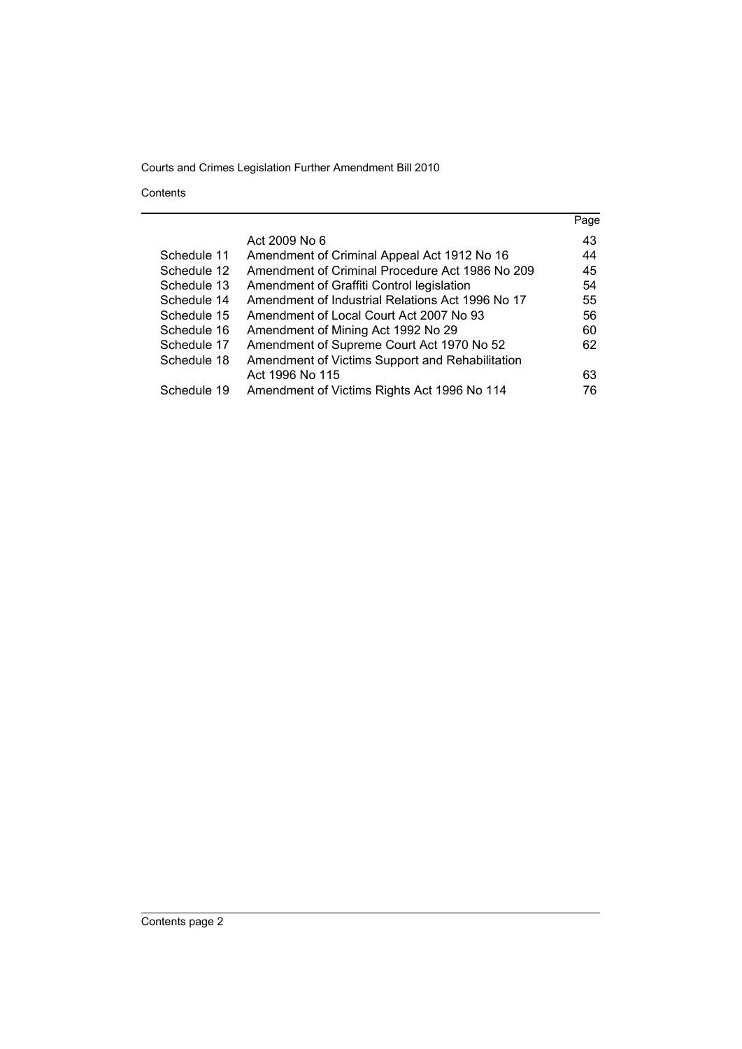Contents

|             |                                                  | Page |
|-------------|--------------------------------------------------|------|
|             | Act 2009 No 6                                    | 43   |
| Schedule 11 | Amendment of Criminal Appeal Act 1912 No 16      | 44   |
| Schedule 12 | Amendment of Criminal Procedure Act 1986 No 209  | 45   |
| Schedule 13 | Amendment of Graffiti Control legislation        | 54   |
| Schedule 14 | Amendment of Industrial Relations Act 1996 No 17 | 55   |
| Schedule 15 | Amendment of Local Court Act 2007 No 93          | 56   |
| Schedule 16 | Amendment of Mining Act 1992 No 29               | 60   |
| Schedule 17 | Amendment of Supreme Court Act 1970 No 52        | 62   |
| Schedule 18 | Amendment of Victims Support and Rehabilitation  |      |
|             | Act 1996 No 115                                  | 63   |
| Schedule 19 | Amendment of Victims Rights Act 1996 No 114      | 76   |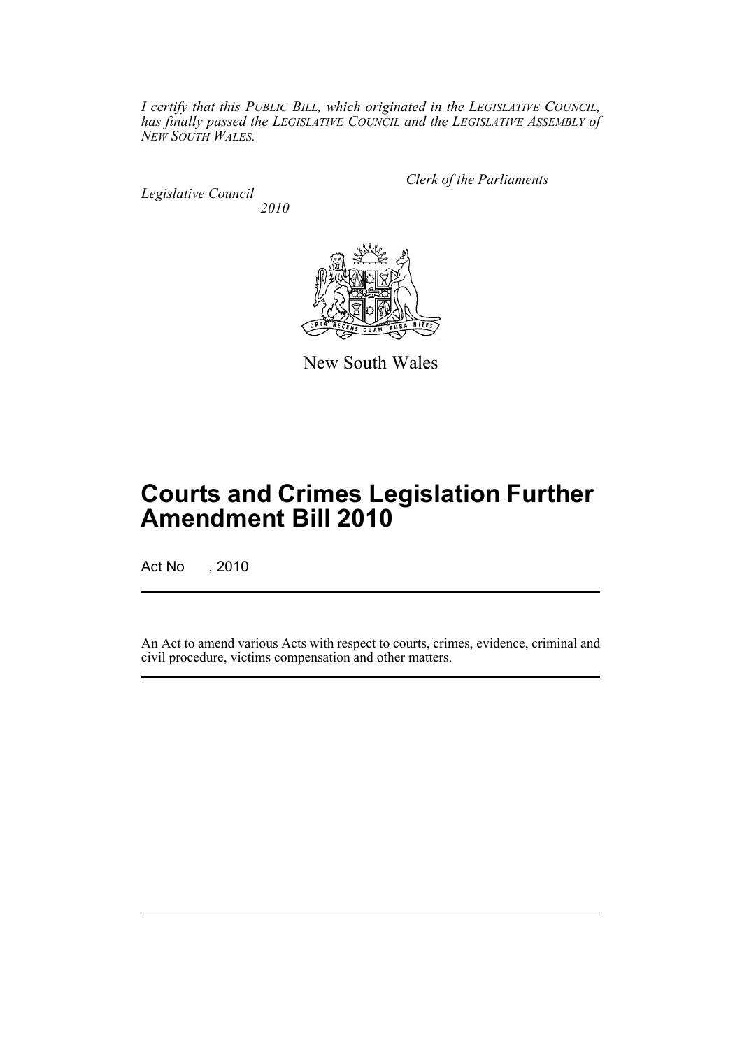*I certify that this PUBLIC BILL, which originated in the LEGISLATIVE COUNCIL, has finally passed the LEGISLATIVE COUNCIL and the LEGISLATIVE ASSEMBLY of NEW SOUTH WALES.*

*Legislative Council 2010* *Clerk of the Parliaments*



New South Wales

# **Courts and Crimes Legislation Further Amendment Bill 2010**

Act No , 2010

An Act to amend various Acts with respect to courts, crimes, evidence, criminal and civil procedure, victims compensation and other matters.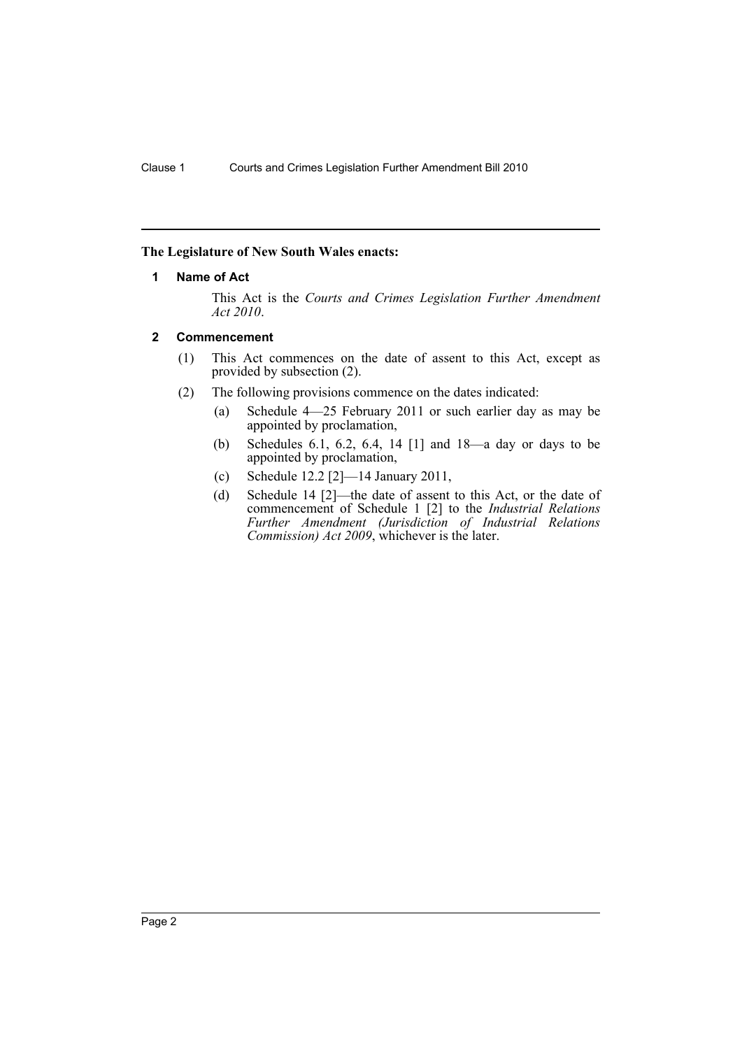# <span id="page-3-0"></span>**The Legislature of New South Wales enacts:**

### **1 Name of Act**

This Act is the *Courts and Crimes Legislation Further Amendment Act 2010*.

### <span id="page-3-1"></span>**2 Commencement**

- (1) This Act commences on the date of assent to this Act, except as provided by subsection (2).
- (2) The following provisions commence on the dates indicated:
	- (a) Schedule 4—25 February 2011 or such earlier day as may be appointed by proclamation,
	- (b) Schedules 6.1, 6.2, 6.4, 14 [1] and 18—a day or days to be appointed by proclamation,
	- (c) Schedule 12.2 [2]—14 January 2011,
	- (d) Schedule 14 [2]—the date of assent to this Act, or the date of commencement of Schedule 1 [2] to the *Industrial Relations Further Amendment (Jurisdiction of Industrial Relations Commission) Act 2009*, whichever is the later.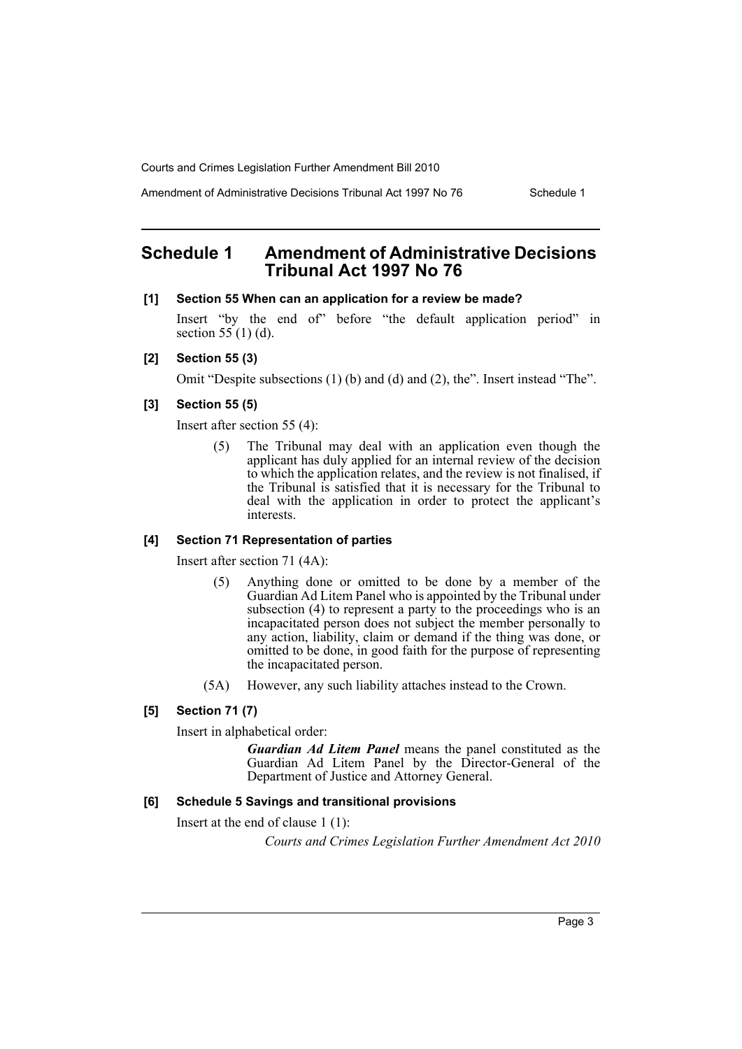Amendment of Administrative Decisions Tribunal Act 1997 No 76 Schedule 1

# <span id="page-4-0"></span>**Schedule 1 Amendment of Administrative Decisions Tribunal Act 1997 No 76**

#### **[1] Section 55 When can an application for a review be made?**

Insert "by the end of" before "the default application period" in section  $55(1)$  (d).

#### **[2] Section 55 (3)**

Omit "Despite subsections (1) (b) and (d) and (2), the". Insert instead "The".

# **[3] Section 55 (5)**

Insert after section 55 (4):

(5) The Tribunal may deal with an application even though the applicant has duly applied for an internal review of the decision to which the application relates, and the review is not finalised, if the Tribunal is satisfied that it is necessary for the Tribunal to deal with the application in order to protect the applicant's interests.

#### **[4] Section 71 Representation of parties**

Insert after section 71 (4A):

- (5) Anything done or omitted to be done by a member of the Guardian Ad Litem Panel who is appointed by the Tribunal under subsection (4) to represent a party to the proceedings who is an incapacitated person does not subject the member personally to any action, liability, claim or demand if the thing was done, or omitted to be done, in good faith for the purpose of representing the incapacitated person.
- (5A) However, any such liability attaches instead to the Crown.

# **[5] Section 71 (7)**

Insert in alphabetical order:

*Guardian Ad Litem Panel* means the panel constituted as the Guardian Ad Litem Panel by the Director-General of the Department of Justice and Attorney General.

#### **[6] Schedule 5 Savings and transitional provisions**

Insert at the end of clause 1 (1):

*Courts and Crimes Legislation Further Amendment Act 2010*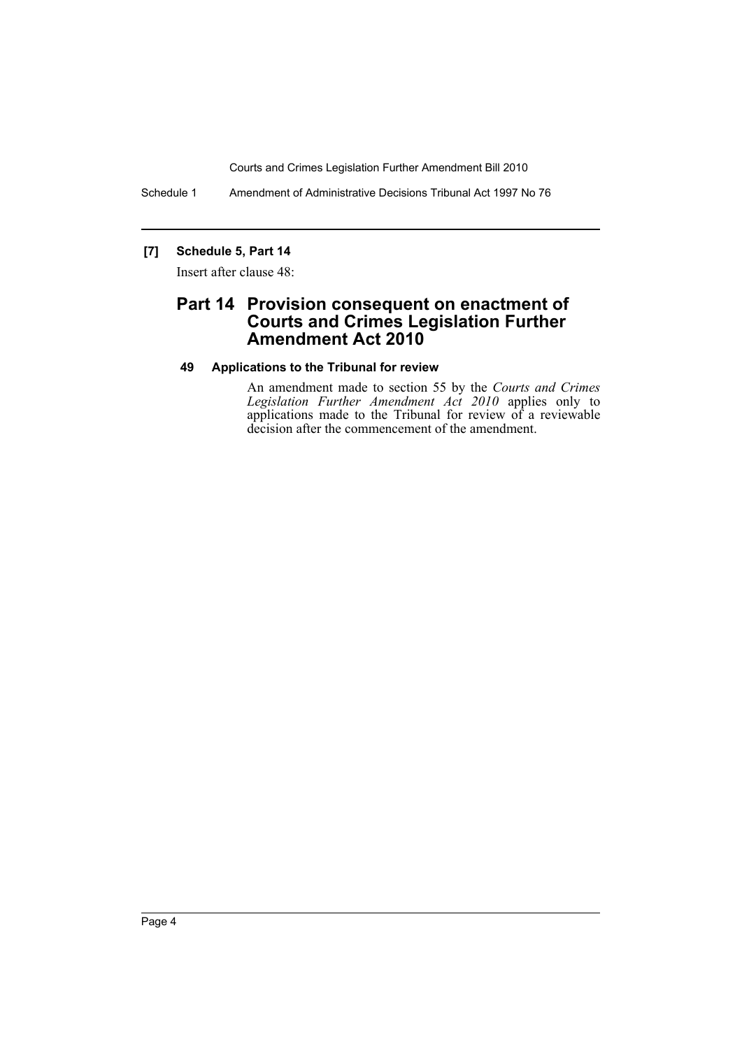Schedule 1 Amendment of Administrative Decisions Tribunal Act 1997 No 76

# **[7] Schedule 5, Part 14**

Insert after clause 48:

# **Part 14 Provision consequent on enactment of Courts and Crimes Legislation Further Amendment Act 2010**

### **49 Applications to the Tribunal for review**

An amendment made to section 55 by the *Courts and Crimes Legislation Further Amendment Act 2010* applies only to applications made to the Tribunal for review of a reviewable decision after the commencement of the amendment.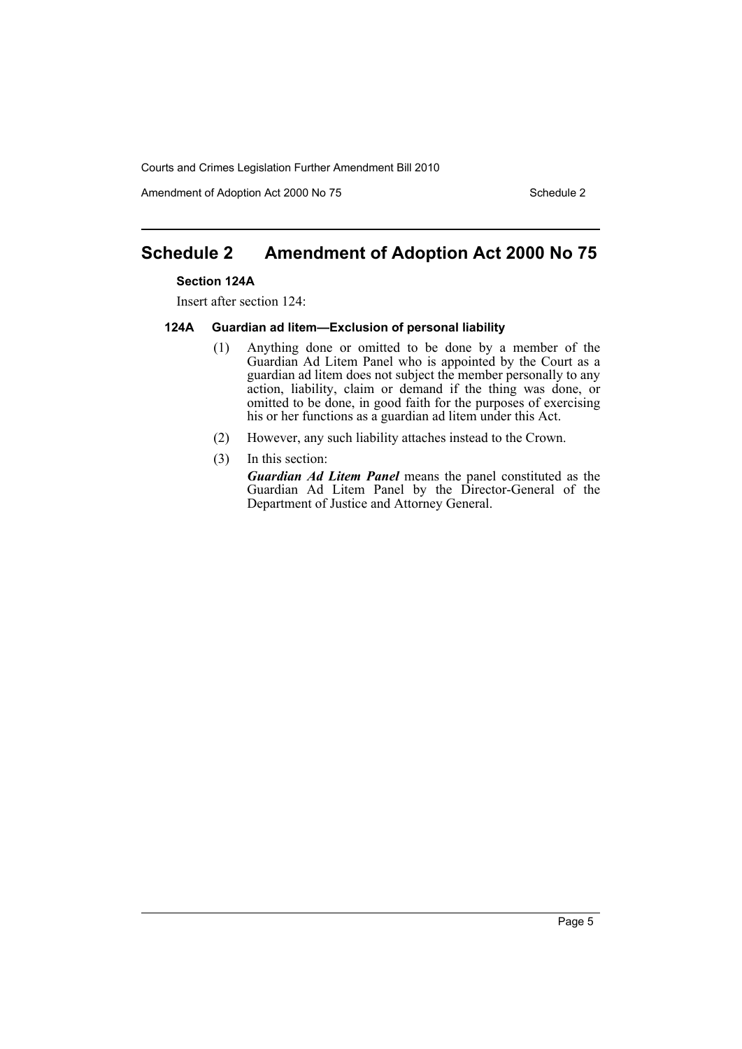Amendment of Adoption Act 2000 No 75 Schedule 2

# <span id="page-6-0"></span>**Schedule 2 Amendment of Adoption Act 2000 No 75**

#### **Section 124A**

Insert after section 124:

#### **124A Guardian ad litem—Exclusion of personal liability**

- (1) Anything done or omitted to be done by a member of the Guardian Ad Litem Panel who is appointed by the Court as a guardian ad litem does not subject the member personally to any action, liability, claim or demand if the thing was done, or omitted to be done, in good faith for the purposes of exercising his or her functions as a guardian ad litem under this Act.
- (2) However, any such liability attaches instead to the Crown.
- (3) In this section:

*Guardian Ad Litem Panel* means the panel constituted as the Guardian Ad Litem Panel by the Director-General of the Department of Justice and Attorney General.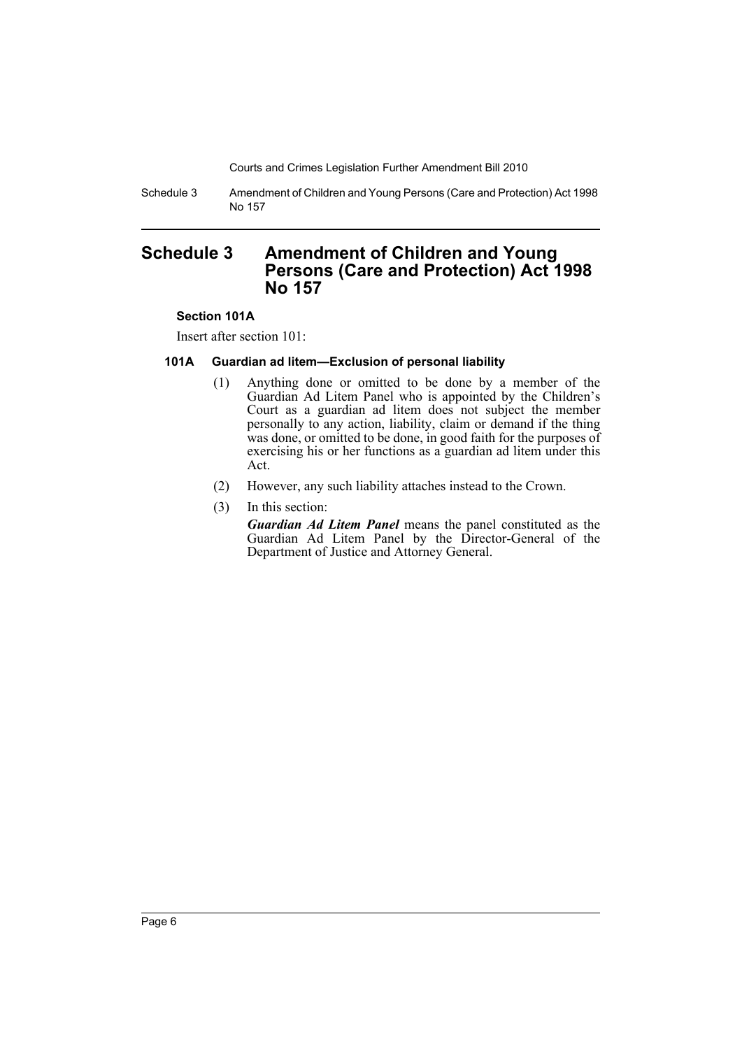Schedule 3 Amendment of Children and Young Persons (Care and Protection) Act 1998 No 157

# <span id="page-7-0"></span>**Schedule 3 Amendment of Children and Young Persons (Care and Protection) Act 1998 No 157**

### **Section 101A**

Insert after section 101:

### **101A Guardian ad litem—Exclusion of personal liability**

- (1) Anything done or omitted to be done by a member of the Guardian Ad Litem Panel who is appointed by the Children's Court as a guardian ad litem does not subject the member personally to any action, liability, claim or demand if the thing was done, or omitted to be done, in good faith for the purposes of exercising his or her functions as a guardian ad litem under this Act.
- (2) However, any such liability attaches instead to the Crown.
- (3) In this section:
	- *Guardian Ad Litem Panel* means the panel constituted as the Guardian Ad Litem Panel by the Director-General of the Department of Justice and Attorney General.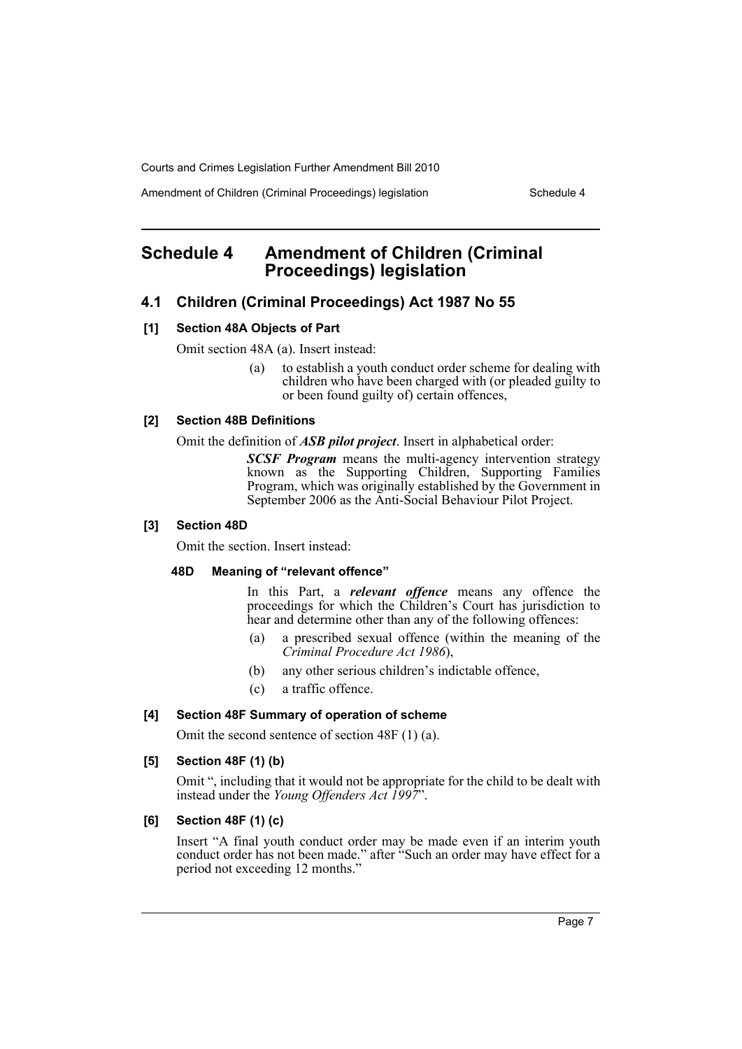Amendment of Children (Criminal Proceedings) legislation Schedule 4

# <span id="page-8-0"></span>**Schedule 4 Amendment of Children (Criminal Proceedings) legislation**

# **4.1 Children (Criminal Proceedings) Act 1987 No 55**

### **[1] Section 48A Objects of Part**

Omit section 48A (a). Insert instead:

(a) to establish a youth conduct order scheme for dealing with children who have been charged with (or pleaded guilty to or been found guilty of) certain offences,

### **[2] Section 48B Definitions**

Omit the definition of *ASB pilot project*. Insert in alphabetical order:

*SCSF Program* means the multi-agency intervention strategy known as the Supporting Children, Supporting Families Program, which was originally established by the Government in September 2006 as the Anti-Social Behaviour Pilot Project.

#### **[3] Section 48D**

Omit the section. Insert instead:

#### **48D Meaning of "relevant offence"**

In this Part, a *relevant offence* means any offence the proceedings for which the Children's Court has jurisdiction to hear and determine other than any of the following offences:

- (a) a prescribed sexual offence (within the meaning of the *Criminal Procedure Act 1986*),
- (b) any other serious children's indictable offence,
- (c) a traffic offence.

# **[4] Section 48F Summary of operation of scheme**

Omit the second sentence of section 48F (1) (a).

# **[5] Section 48F (1) (b)**

Omit ", including that it would not be appropriate for the child to be dealt with instead under the *Young Offenders Act 1997*".

# **[6] Section 48F (1) (c)**

Insert "A final youth conduct order may be made even if an interim youth conduct order has not been made." after "Such an order may have effect for a period not exceeding 12 months."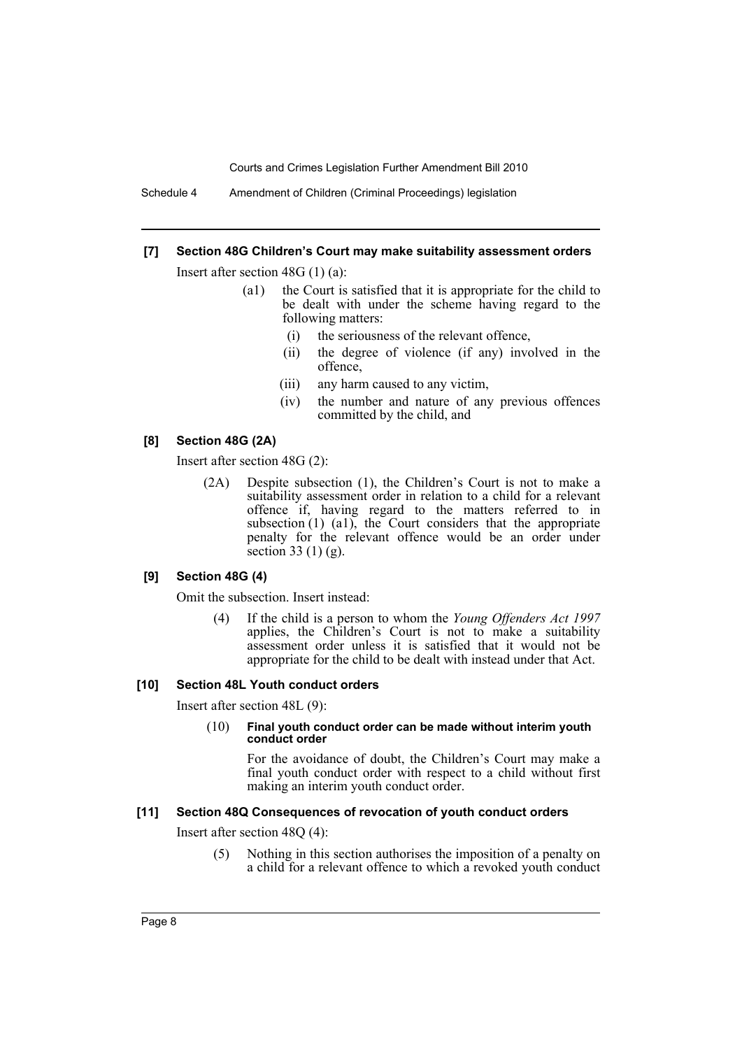Schedule 4 Amendment of Children (Criminal Proceedings) legislation

#### **[7] Section 48G Children's Court may make suitability assessment orders**

Insert after section 48G (1) (a):

- (a1) the Court is satisfied that it is appropriate for the child to be dealt with under the scheme having regard to the following matters:
	- (i) the seriousness of the relevant offence,
	- (ii) the degree of violence (if any) involved in the offence,
	- (iii) any harm caused to any victim,
	- (iv) the number and nature of any previous offences committed by the child, and

#### **[8] Section 48G (2A)**

Insert after section 48G (2):

(2A) Despite subsection (1), the Children's Court is not to make a suitability assessment order in relation to a child for a relevant offence if, having regard to the matters referred to in subsection (1) (a1), the Court considers that the appropriate penalty for the relevant offence would be an order under section 33 (1) (g).

#### **[9] Section 48G (4)**

Omit the subsection. Insert instead:

(4) If the child is a person to whom the *Young Offenders Act 1997* applies, the Children's Court is not to make a suitability assessment order unless it is satisfied that it would not be appropriate for the child to be dealt with instead under that Act.

#### **[10] Section 48L Youth conduct orders**

Insert after section 48L (9):

#### (10) **Final youth conduct order can be made without interim youth conduct order**

For the avoidance of doubt, the Children's Court may make a final youth conduct order with respect to a child without first making an interim youth conduct order.

#### **[11] Section 48Q Consequences of revocation of youth conduct orders**

Insert after section 48Q (4):

(5) Nothing in this section authorises the imposition of a penalty on a child for a relevant offence to which a revoked youth conduct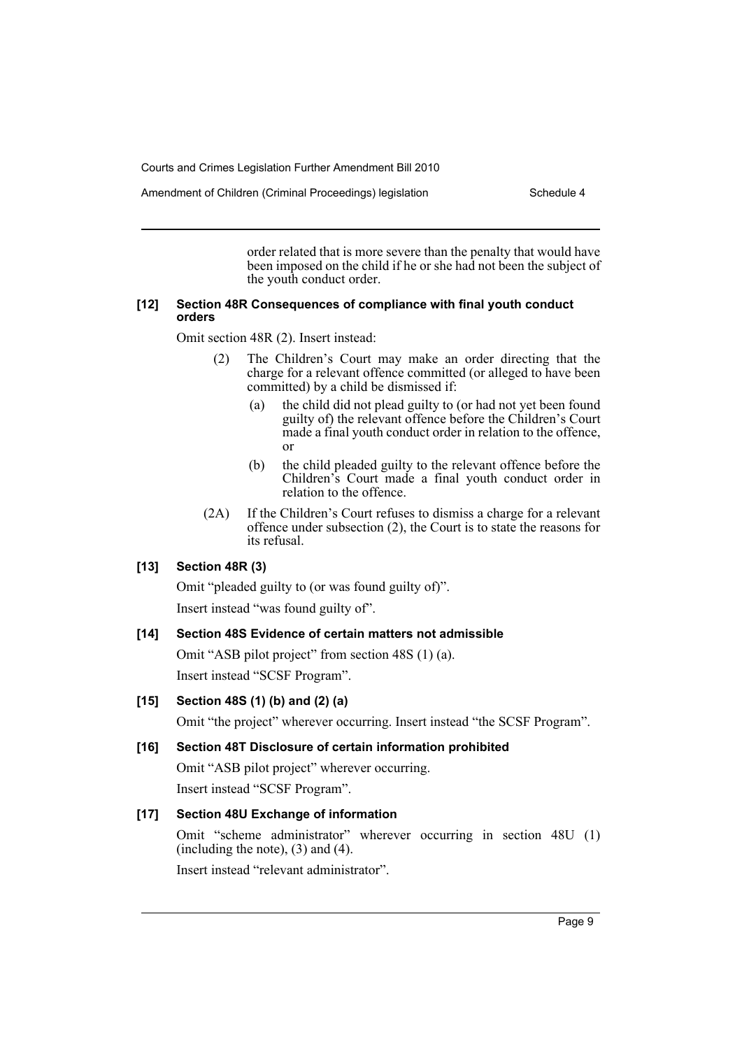Amendment of Children (Criminal Proceedings) legislation Schedule 4

order related that is more severe than the penalty that would have been imposed on the child if he or she had not been the subject of the youth conduct order.

### **[12] Section 48R Consequences of compliance with final youth conduct orders**

Omit section 48R (2). Insert instead:

- (2) The Children's Court may make an order directing that the charge for a relevant offence committed (or alleged to have been committed) by a child be dismissed if:
	- (a) the child did not plead guilty to (or had not yet been found guilty of) the relevant offence before the Children's Court made a final youth conduct order in relation to the offence, or
	- (b) the child pleaded guilty to the relevant offence before the Children's Court made a final youth conduct order in relation to the offence.
- (2A) If the Children's Court refuses to dismiss a charge for a relevant offence under subsection (2), the Court is to state the reasons for its refusal.

# **[13] Section 48R (3)**

Omit "pleaded guilty to (or was found guilty of)".

Insert instead "was found guilty of".

# **[14] Section 48S Evidence of certain matters not admissible**

Omit "ASB pilot project" from section 48S (1) (a). Insert instead "SCSF Program".

# **[15] Section 48S (1) (b) and (2) (a)**

Omit "the project" wherever occurring. Insert instead "the SCSF Program".

# **[16] Section 48T Disclosure of certain information prohibited**

Omit "ASB pilot project" wherever occurring. Insert instead "SCSF Program".

# **[17] Section 48U Exchange of information**

Omit "scheme administrator" wherever occurring in section 48U (1) (including the note), (3) and (4).

Insert instead "relevant administrator".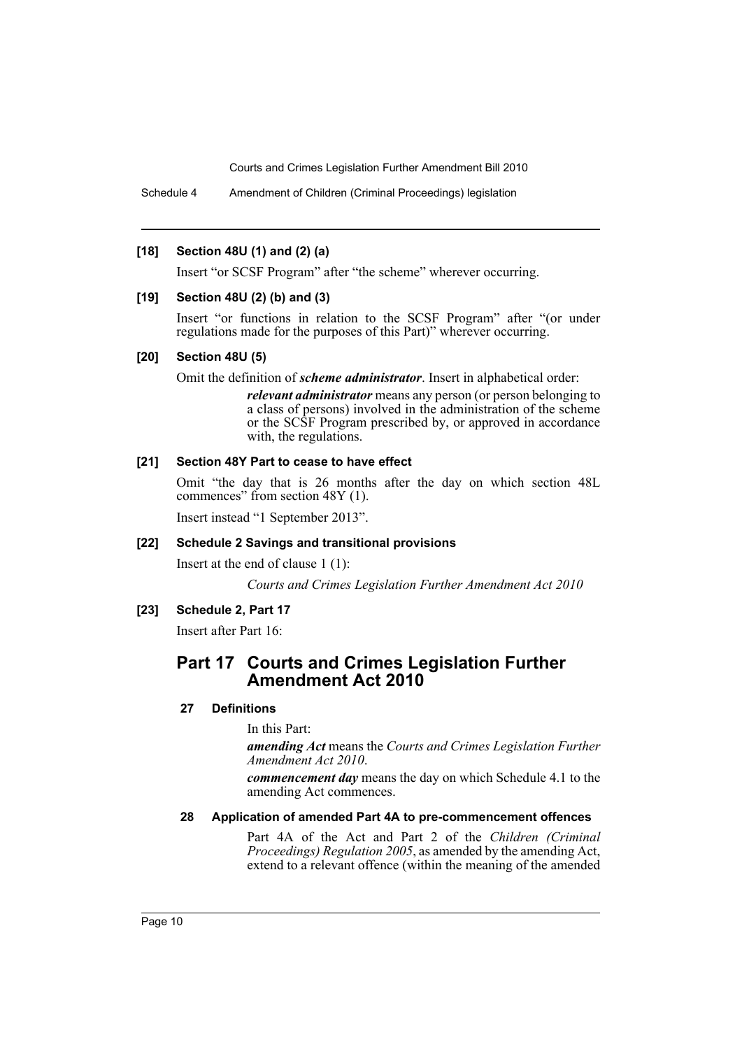Schedule 4 Amendment of Children (Criminal Proceedings) legislation

### **[18] Section 48U (1) and (2) (a)**

Insert "or SCSF Program" after "the scheme" wherever occurring.

### **[19] Section 48U (2) (b) and (3)**

Insert "or functions in relation to the SCSF Program" after "(or under regulations made for the purposes of this Part)" wherever occurring.

### **[20] Section 48U (5)**

Omit the definition of *scheme administrator*. Insert in alphabetical order:

*relevant administrator* means any person (or person belonging to a class of persons) involved in the administration of the scheme or the SCSF Program prescribed by, or approved in accordance with, the regulations.

# **[21] Section 48Y Part to cease to have effect**

Omit "the day that is 26 months after the day on which section 48L commences" from section 48Y (1).

Insert instead "1 September 2013".

# **[22] Schedule 2 Savings and transitional provisions**

Insert at the end of clause 1 (1):

*Courts and Crimes Legislation Further Amendment Act 2010*

# **[23] Schedule 2, Part 17**

Insert after Part 16:

# **Part 17 Courts and Crimes Legislation Further Amendment Act 2010**

# **27 Definitions**

In this Part:

*amending Act* means the *Courts and Crimes Legislation Further Amendment Act 2010*.

*commencement day* means the day on which Schedule 4.1 to the amending Act commences.

#### **28 Application of amended Part 4A to pre-commencement offences**

Part 4A of the Act and Part 2 of the *Children (Criminal Proceedings) Regulation 2005*, as amended by the amending Act, extend to a relevant offence (within the meaning of the amended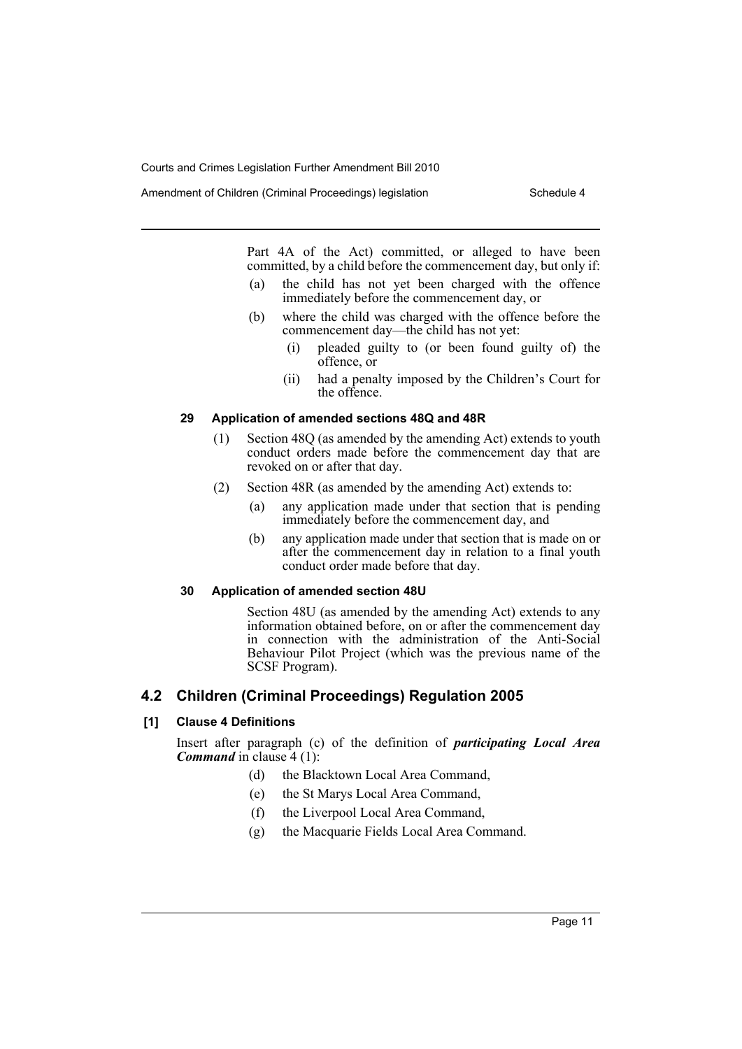Amendment of Children (Criminal Proceedings) legislation Schedule 4

Part 4A of the Act) committed, or alleged to have been committed, by a child before the commencement day, but only if:

- (a) the child has not yet been charged with the offence immediately before the commencement day, or
- (b) where the child was charged with the offence before the commencement day—the child has not yet:
	- (i) pleaded guilty to (or been found guilty of) the offence, or
	- (ii) had a penalty imposed by the Children's Court for the offence.

# **29 Application of amended sections 48Q and 48R**

- (1) Section 48Q (as amended by the amending Act) extends to youth conduct orders made before the commencement day that are revoked on or after that day.
- (2) Section 48R (as amended by the amending Act) extends to:
	- (a) any application made under that section that is pending immediately before the commencement day, and
	- (b) any application made under that section that is made on or after the commencement day in relation to a final youth conduct order made before that day.

# **30 Application of amended section 48U**

Section 48U (as amended by the amending Act) extends to any information obtained before, on or after the commencement day in connection with the administration of the Anti-Social Behaviour Pilot Project (which was the previous name of the SCSF Program).

# **4.2 Children (Criminal Proceedings) Regulation 2005**

# **[1] Clause 4 Definitions**

Insert after paragraph (c) of the definition of *participating Local Area Command* in clause 4 (1):

- (d) the Blacktown Local Area Command,
- (e) the St Marys Local Area Command,
- (f) the Liverpool Local Area Command,
- (g) the Macquarie Fields Local Area Command.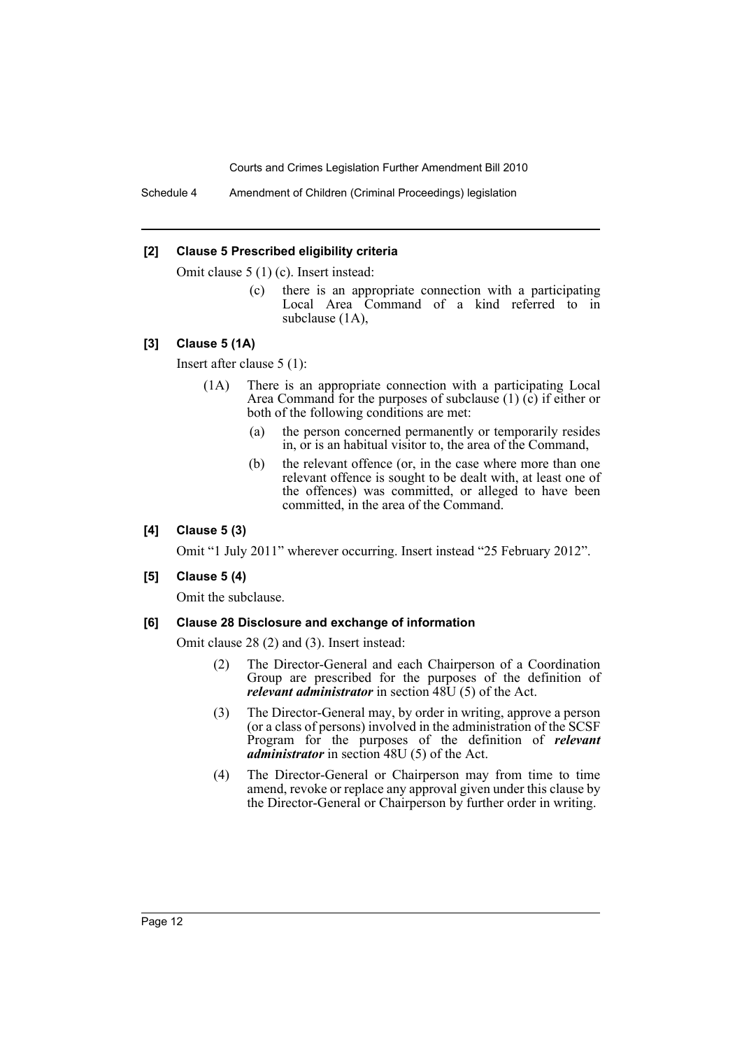Schedule 4 Amendment of Children (Criminal Proceedings) legislation

#### **[2] Clause 5 Prescribed eligibility criteria**

Omit clause 5 (1) (c). Insert instead:

(c) there is an appropriate connection with a participating Local Area Command of a kind referred to in subclause (1A),

#### **[3] Clause 5 (1A)**

Insert after clause 5 (1):

- (1A) There is an appropriate connection with a participating Local Area Command for the purposes of subclause  $(1)$   $(c)$  if either or both of the following conditions are met:
	- (a) the person concerned permanently or temporarily resides in, or is an habitual visitor to, the area of the Command,
	- (b) the relevant offence (or, in the case where more than one relevant offence is sought to be dealt with, at least one of the offences) was committed, or alleged to have been committed, in the area of the Command.

#### **[4] Clause 5 (3)**

Omit "1 July 2011" wherever occurring. Insert instead "25 February 2012".

#### **[5] Clause 5 (4)**

Omit the subclause.

#### **[6] Clause 28 Disclosure and exchange of information**

Omit clause 28 (2) and (3). Insert instead:

- (2) The Director-General and each Chairperson of a Coordination Group are prescribed for the purposes of the definition of *relevant administrator* in section 48U (5) of the Act.
- (3) The Director-General may, by order in writing, approve a person (or a class of persons) involved in the administration of the SCSF Program for the purposes of the definition of *relevant administrator* in section 48U (5) of the Act.
- (4) The Director-General or Chairperson may from time to time amend, revoke or replace any approval given under this clause by the Director-General or Chairperson by further order in writing.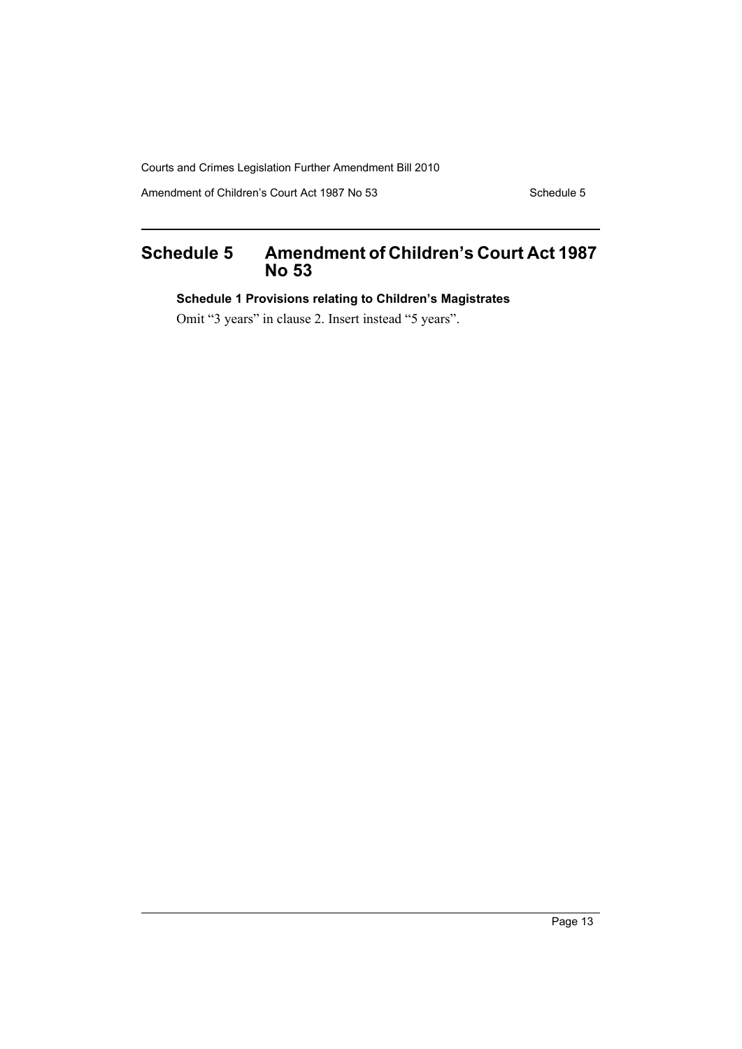Amendment of Children's Court Act 1987 No 53 Schedule 5

# <span id="page-14-0"></span>**Schedule 5 Amendment of Children's Court Act 1987 No 53**

**Schedule 1 Provisions relating to Children's Magistrates**

Omit "3 years" in clause 2. Insert instead "5 years".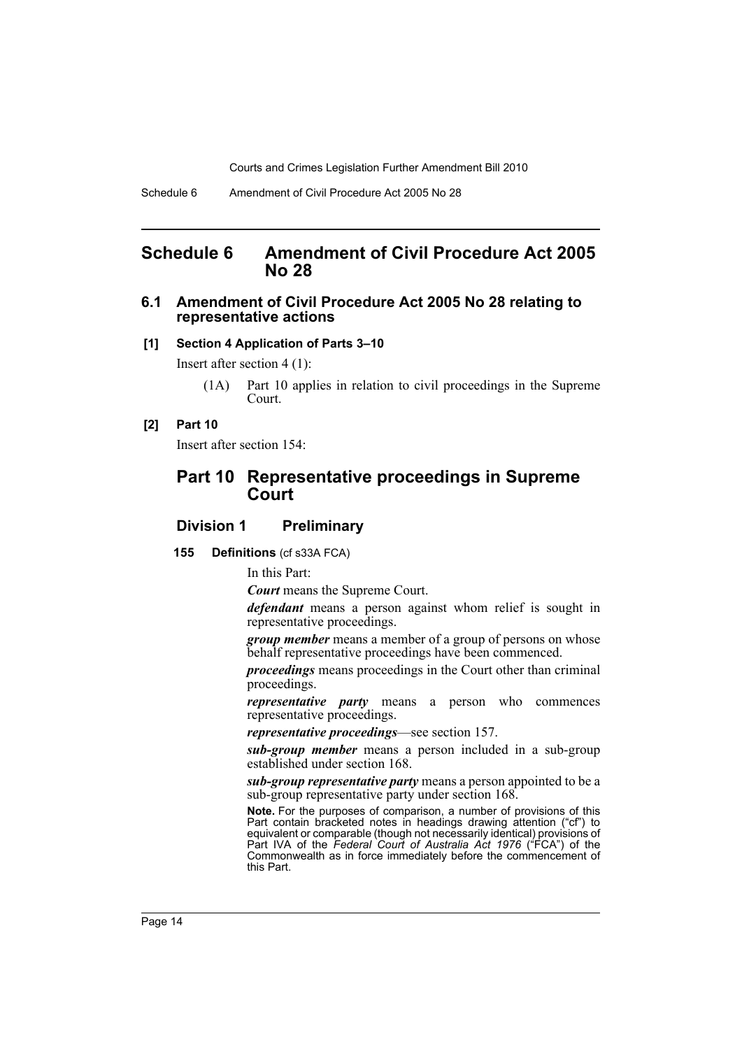# <span id="page-15-0"></span>**Schedule 6 Amendment of Civil Procedure Act 2005 No 28**

### **6.1 Amendment of Civil Procedure Act 2005 No 28 relating to representative actions**

#### **[1] Section 4 Application of Parts 3–10**

Insert after section 4 (1):

(1A) Part 10 applies in relation to civil proceedings in the Supreme Court.

#### **[2] Part 10**

Insert after section 154:

# **Part 10 Representative proceedings in Supreme Court**

# **Division 1 Preliminary**

#### **155 Definitions** (cf s33A FCA)

In this Part:

*Court* means the Supreme Court.

*defendant* means a person against whom relief is sought in representative proceedings.

*group member* means a member of a group of persons on whose behalf representative proceedings have been commenced.

*proceedings* means proceedings in the Court other than criminal proceedings.

*representative party* means a person who commences representative proceedings.

*representative proceedings*—see section 157.

*sub-group member* means a person included in a sub-group established under section 168.

*sub-group representative party* means a person appointed to be a sub-group representative party under section 168.

**Note.** For the purposes of comparison, a number of provisions of this Part contain bracketed notes in headings drawing attention ("cf") to equivalent or comparable (though not necessarily identical) provisions of Part IVA of the *Federal Court of Australia Act 1976* ("FCA") of the Commonwealth as in force immediately before the commencement of this Part.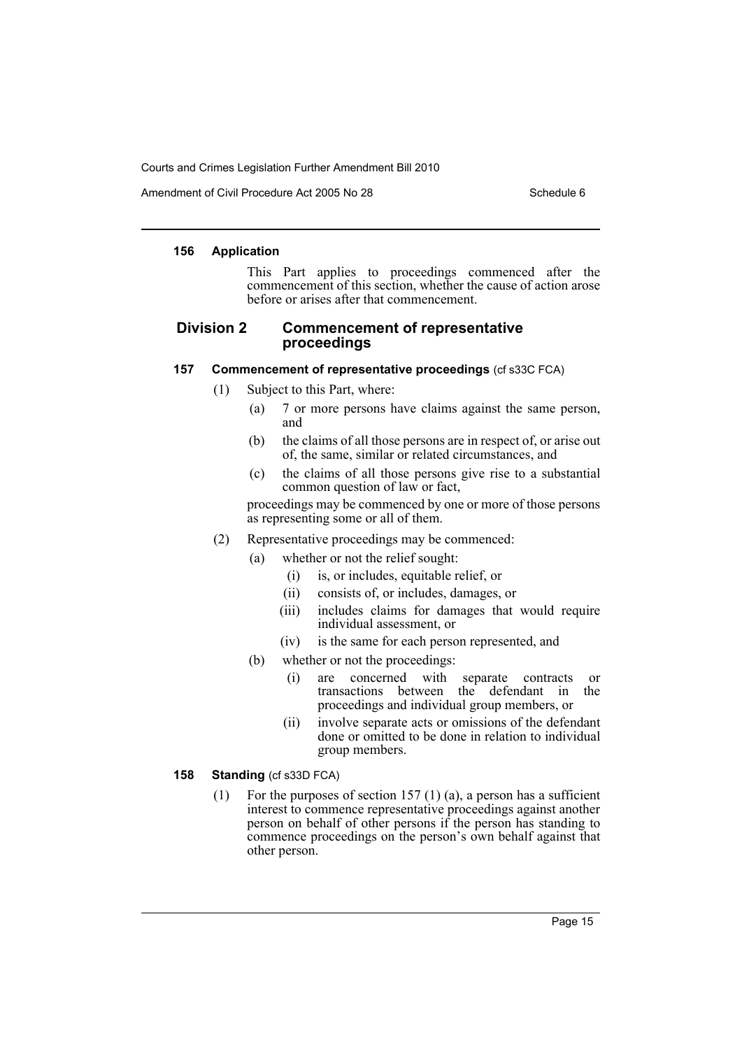Amendment of Civil Procedure Act 2005 No 28 Schedule 6

#### **156 Application**

This Part applies to proceedings commenced after the commencement of this section, whether the cause of action arose before or arises after that commencement.

# **Division 2 Commencement of representative proceedings**

#### **157 Commencement of representative proceedings** (cf s33C FCA)

(1) Subject to this Part, where:

- (a) 7 or more persons have claims against the same person, and
- (b) the claims of all those persons are in respect of, or arise out of, the same, similar or related circumstances, and
- (c) the claims of all those persons give rise to a substantial common question of law or fact,

proceedings may be commenced by one or more of those persons as representing some or all of them.

- (2) Representative proceedings may be commenced:
	- (a) whether or not the relief sought:
		- (i) is, or includes, equitable relief, or
		- (ii) consists of, or includes, damages, or
		- (iii) includes claims for damages that would require individual assessment, or
		- (iv) is the same for each person represented, and
	- (b) whether or not the proceedings:
		- (i) are concerned with separate contracts or transactions between the defendant in the proceedings and individual group members, or
		- (ii) involve separate acts or omissions of the defendant done or omitted to be done in relation to individual group members.

#### **158 Standing** (cf s33D FCA)

(1) For the purposes of section 157 (1) (a), a person has a sufficient interest to commence representative proceedings against another person on behalf of other persons if the person has standing to commence proceedings on the person's own behalf against that other person.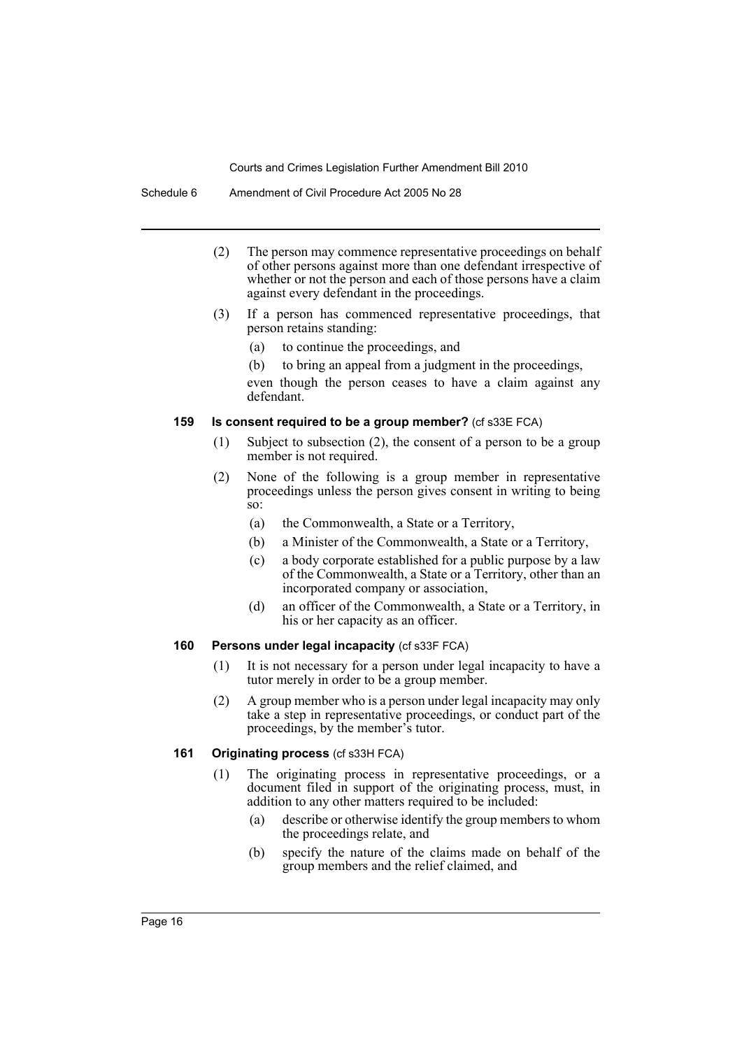- (2) The person may commence representative proceedings on behalf of other persons against more than one defendant irrespective of whether or not the person and each of those persons have a claim against every defendant in the proceedings.
- (3) If a person has commenced representative proceedings, that person retains standing:
	- (a) to continue the proceedings, and
	- (b) to bring an appeal from a judgment in the proceedings,

even though the person ceases to have a claim against any defendant.

### **159 Is consent required to be a group member?** (cf s33E FCA)

- (1) Subject to subsection (2), the consent of a person to be a group member is not required.
- (2) None of the following is a group member in representative proceedings unless the person gives consent in writing to being so:
	- (a) the Commonwealth, a State or a Territory,
	- (b) a Minister of the Commonwealth, a State or a Territory,
	- (c) a body corporate established for a public purpose by a law of the Commonwealth, a State or a Territory, other than an incorporated company or association,
	- (d) an officer of the Commonwealth, a State or a Territory, in his or her capacity as an officer.

#### **160 Persons under legal incapacity** (cf s33F FCA)

- (1) It is not necessary for a person under legal incapacity to have a tutor merely in order to be a group member.
- (2) A group member who is a person under legal incapacity may only take a step in representative proceedings, or conduct part of the proceedings, by the member's tutor.

#### **161 Originating process** (cf s33H FCA)

- (1) The originating process in representative proceedings, or a document filed in support of the originating process, must, in addition to any other matters required to be included:
	- (a) describe or otherwise identify the group members to whom the proceedings relate, and
	- (b) specify the nature of the claims made on behalf of the group members and the relief claimed, and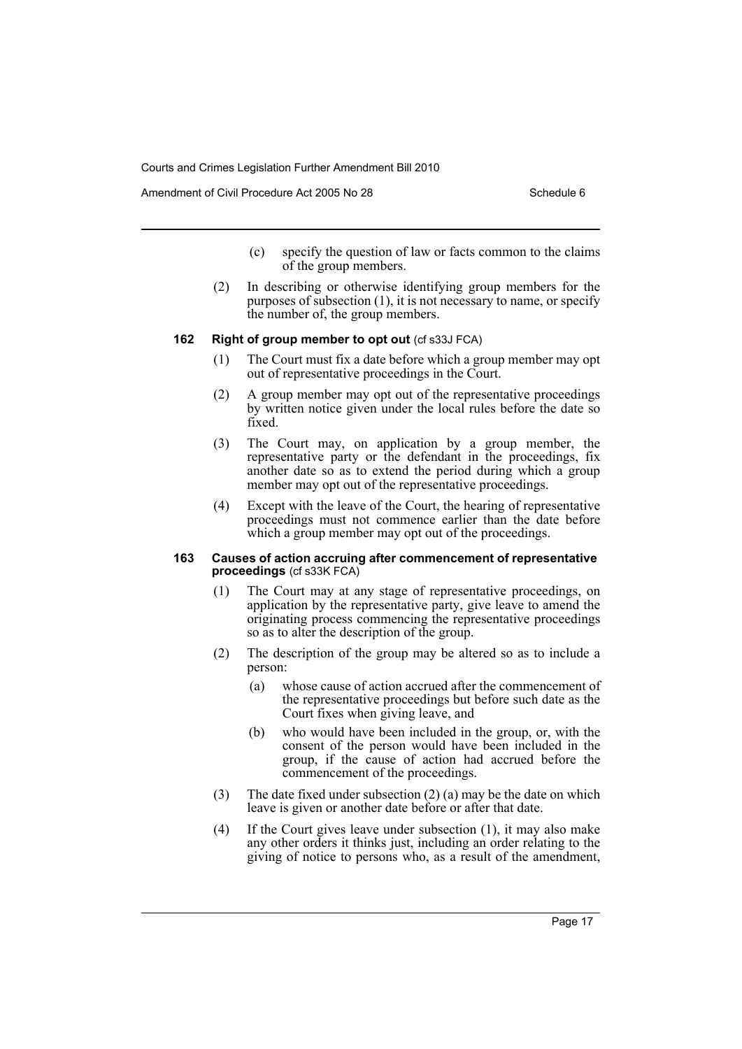Amendment of Civil Procedure Act 2005 No 28 Schedule 6

- (c) specify the question of law or facts common to the claims of the group members.
- (2) In describing or otherwise identifying group members for the purposes of subsection (1), it is not necessary to name, or specify the number of, the group members.

#### **162 Right of group member to opt out** (cf s33J FCA)

- (1) The Court must fix a date before which a group member may opt out of representative proceedings in the Court.
- (2) A group member may opt out of the representative proceedings by written notice given under the local rules before the date so fixed.
- (3) The Court may, on application by a group member, the representative party or the defendant in the proceedings, fix another date so as to extend the period during which a group member may opt out of the representative proceedings.
- (4) Except with the leave of the Court, the hearing of representative proceedings must not commence earlier than the date before which a group member may opt out of the proceedings.

#### **163 Causes of action accruing after commencement of representative proceedings** (cf s33K FCA)

- (1) The Court may at any stage of representative proceedings, on application by the representative party, give leave to amend the originating process commencing the representative proceedings so as to alter the description of the group.
- (2) The description of the group may be altered so as to include a person:
	- (a) whose cause of action accrued after the commencement of the representative proceedings but before such date as the Court fixes when giving leave, and
	- (b) who would have been included in the group, or, with the consent of the person would have been included in the group, if the cause of action had accrued before the commencement of the proceedings.
- (3) The date fixed under subsection (2) (a) may be the date on which leave is given or another date before or after that date.
- (4) If the Court gives leave under subsection (1), it may also make any other orders it thinks just, including an order relating to the giving of notice to persons who, as a result of the amendment,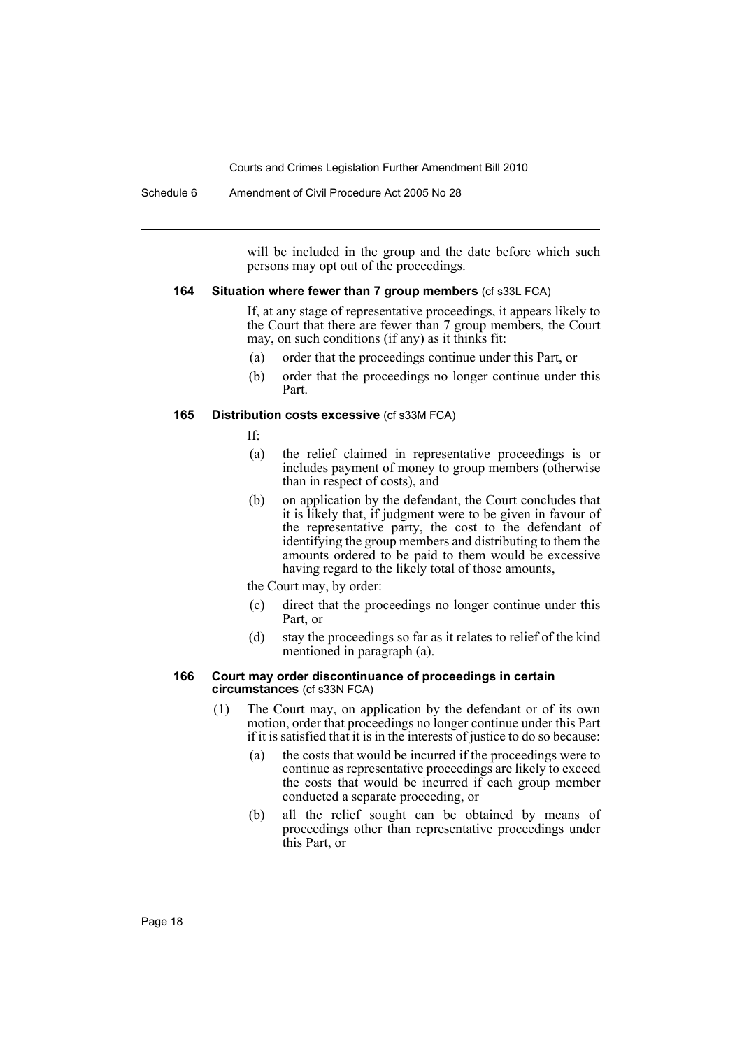Schedule 6 Amendment of Civil Procedure Act 2005 No 28

will be included in the group and the date before which such persons may opt out of the proceedings.

#### **164 Situation where fewer than 7 group members** (cf s33L FCA)

If, at any stage of representative proceedings, it appears likely to the Court that there are fewer than 7 group members, the Court may, on such conditions (if any) as it thinks fit:

- (a) order that the proceedings continue under this Part, or
- (b) order that the proceedings no longer continue under this Part.

### **165 Distribution costs excessive** (cf s33M FCA)

- If:
- (a) the relief claimed in representative proceedings is or includes payment of money to group members (otherwise than in respect of costs), and
- (b) on application by the defendant, the Court concludes that it is likely that, if judgment were to be given in favour of the representative party, the cost to the defendant of identifying the group members and distributing to them the amounts ordered to be paid to them would be excessive having regard to the likely total of those amounts,

the Court may, by order:

- (c) direct that the proceedings no longer continue under this Part, or
- (d) stay the proceedings so far as it relates to relief of the kind mentioned in paragraph (a).

#### **166 Court may order discontinuance of proceedings in certain circumstances** (cf s33N FCA)

- (1) The Court may, on application by the defendant or of its own motion, order that proceedings no longer continue under this Part if it is satisfied that it is in the interests of justice to do so because:
	- (a) the costs that would be incurred if the proceedings were to continue as representative proceedings are likely to exceed the costs that would be incurred if each group member conducted a separate proceeding, or
	- (b) all the relief sought can be obtained by means of proceedings other than representative proceedings under this Part, or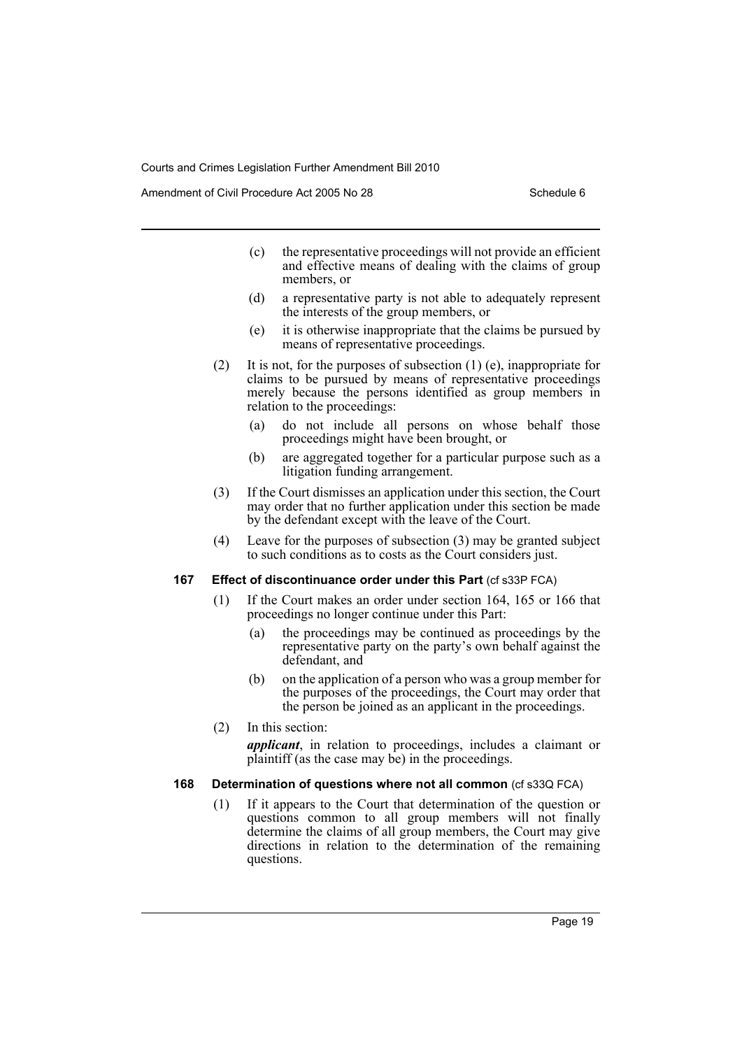Amendment of Civil Procedure Act 2005 No 28 Schedule 6

- (c) the representative proceedings will not provide an efficient and effective means of dealing with the claims of group members, or
- (d) a representative party is not able to adequately represent the interests of the group members, or
- (e) it is otherwise inappropriate that the claims be pursued by means of representative proceedings.
- (2) It is not, for the purposes of subsection (1) (e), inappropriate for claims to be pursued by means of representative proceedings merely because the persons identified as group members in relation to the proceedings:
	- (a) do not include all persons on whose behalf those proceedings might have been brought, or
	- (b) are aggregated together for a particular purpose such as a litigation funding arrangement.
- (3) If the Court dismisses an application under this section, the Court may order that no further application under this section be made by the defendant except with the leave of the Court.
- (4) Leave for the purposes of subsection (3) may be granted subject to such conditions as to costs as the Court considers just.

#### **167** Effect of discontinuance order under this Part (cf s33P FCA)

- (1) If the Court makes an order under section 164, 165 or 166 that proceedings no longer continue under this Part:
	- (a) the proceedings may be continued as proceedings by the representative party on the party's own behalf against the defendant, and
	- (b) on the application of a person who was a group member for the purposes of the proceedings, the Court may order that the person be joined as an applicant in the proceedings.
- (2) In this section: *applicant*, in relation to proceedings, includes a claimant or plaintiff (as the case may be) in the proceedings.

### **168 Determination of questions where not all common** (cf s33Q FCA)

(1) If it appears to the Court that determination of the question or questions common to all group members will not finally determine the claims of all group members, the Court may give directions in relation to the determination of the remaining questions.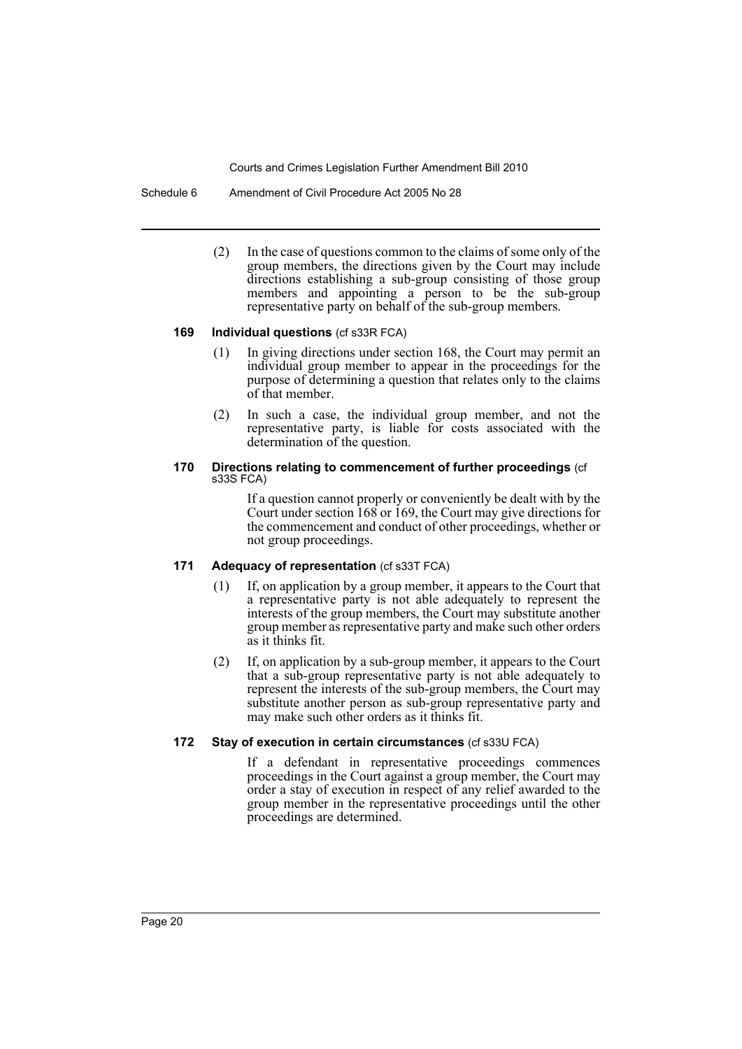Schedule 6 Amendment of Civil Procedure Act 2005 No 28

(2) In the case of questions common to the claims of some only of the group members, the directions given by the Court may include directions establishing a sub-group consisting of those group members and appointing a person to be the sub-group representative party on behalf of the sub-group members.

#### **169 Individual questions** (cf s33R FCA)

- (1) In giving directions under section 168, the Court may permit an individual group member to appear in the proceedings for the purpose of determining a question that relates only to the claims of that member.
- (2) In such a case, the individual group member, and not the representative party, is liable for costs associated with the determination of the question.

#### **170 Directions relating to commencement of further proceedings** (cf s33S FCA)

If a question cannot properly or conveniently be dealt with by the Court under section 168 or 169, the Court may give directions for the commencement and conduct of other proceedings, whether or not group proceedings.

# **171 Adequacy of representation** (cf s33T FCA)

- (1) If, on application by a group member, it appears to the Court that a representative party is not able adequately to represent the interests of the group members, the Court may substitute another group member as representative party and make such other orders as it thinks fit.
- (2) If, on application by a sub-group member, it appears to the Court that a sub-group representative party is not able adequately to represent the interests of the sub-group members, the Court may substitute another person as sub-group representative party and may make such other orders as it thinks fit.

# **172 Stay of execution in certain circumstances** (cf s33U FCA)

If a defendant in representative proceedings commences proceedings in the Court against a group member, the Court may order a stay of execution in respect of any relief awarded to the group member in the representative proceedings until the other proceedings are determined.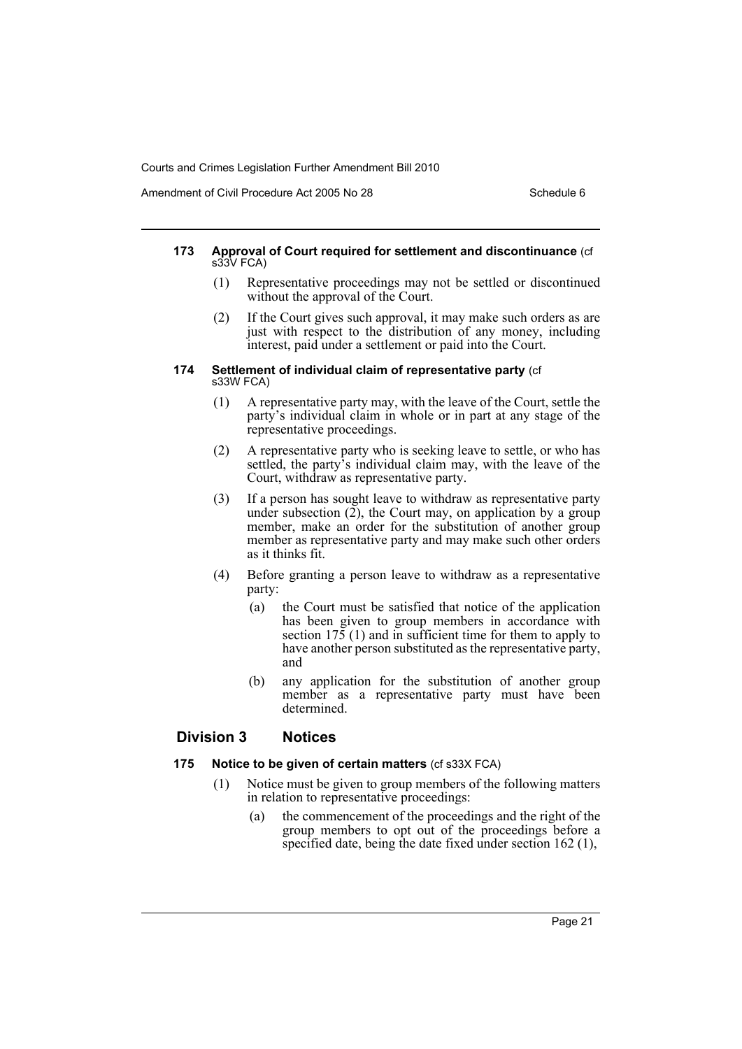Amendment of Civil Procedure Act 2005 No 28 Schedule 6

#### **173 Approval of Court required for settlement and discontinuance** (cf s33V FCA)

- (1) Representative proceedings may not be settled or discontinued without the approval of the Court.
- (2) If the Court gives such approval, it may make such orders as are just with respect to the distribution of any money, including interest, paid under a settlement or paid into the Court.

#### **174 Settlement of individual claim of representative party** (cf s33W FCA)

- (1) A representative party may, with the leave of the Court, settle the party's individual claim in whole or in part at any stage of the representative proceedings.
- (2) A representative party who is seeking leave to settle, or who has settled, the party's individual claim may, with the leave of the Court, withdraw as representative party.
- (3) If a person has sought leave to withdraw as representative party under subsection  $(2)$ , the Court may, on application by a group member, make an order for the substitution of another group member as representative party and may make such other orders as it thinks fit.
- (4) Before granting a person leave to withdraw as a representative party:
	- (a) the Court must be satisfied that notice of the application has been given to group members in accordance with section 175 (1) and in sufficient time for them to apply to have another person substituted as the representative party, and
	- (b) any application for the substitution of another group member as a representative party must have been determined.

# **Division 3 Notices**

# **175 Notice to be given of certain matters** (cf s33X FCA)

- (1) Notice must be given to group members of the following matters in relation to representative proceedings:
	- (a) the commencement of the proceedings and the right of the group members to opt out of the proceedings before a specified date, being the date fixed under section 162 (1),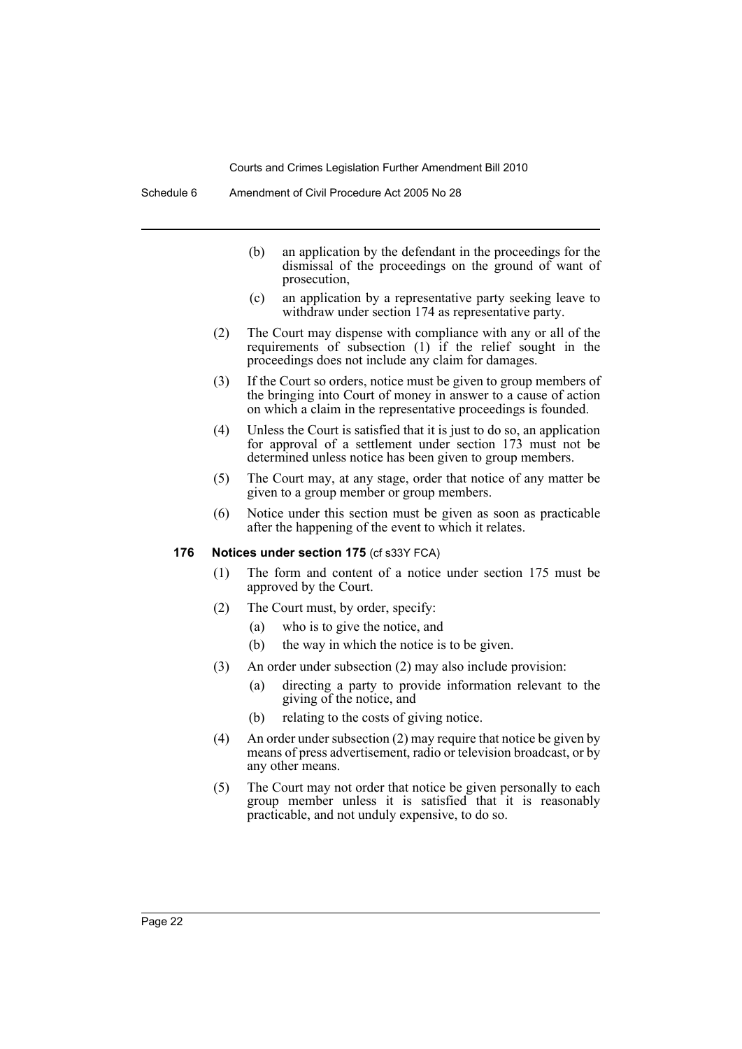- (b) an application by the defendant in the proceedings for the dismissal of the proceedings on the ground of want of prosecution,
- (c) an application by a representative party seeking leave to withdraw under section 174 as representative party.
- (2) The Court may dispense with compliance with any or all of the requirements of subsection (1) if the relief sought in the proceedings does not include any claim for damages.
- (3) If the Court so orders, notice must be given to group members of the bringing into Court of money in answer to a cause of action on which a claim in the representative proceedings is founded.
- (4) Unless the Court is satisfied that it is just to do so, an application for approval of a settlement under section 173 must not be determined unless notice has been given to group members.
- (5) The Court may, at any stage, order that notice of any matter be given to a group member or group members.
- (6) Notice under this section must be given as soon as practicable after the happening of the event to which it relates.

# **176 Notices under section 175** (cf s33Y FCA)

- (1) The form and content of a notice under section 175 must be approved by the Court.
- (2) The Court must, by order, specify:
	- (a) who is to give the notice, and
	- (b) the way in which the notice is to be given.
- (3) An order under subsection (2) may also include provision:
	- (a) directing a party to provide information relevant to the giving of the notice, and
	- (b) relating to the costs of giving notice.
- (4) An order under subsection (2) may require that notice be given by means of press advertisement, radio or television broadcast, or by any other means.
- (5) The Court may not order that notice be given personally to each group member unless it is satisfied that it is reasonably practicable, and not unduly expensive, to do so.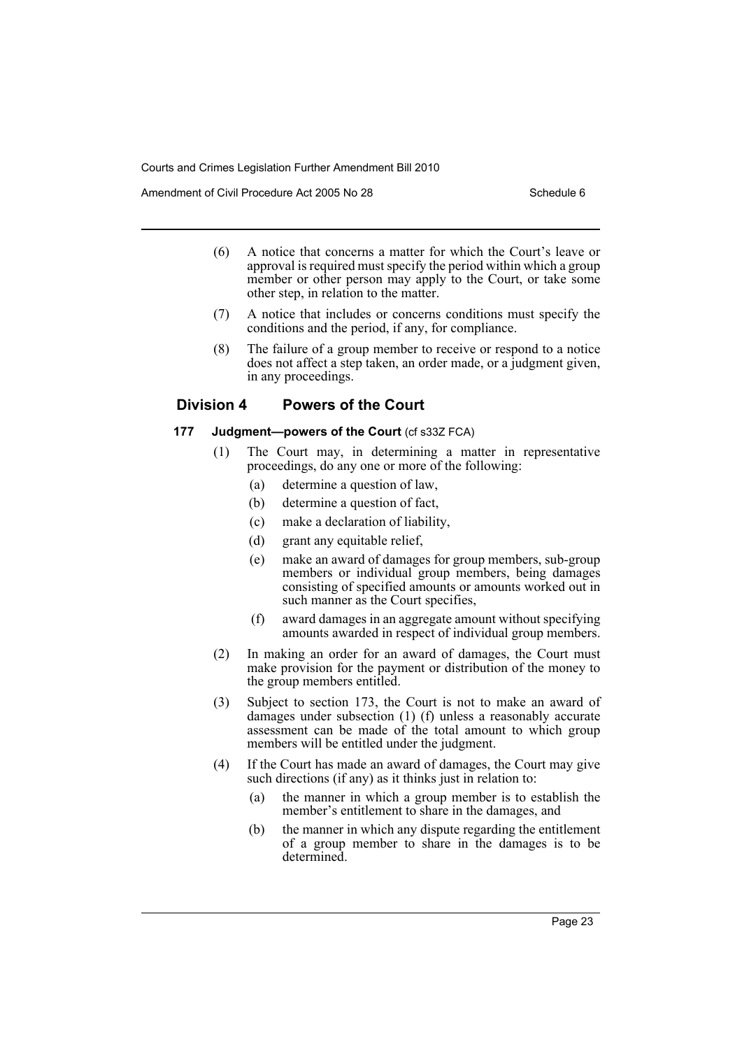Amendment of Civil Procedure Act 2005 No 28 Schedule 6

- (6) A notice that concerns a matter for which the Court's leave or approval is required must specify the period within which a group member or other person may apply to the Court, or take some other step, in relation to the matter.
- (7) A notice that includes or concerns conditions must specify the conditions and the period, if any, for compliance.
- (8) The failure of a group member to receive or respond to a notice does not affect a step taken, an order made, or a judgment given, in any proceedings.

# **Division 4 Powers of the Court**

#### **177 Judgment—powers of the Court** (cf s33Z FCA)

- (1) The Court may, in determining a matter in representative proceedings, do any one or more of the following:
	- (a) determine a question of law,
	- (b) determine a question of fact,
	- (c) make a declaration of liability,
	- (d) grant any equitable relief.
	- (e) make an award of damages for group members, sub-group members or individual group members, being damages consisting of specified amounts or amounts worked out in such manner as the Court specifies,
	- (f) award damages in an aggregate amount without specifying amounts awarded in respect of individual group members.
- (2) In making an order for an award of damages, the Court must make provision for the payment or distribution of the money to the group members entitled.
- (3) Subject to section 173, the Court is not to make an award of damages under subsection (1) (f) unless a reasonably accurate assessment can be made of the total amount to which group members will be entitled under the judgment.
- (4) If the Court has made an award of damages, the Court may give such directions (if any) as it thinks just in relation to:
	- (a) the manner in which a group member is to establish the member's entitlement to share in the damages, and
	- (b) the manner in which any dispute regarding the entitlement of a group member to share in the damages is to be determined.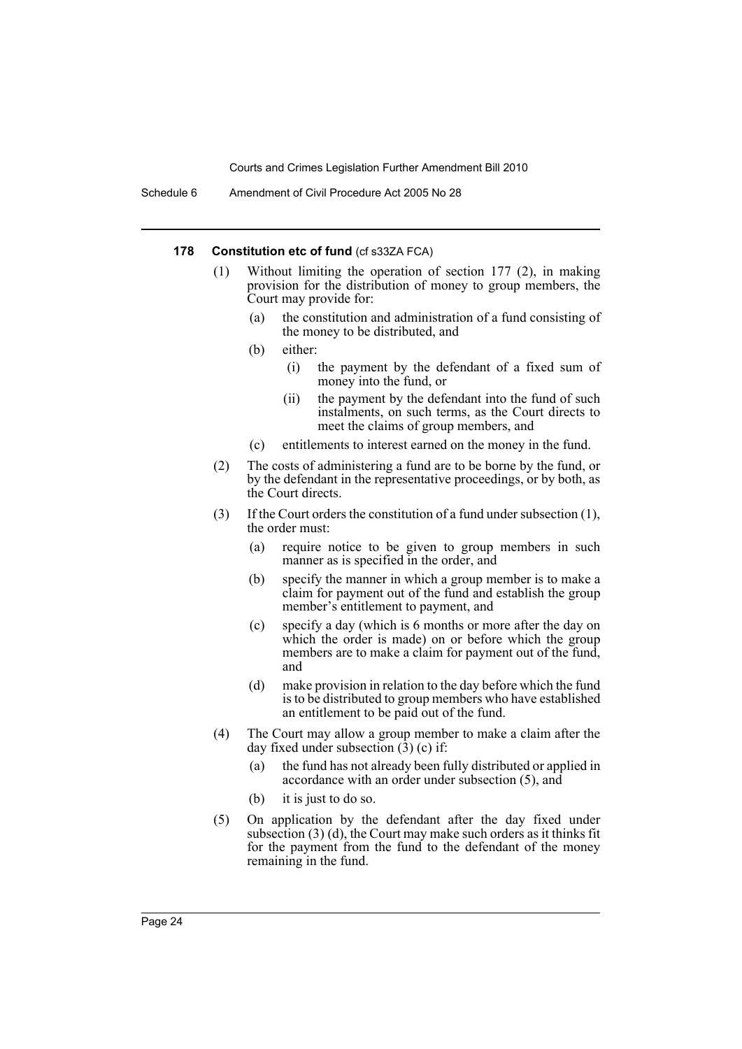#### **178 Constitution etc of fund (cf s33ZA FCA)**

- (1) Without limiting the operation of section 177 (2), in making provision for the distribution of money to group members, the Court may provide for:
	- (a) the constitution and administration of a fund consisting of the money to be distributed, and
	- (b) either:
		- (i) the payment by the defendant of a fixed sum of money into the fund, or
		- (ii) the payment by the defendant into the fund of such instalments, on such terms, as the Court directs to meet the claims of group members, and
	- (c) entitlements to interest earned on the money in the fund.
- (2) The costs of administering a fund are to be borne by the fund, or by the defendant in the representative proceedings, or by both, as the Court directs.
- (3) If the Court orders the constitution of a fund under subsection (1), the order must:
	- (a) require notice to be given to group members in such manner as is specified in the order, and
	- (b) specify the manner in which a group member is to make a claim for payment out of the fund and establish the group member's entitlement to payment, and
	- (c) specify a day (which is 6 months or more after the day on which the order is made) on or before which the group members are to make a claim for payment out of the fund, and
	- (d) make provision in relation to the day before which the fund is to be distributed to group members who have established an entitlement to be paid out of the fund.
- (4) The Court may allow a group member to make a claim after the day fixed under subsection  $(\hat{3})$  (c) if:
	- (a) the fund has not already been fully distributed or applied in accordance with an order under subsection (5), and
	- (b) it is just to do so.
- (5) On application by the defendant after the day fixed under subsection (3) (d), the Court may make such orders as it thinks fit for the payment from the fund to the defendant of the money remaining in the fund.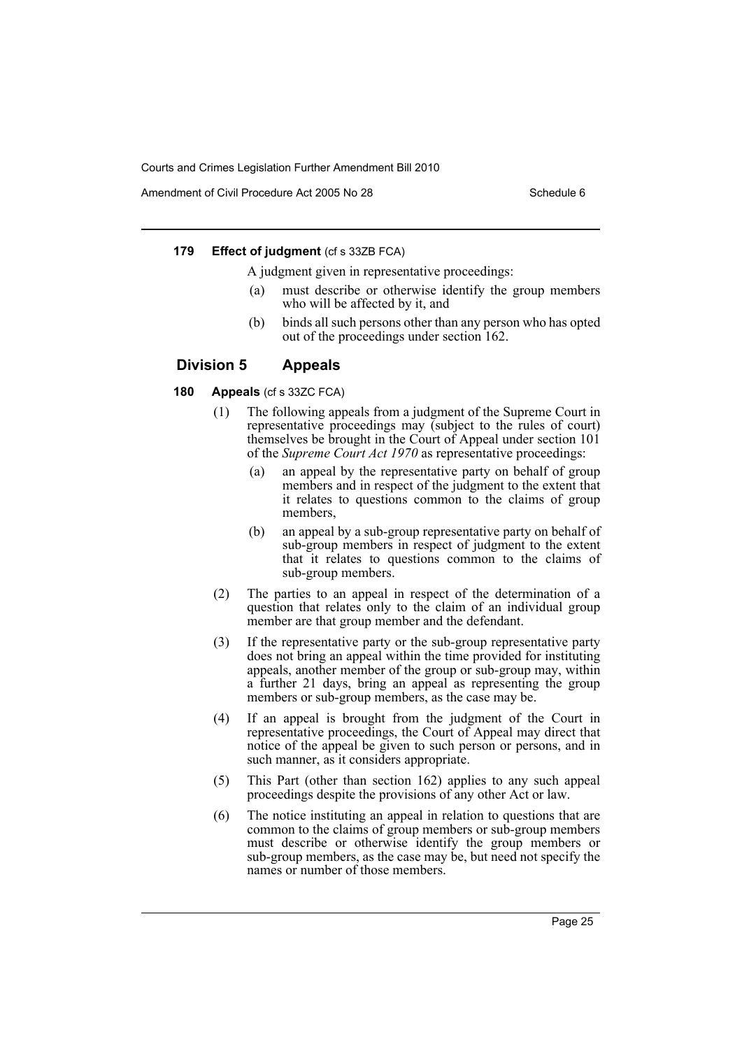Amendment of Civil Procedure Act 2005 No 28 Schedule 6

#### **179 Effect of judgment** (cf s 33ZB FCA)

A judgment given in representative proceedings:

- must describe or otherwise identify the group members who will be affected by it, and
- (b) binds all such persons other than any person who has opted out of the proceedings under section 162.

# **Division 5 Appeals**

#### **180 Appeals** (cf s 33ZC FCA)

- (1) The following appeals from a judgment of the Supreme Court in representative proceedings may (subject to the rules of court) themselves be brought in the Court of Appeal under section 101 of the *Supreme Court Act 1970* as representative proceedings:
	- (a) an appeal by the representative party on behalf of group members and in respect of the judgment to the extent that it relates to questions common to the claims of group members,
	- (b) an appeal by a sub-group representative party on behalf of sub-group members in respect of judgment to the extent that it relates to questions common to the claims of sub-group members.
- (2) The parties to an appeal in respect of the determination of a question that relates only to the claim of an individual group member are that group member and the defendant.
- (3) If the representative party or the sub-group representative party does not bring an appeal within the time provided for instituting appeals, another member of the group or sub-group may, within a further 21 days, bring an appeal as representing the group members or sub-group members, as the case may be.
- (4) If an appeal is brought from the judgment of the Court in representative proceedings, the Court of Appeal may direct that notice of the appeal be given to such person or persons, and in such manner, as it considers appropriate.
- (5) This Part (other than section 162) applies to any such appeal proceedings despite the provisions of any other Act or law.
- (6) The notice instituting an appeal in relation to questions that are common to the claims of group members or sub-group members must describe or otherwise identify the group members or sub-group members, as the case may be, but need not specify the names or number of those members.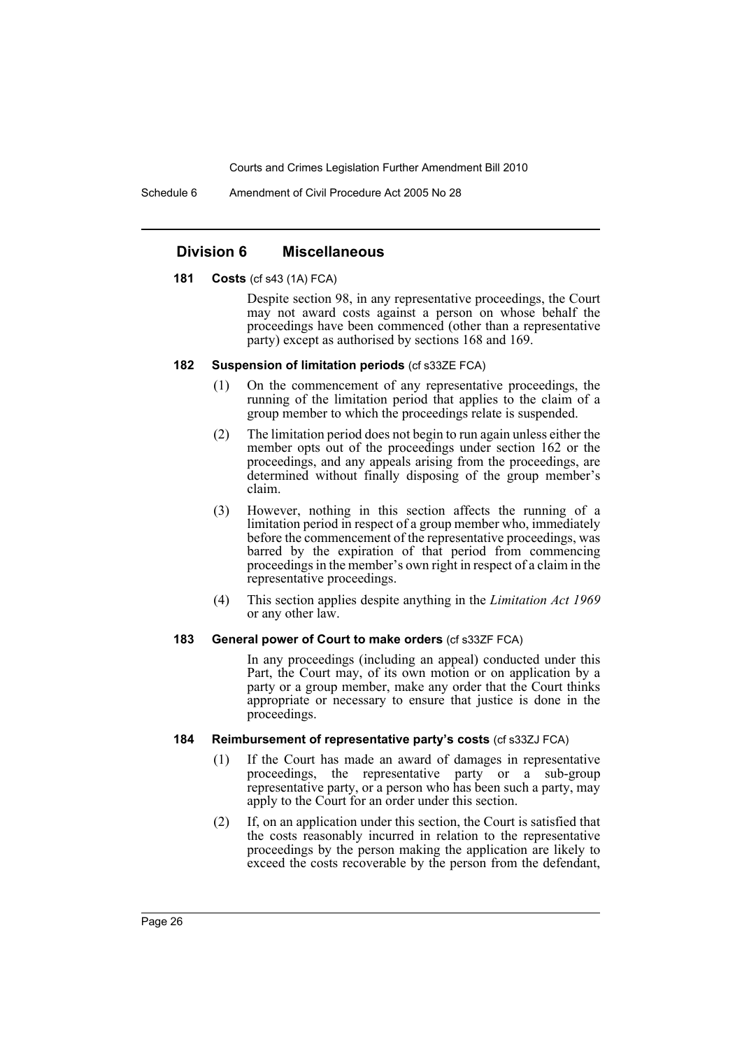Schedule 6 Amendment of Civil Procedure Act 2005 No 28

#### **Division 6 Miscellaneous**

#### **181 Costs** (cf s43 (1A) FCA)

Despite section 98, in any representative proceedings, the Court may not award costs against a person on whose behalf the proceedings have been commenced (other than a representative party) except as authorised by sections 168 and 169.

### **182 Suspension of limitation periods** (cf s33ZE FCA)

- (1) On the commencement of any representative proceedings, the running of the limitation period that applies to the claim of a group member to which the proceedings relate is suspended.
- (2) The limitation period does not begin to run again unless either the member opts out of the proceedings under section 162 or the proceedings, and any appeals arising from the proceedings, are determined without finally disposing of the group member's claim.
- (3) However, nothing in this section affects the running of a limitation period in respect of a group member who, immediately before the commencement of the representative proceedings, was barred by the expiration of that period from commencing proceedings in the member's own right in respect of a claim in the representative proceedings.
- (4) This section applies despite anything in the *Limitation Act 1969* or any other law.

#### **183 General power of Court to make orders** (cf s33ZF FCA)

In any proceedings (including an appeal) conducted under this Part, the Court may, of its own motion or on application by a party or a group member, make any order that the Court thinks appropriate or necessary to ensure that justice is done in the proceedings.

#### **184 Reimbursement of representative party's costs** (cf s33ZJ FCA)

- (1) If the Court has made an award of damages in representative proceedings, the representative party or a sub-group representative party, or a person who has been such a party, may apply to the Court for an order under this section.
- (2) If, on an application under this section, the Court is satisfied that the costs reasonably incurred in relation to the representative proceedings by the person making the application are likely to exceed the costs recoverable by the person from the defendant,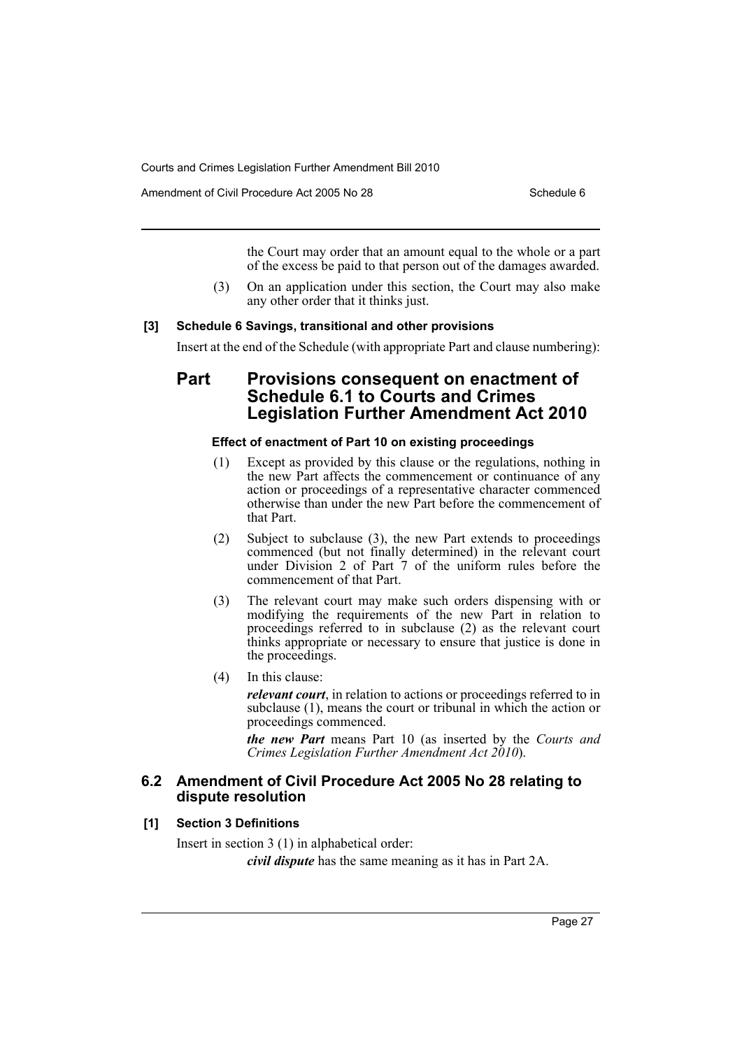Amendment of Civil Procedure Act 2005 No 28 Schedule 6

the Court may order that an amount equal to the whole or a part of the excess be paid to that person out of the damages awarded.

(3) On an application under this section, the Court may also make any other order that it thinks just.

#### **[3] Schedule 6 Savings, transitional and other provisions**

Insert at the end of the Schedule (with appropriate Part and clause numbering):

# **Part Provisions consequent on enactment of Schedule 6.1 to Courts and Crimes Legislation Further Amendment Act 2010**

# **Effect of enactment of Part 10 on existing proceedings**

- (1) Except as provided by this clause or the regulations, nothing in the new Part affects the commencement or continuance of any action or proceedings of a representative character commenced otherwise than under the new Part before the commencement of that Part.
- (2) Subject to subclause (3), the new Part extends to proceedings commenced (but not finally determined) in the relevant court under Division 2 of Part 7 of the uniform rules before the commencement of that Part.
- (3) The relevant court may make such orders dispensing with or modifying the requirements of the new Part in relation to proceedings referred to in subclause (2) as the relevant court thinks appropriate or necessary to ensure that justice is done in the proceedings.
- (4) In this clause:

*relevant court*, in relation to actions or proceedings referred to in subclause (1), means the court or tribunal in which the action or proceedings commenced.

*the new Part* means Part 10 (as inserted by the *Courts and Crimes Legislation Further Amendment Act 2010*).

# **6.2 Amendment of Civil Procedure Act 2005 No 28 relating to dispute resolution**

#### **[1] Section 3 Definitions**

Insert in section 3 (1) in alphabetical order: *civil dispute* has the same meaning as it has in Part 2A.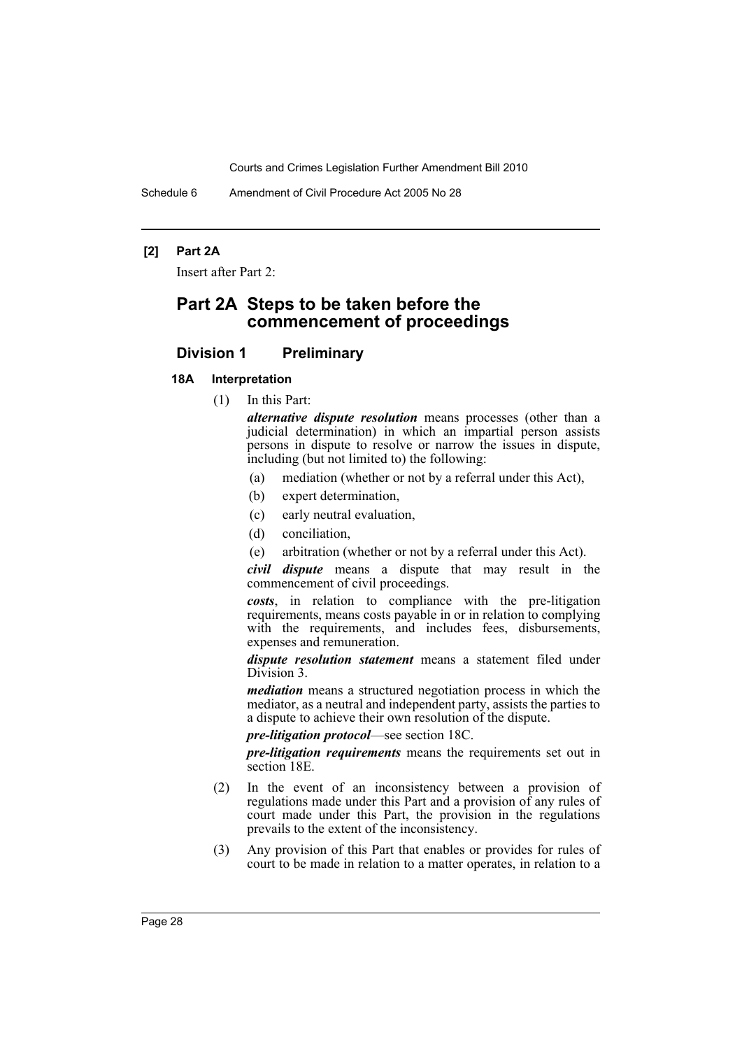Schedule 6 Amendment of Civil Procedure Act 2005 No 28

### **[2] Part 2A**

Insert after Part 2:

# **Part 2A Steps to be taken before the commencement of proceedings**

# **Division 1 Preliminary**

#### **18A Interpretation**

(1) In this Part:

*alternative dispute resolution* means processes (other than a judicial determination) in which an impartial person assists persons in dispute to resolve or narrow the issues in dispute, including (but not limited to) the following:

- (a) mediation (whether or not by a referral under this Act),
- (b) expert determination,
- (c) early neutral evaluation,
- (d) conciliation,
- (e) arbitration (whether or not by a referral under this Act).

*civil dispute* means a dispute that may result in the commencement of civil proceedings.

*costs*, in relation to compliance with the pre-litigation requirements, means costs payable in or in relation to complying with the requirements, and includes fees, disbursements, expenses and remuneration.

*dispute resolution statement* means a statement filed under Division 3.

*mediation* means a structured negotiation process in which the mediator, as a neutral and independent party, assists the parties to a dispute to achieve their own resolution of the dispute.

*pre-litigation protocol*—see section 18C.

*pre-litigation requirements* means the requirements set out in section 18E.

- (2) In the event of an inconsistency between a provision of regulations made under this Part and a provision of any rules of court made under this Part, the provision in the regulations prevails to the extent of the inconsistency.
- (3) Any provision of this Part that enables or provides for rules of court to be made in relation to a matter operates, in relation to a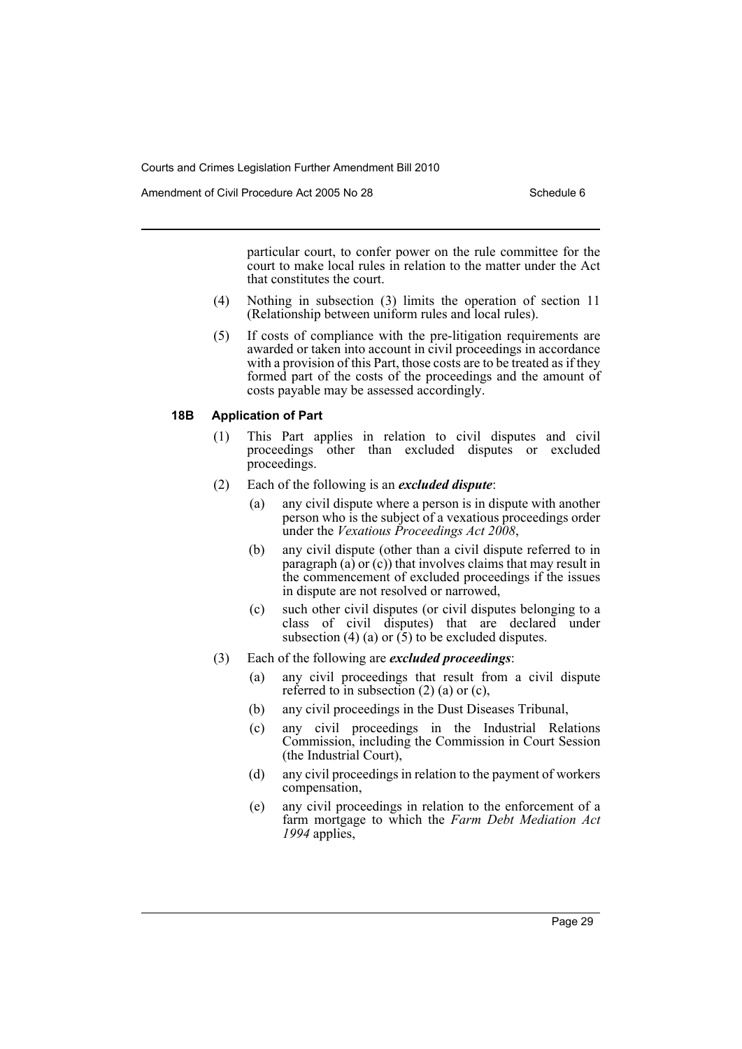Amendment of Civil Procedure Act 2005 No 28 Schedule 6

particular court, to confer power on the rule committee for the court to make local rules in relation to the matter under the Act that constitutes the court.

- (4) Nothing in subsection (3) limits the operation of section 11 (Relationship between uniform rules and local rules).
- (5) If costs of compliance with the pre-litigation requirements are awarded or taken into account in civil proceedings in accordance with a provision of this Part, those costs are to be treated as if they formed part of the costs of the proceedings and the amount of costs payable may be assessed accordingly.

#### **18B Application of Part**

- (1) This Part applies in relation to civil disputes and civil proceedings other than excluded disputes or excluded proceedings.
- (2) Each of the following is an *excluded dispute*:
	- (a) any civil dispute where a person is in dispute with another person who is the subject of a vexatious proceedings order under the *Vexatious Proceedings Act 2008*,
	- (b) any civil dispute (other than a civil dispute referred to in paragraph  $(a)$  or  $(c)$ ) that involves claims that may result in the commencement of excluded proceedings if the issues in dispute are not resolved or narrowed,
	- (c) such other civil disputes (or civil disputes belonging to a class of civil disputes) that are declared under subsection (4) (a) or  $(5)$  to be excluded disputes.
- (3) Each of the following are *excluded proceedings*:
	- (a) any civil proceedings that result from a civil dispute referred to in subsection  $(2)$  (a) or (c),
	- (b) any civil proceedings in the Dust Diseases Tribunal,
	- (c) any civil proceedings in the Industrial Relations Commission, including the Commission in Court Session (the Industrial Court),
	- (d) any civil proceedings in relation to the payment of workers compensation,
	- (e) any civil proceedings in relation to the enforcement of a farm mortgage to which the *Farm Debt Mediation Act 1994* applies,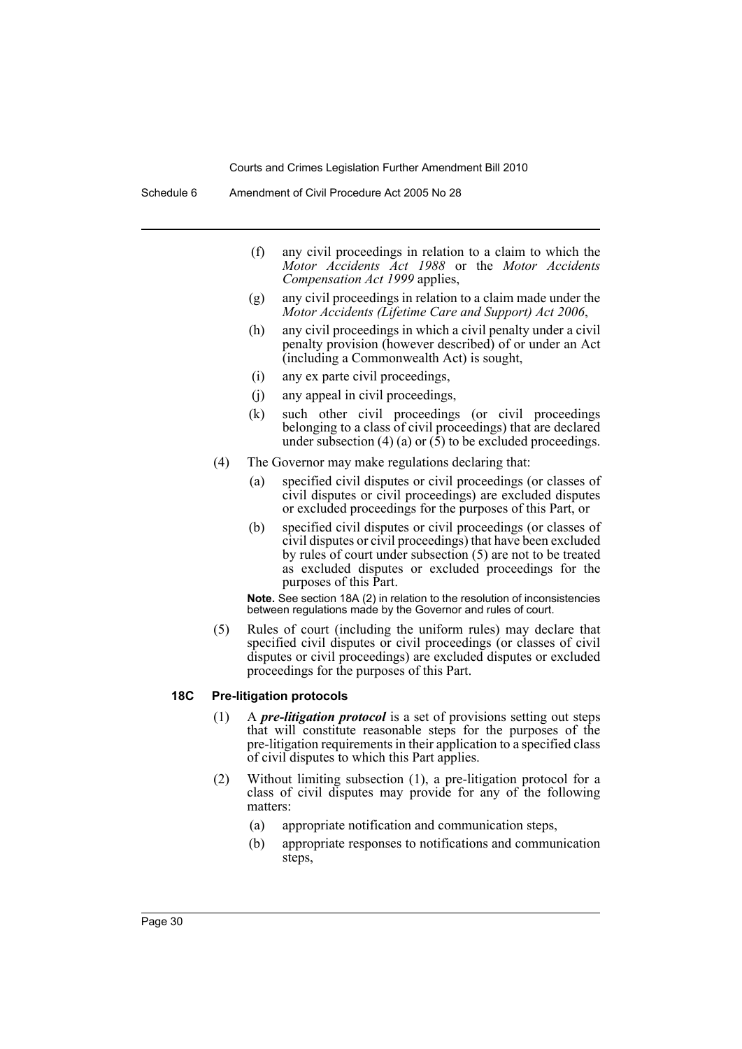- (f) any civil proceedings in relation to a claim to which the *Motor Accidents Act 1988* or the *Motor Accidents Compensation Act 1999* applies,
- (g) any civil proceedings in relation to a claim made under the *Motor Accidents (Lifetime Care and Support) Act 2006*,
- (h) any civil proceedings in which a civil penalty under a civil penalty provision (however described) of or under an Act (including a Commonwealth Act) is sought,
- (i) any ex parte civil proceedings,
- (j) any appeal in civil proceedings,
- (k) such other civil proceedings (or civil proceedings belonging to a class of civil proceedings) that are declared under subsection (4) (a) or  $(\bar{5})$  to be excluded proceedings.
- (4) The Governor may make regulations declaring that:
	- (a) specified civil disputes or civil proceedings (or classes of civil disputes or civil proceedings) are excluded disputes or excluded proceedings for the purposes of this Part, or
	- (b) specified civil disputes or civil proceedings (or classes of civil disputes or civil proceedings) that have been excluded by rules of court under subsection (5) are not to be treated as excluded disputes or excluded proceedings for the purposes of this Part.

**Note.** See section 18A (2) in relation to the resolution of inconsistencies between regulations made by the Governor and rules of court.

(5) Rules of court (including the uniform rules) may declare that specified civil disputes or civil proceedings (or classes of civil disputes or civil proceedings) are excluded disputes or excluded proceedings for the purposes of this Part.

#### **18C Pre-litigation protocols**

- (1) A *pre-litigation protocol* is a set of provisions setting out steps that will constitute reasonable steps for the purposes of the pre-litigation requirements in their application to a specified class of civil disputes to which this Part applies.
- (2) Without limiting subsection (1), a pre-litigation protocol for a class of civil disputes may provide for any of the following matters:
	- (a) appropriate notification and communication steps,
	- (b) appropriate responses to notifications and communication steps,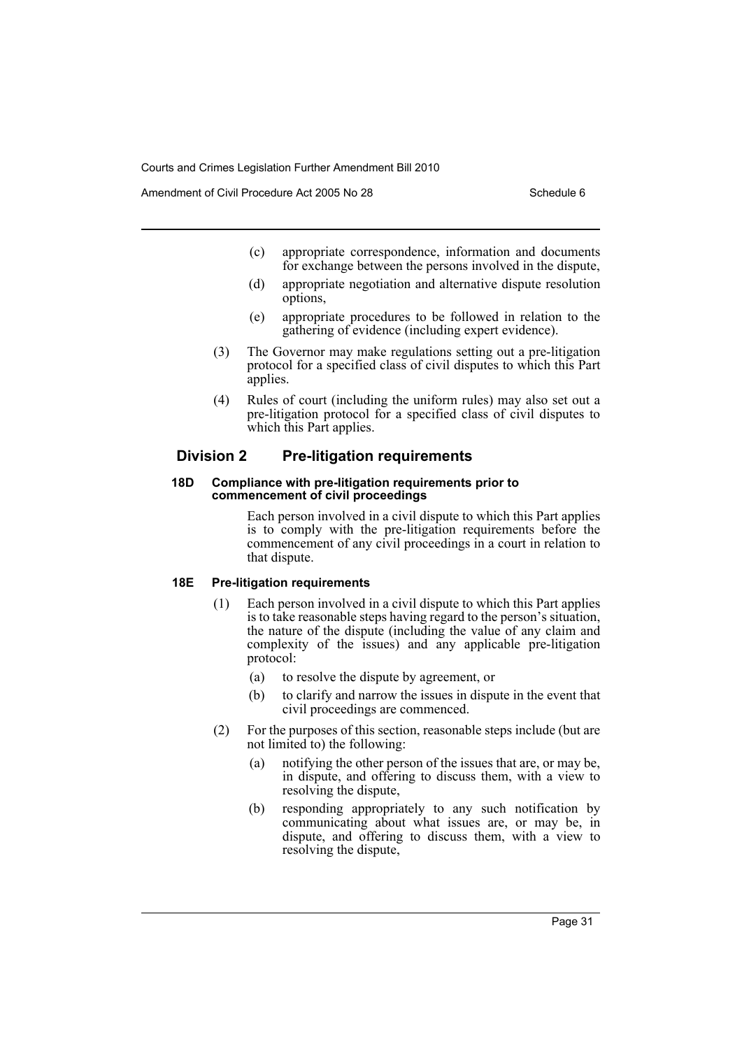Amendment of Civil Procedure Act 2005 No 28 Schedule 6

- (c) appropriate correspondence, information and documents for exchange between the persons involved in the dispute,
- (d) appropriate negotiation and alternative dispute resolution options,
- (e) appropriate procedures to be followed in relation to the gathering of evidence (including expert evidence).
- (3) The Governor may make regulations setting out a pre-litigation protocol for a specified class of civil disputes to which this Part applies.
- (4) Rules of court (including the uniform rules) may also set out a pre-litigation protocol for a specified class of civil disputes to which this Part applies.

# **Division 2 Pre-litigation requirements**

#### **18D Compliance with pre-litigation requirements prior to commencement of civil proceedings**

Each person involved in a civil dispute to which this Part applies is to comply with the pre-litigation requirements before the commencement of any civil proceedings in a court in relation to that dispute.

# **18E Pre-litigation requirements**

- (1) Each person involved in a civil dispute to which this Part applies is to take reasonable steps having regard to the person's situation, the nature of the dispute (including the value of any claim and complexity of the issues) and any applicable pre-litigation protocol:
	- (a) to resolve the dispute by agreement, or
	- (b) to clarify and narrow the issues in dispute in the event that civil proceedings are commenced.
- (2) For the purposes of this section, reasonable steps include (but are not limited to) the following:
	- (a) notifying the other person of the issues that are, or may be, in dispute, and offering to discuss them, with a view to resolving the dispute,
	- (b) responding appropriately to any such notification by communicating about what issues are, or may be, in dispute, and offering to discuss them, with a view to resolving the dispute,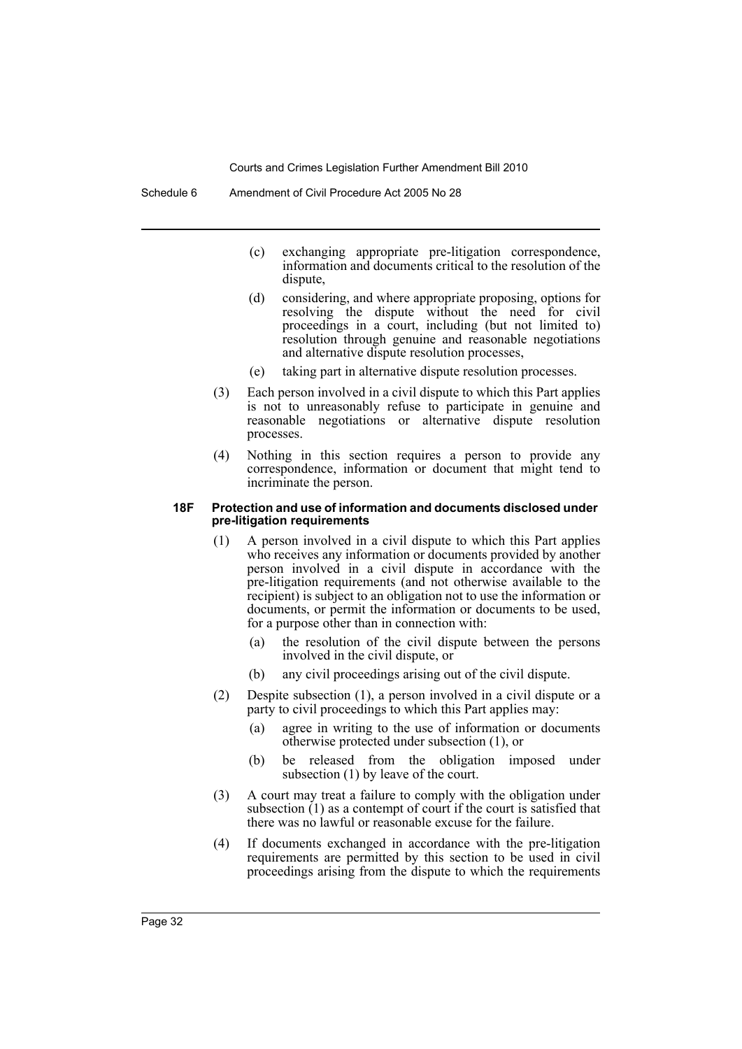- (c) exchanging appropriate pre-litigation correspondence, information and documents critical to the resolution of the dispute,
- (d) considering, and where appropriate proposing, options for resolving the dispute without the need for civil proceedings in a court, including (but not limited to) resolution through genuine and reasonable negotiations and alternative dispute resolution processes,
- (e) taking part in alternative dispute resolution processes.
- (3) Each person involved in a civil dispute to which this Part applies is not to unreasonably refuse to participate in genuine and reasonable negotiations or alternative dispute resolution processes.
- (4) Nothing in this section requires a person to provide any correspondence, information or document that might tend to incriminate the person.

#### **18F Protection and use of information and documents disclosed under pre-litigation requirements**

- (1) A person involved in a civil dispute to which this Part applies who receives any information or documents provided by another person involved in a civil dispute in accordance with the pre-litigation requirements (and not otherwise available to the recipient) is subject to an obligation not to use the information or documents, or permit the information or documents to be used, for a purpose other than in connection with:
	- (a) the resolution of the civil dispute between the persons involved in the civil dispute, or
	- (b) any civil proceedings arising out of the civil dispute.
- (2) Despite subsection (1), a person involved in a civil dispute or a party to civil proceedings to which this Part applies may:
	- (a) agree in writing to the use of information or documents otherwise protected under subsection (1), or
	- (b) be released from the obligation imposed under subsection (1) by leave of the court.
- (3) A court may treat a failure to comply with the obligation under subsection (1) as a contempt of court if the court is satisfied that there was no lawful or reasonable excuse for the failure.
- (4) If documents exchanged in accordance with the pre-litigation requirements are permitted by this section to be used in civil proceedings arising from the dispute to which the requirements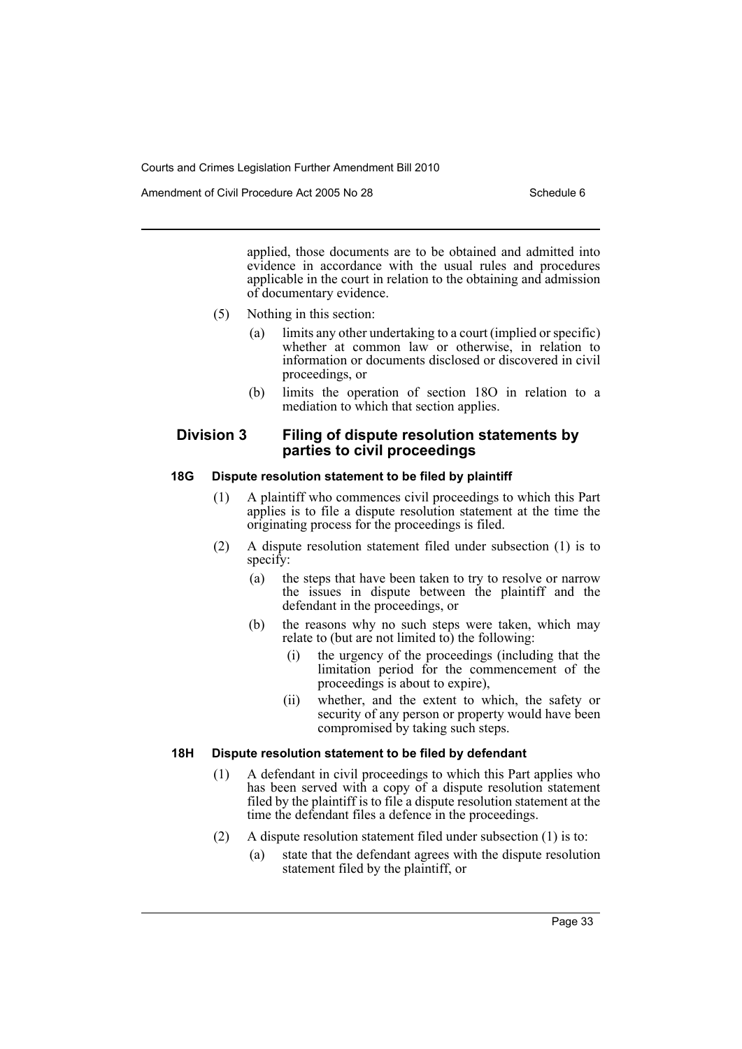Amendment of Civil Procedure Act 2005 No 28 Schedule 6

applied, those documents are to be obtained and admitted into evidence in accordance with the usual rules and procedures applicable in the court in relation to the obtaining and admission of documentary evidence.

- (5) Nothing in this section:
	- (a) limits any other undertaking to a court (implied or specific) whether at common law or otherwise, in relation to information or documents disclosed or discovered in civil proceedings, or
	- (b) limits the operation of section 18O in relation to a mediation to which that section applies.

# **Division 3 Filing of dispute resolution statements by parties to civil proceedings**

### **18G Dispute resolution statement to be filed by plaintiff**

- (1) A plaintiff who commences civil proceedings to which this Part applies is to file a dispute resolution statement at the time the originating process for the proceedings is filed.
- (2) A dispute resolution statement filed under subsection (1) is to specify:
	- (a) the steps that have been taken to try to resolve or narrow the issues in dispute between the plaintiff and the defendant in the proceedings, or
	- (b) the reasons why no such steps were taken, which may relate to (but are not limited to) the following:
		- (i) the urgency of the proceedings (including that the limitation period for the commencement of the proceedings is about to expire),
		- (ii) whether, and the extent to which, the safety or security of any person or property would have been compromised by taking such steps.

# **18H Dispute resolution statement to be filed by defendant**

- (1) A defendant in civil proceedings to which this Part applies who has been served with a copy of a dispute resolution statement filed by the plaintiff is to file a dispute resolution statement at the time the defendant files a defence in the proceedings.
- (2) A dispute resolution statement filed under subsection (1) is to:
	- (a) state that the defendant agrees with the dispute resolution statement filed by the plaintiff, or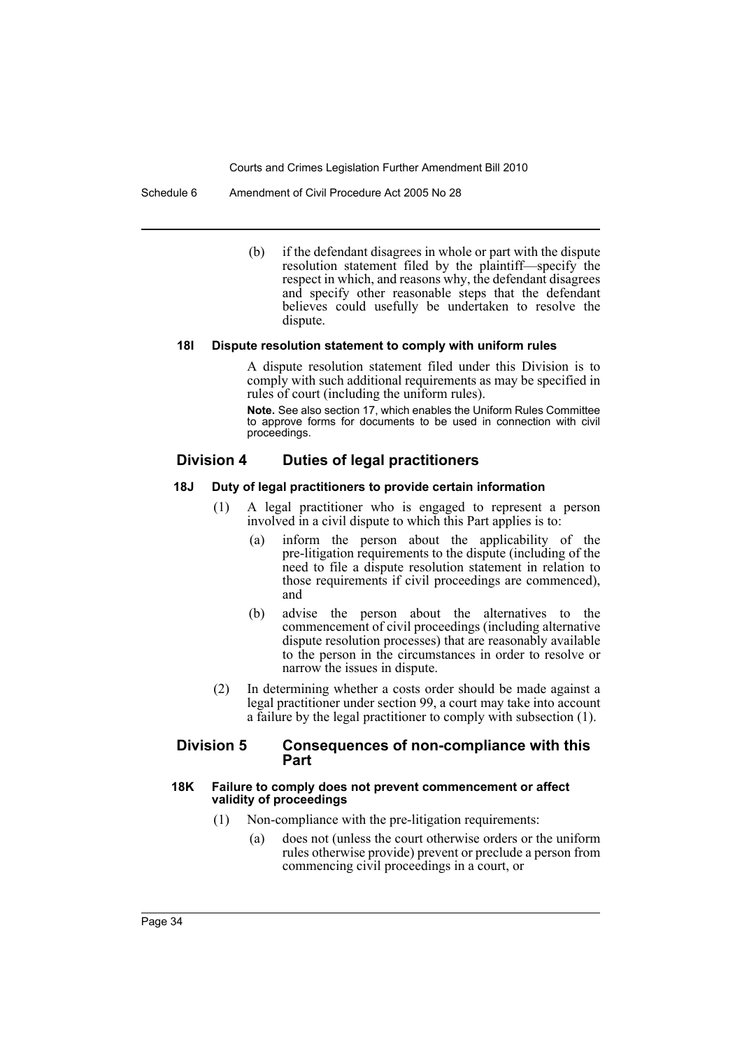Schedule 6 Amendment of Civil Procedure Act 2005 No 28

(b) if the defendant disagrees in whole or part with the dispute resolution statement filed by the plaintiff—specify the respect in which, and reasons why, the defendant disagrees and specify other reasonable steps that the defendant believes could usefully be undertaken to resolve the dispute.

#### **18I Dispute resolution statement to comply with uniform rules**

A dispute resolution statement filed under this Division is to comply with such additional requirements as may be specified in rules of court (including the uniform rules).

**Note.** See also section 17, which enables the Uniform Rules Committee to approve forms for documents to be used in connection with civil proceedings.

# **Division 4 Duties of legal practitioners**

#### **18J Duty of legal practitioners to provide certain information**

- (1) A legal practitioner who is engaged to represent a person involved in a civil dispute to which this Part applies is to:
	- (a) inform the person about the applicability of the pre-litigation requirements to the dispute (including of the need to file a dispute resolution statement in relation to those requirements if civil proceedings are commenced), and
	- (b) advise the person about the alternatives to the commencement of civil proceedings (including alternative dispute resolution processes) that are reasonably available to the person in the circumstances in order to resolve or narrow the issues in dispute.
- (2) In determining whether a costs order should be made against a legal practitioner under section 99, a court may take into account a failure by the legal practitioner to comply with subsection (1).

#### **Division 5 Consequences of non-compliance with this Part**

#### **18K Failure to comply does not prevent commencement or affect validity of proceedings**

- (1) Non-compliance with the pre-litigation requirements:
	- (a) does not (unless the court otherwise orders or the uniform rules otherwise provide) prevent or preclude a person from commencing civil proceedings in a court, or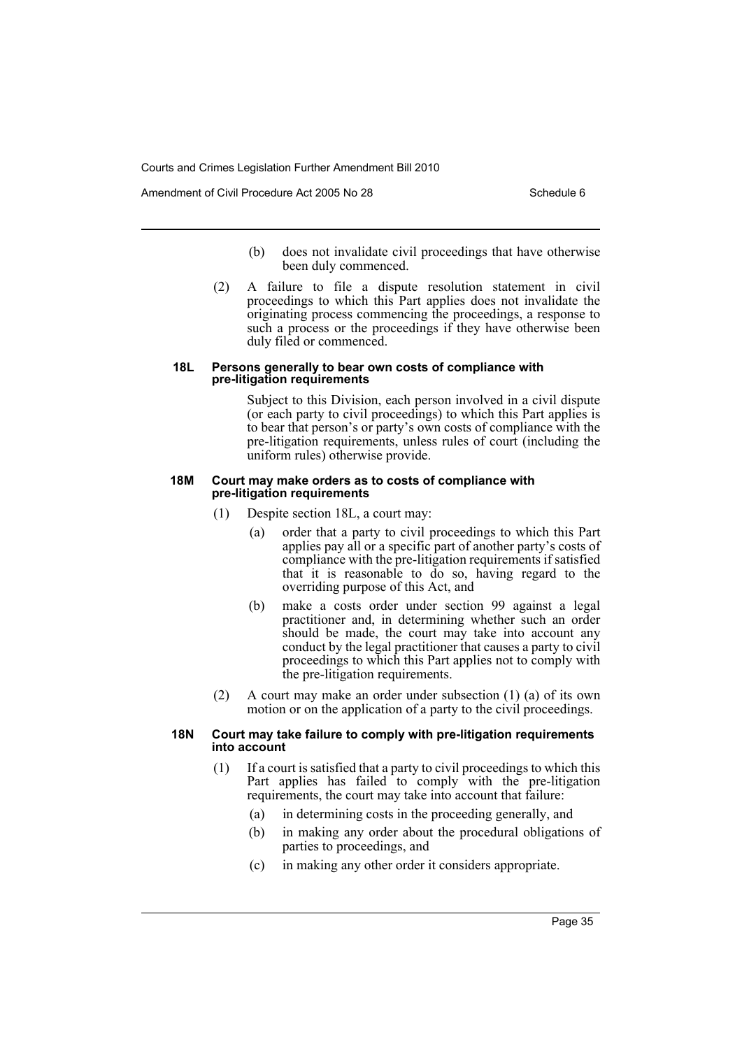Amendment of Civil Procedure Act 2005 No 28 Schedule 6

- (b) does not invalidate civil proceedings that have otherwise been duly commenced.
- (2) A failure to file a dispute resolution statement in civil proceedings to which this Part applies does not invalidate the originating process commencing the proceedings, a response to such a process or the proceedings if they have otherwise been duly filed or commenced.

#### **18L Persons generally to bear own costs of compliance with pre-litigation requirements**

Subject to this Division, each person involved in a civil dispute (or each party to civil proceedings) to which this Part applies is to bear that person's or party's own costs of compliance with the pre-litigation requirements, unless rules of court (including the uniform rules) otherwise provide.

#### **18M Court may make orders as to costs of compliance with pre-litigation requirements**

- (1) Despite section 18L, a court may:
	- (a) order that a party to civil proceedings to which this Part applies pay all or a specific part of another party's costs of compliance with the pre-litigation requirements if satisfied that it is reasonable to do so, having regard to the overriding purpose of this Act, and
	- (b) make a costs order under section 99 against a legal practitioner and, in determining whether such an order should be made, the court may take into account any conduct by the legal practitioner that causes a party to civil proceedings to which this Part applies not to comply with the pre-litigation requirements.
- (2) A court may make an order under subsection (1) (a) of its own motion or on the application of a party to the civil proceedings.

### **18N Court may take failure to comply with pre-litigation requirements into account**

- (1) If a court is satisfied that a party to civil proceedings to which this Part applies has failed to comply with the pre-litigation requirements, the court may take into account that failure:
	- (a) in determining costs in the proceeding generally, and
	- (b) in making any order about the procedural obligations of parties to proceedings, and
	- (c) in making any other order it considers appropriate.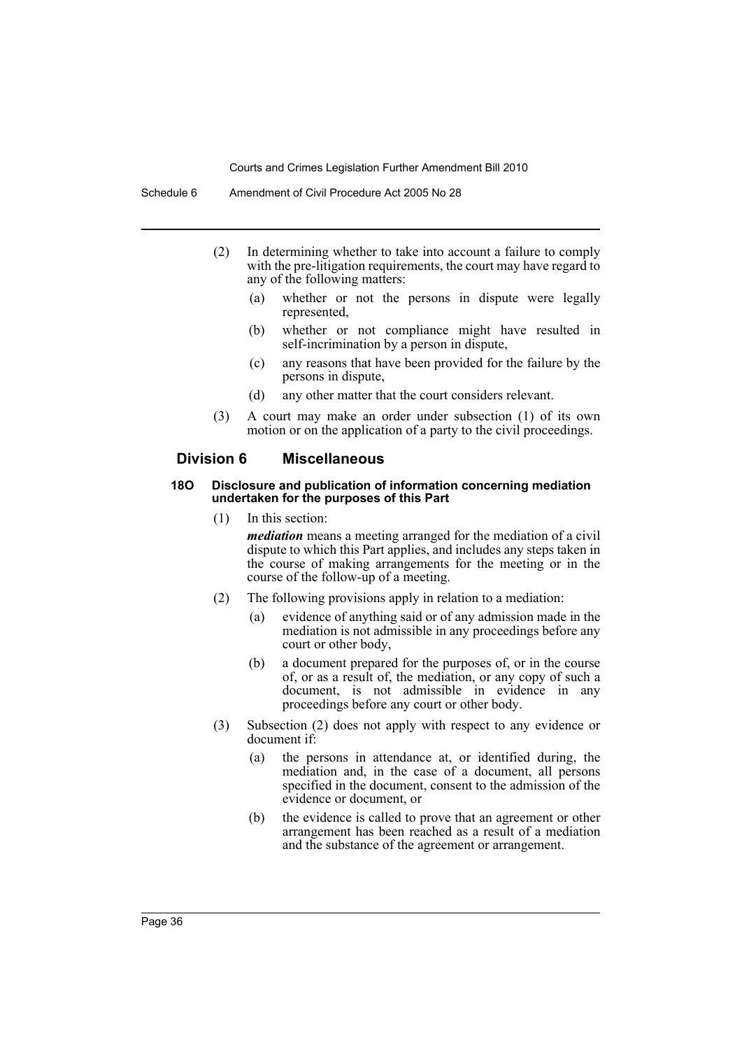- (2) In determining whether to take into account a failure to comply with the pre-litigation requirements, the court may have regard to any of the following matters:
	- (a) whether or not the persons in dispute were legally represented,
	- (b) whether or not compliance might have resulted in self-incrimination by a person in dispute,
	- (c) any reasons that have been provided for the failure by the persons in dispute,
	- (d) any other matter that the court considers relevant.
- (3) A court may make an order under subsection (1) of its own motion or on the application of a party to the civil proceedings.

# **Division 6 Miscellaneous**

#### **18O Disclosure and publication of information concerning mediation undertaken for the purposes of this Part**

(1) In this section:

*mediation* means a meeting arranged for the mediation of a civil dispute to which this Part applies, and includes any steps taken in the course of making arrangements for the meeting or in the course of the follow-up of a meeting.

- (2) The following provisions apply in relation to a mediation:
	- (a) evidence of anything said or of any admission made in the mediation is not admissible in any proceedings before any court or other body,
	- (b) a document prepared for the purposes of, or in the course of, or as a result of, the mediation, or any copy of such a document, is not admissible in evidence in any proceedings before any court or other body.
- (3) Subsection (2) does not apply with respect to any evidence or document if:
	- (a) the persons in attendance at, or identified during, the mediation and, in the case of a document, all persons specified in the document, consent to the admission of the evidence or document, or
	- (b) the evidence is called to prove that an agreement or other arrangement has been reached as a result of a mediation and the substance of the agreement or arrangement.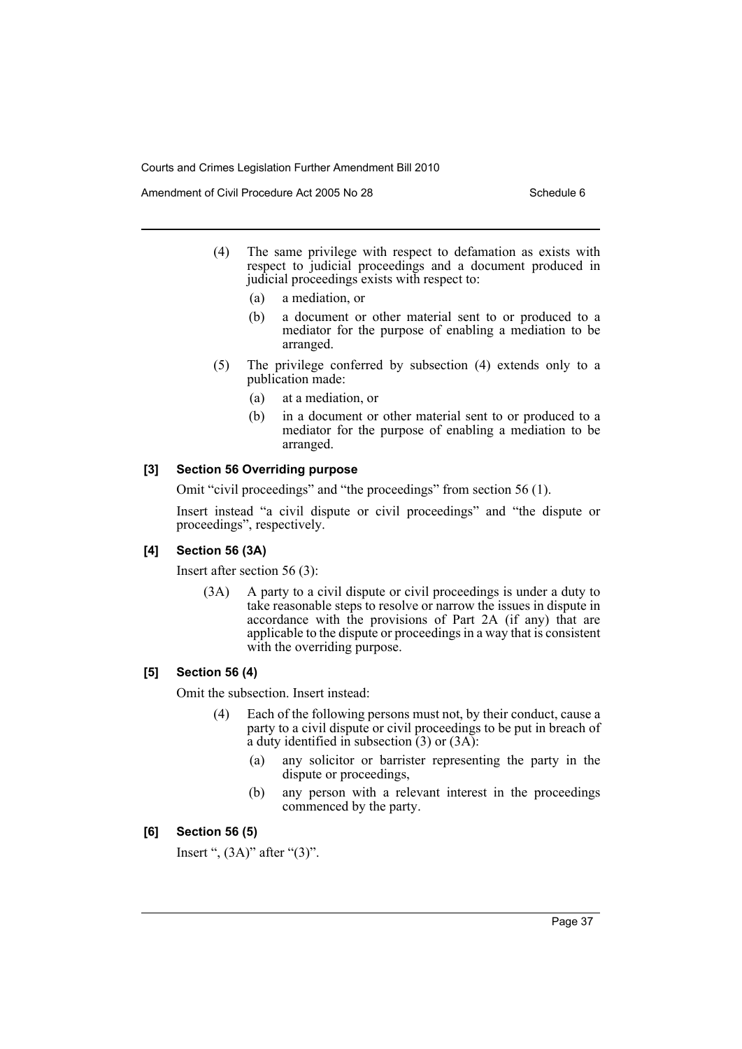Amendment of Civil Procedure Act 2005 No 28 Schedule 6

- (4) The same privilege with respect to defamation as exists with respect to judicial proceedings and a document produced in judicial proceedings exists with respect to:
	- (a) a mediation, or
	- (b) a document or other material sent to or produced to a mediator for the purpose of enabling a mediation to be arranged.
- (5) The privilege conferred by subsection (4) extends only to a publication made:
	- (a) at a mediation, or
	- (b) in a document or other material sent to or produced to a mediator for the purpose of enabling a mediation to be arranged.

# **[3] Section 56 Overriding purpose**

Omit "civil proceedings" and "the proceedings" from section 56 (1).

Insert instead "a civil dispute or civil proceedings" and "the dispute or proceedings", respectively.

# **[4] Section 56 (3A)**

Insert after section 56 (3):

(3A) A party to a civil dispute or civil proceedings is under a duty to take reasonable steps to resolve or narrow the issues in dispute in accordance with the provisions of Part 2A (if any) that are applicable to the dispute or proceedings in a way that is consistent with the overriding purpose.

# **[5] Section 56 (4)**

Omit the subsection. Insert instead:

- (4) Each of the following persons must not, by their conduct, cause a party to a civil dispute or civil proceedings to be put in breach of a duty identified in subsection  $(3)$  or  $(3A)$ :
	- (a) any solicitor or barrister representing the party in the dispute or proceedings,
	- (b) any person with a relevant interest in the proceedings commenced by the party.

# **[6] Section 56 (5)**

Insert ",  $(3A)$ " after " $(3)$ ".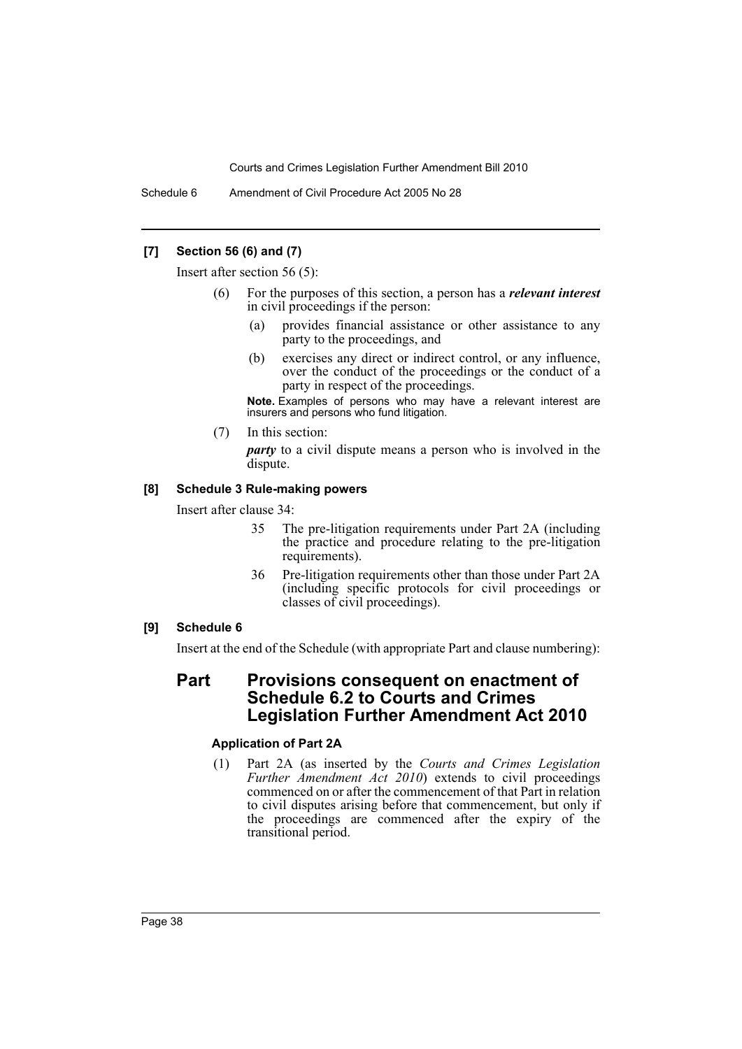Schedule 6 Amendment of Civil Procedure Act 2005 No 28

# **[7] Section 56 (6) and (7)**

Insert after section 56 (5):

- (6) For the purposes of this section, a person has a *relevant interest* in civil proceedings if the person:
	- (a) provides financial assistance or other assistance to any party to the proceedings, and
	- (b) exercises any direct or indirect control, or any influence, over the conduct of the proceedings or the conduct of a party in respect of the proceedings.

**Note.** Examples of persons who may have a relevant interest are insurers and persons who fund litigation.

(7) In this section:

*party* to a civil dispute means a person who is involved in the dispute.

### **[8] Schedule 3 Rule-making powers**

Insert after clause 34:

- 35 The pre-litigation requirements under Part 2A (including the practice and procedure relating to the pre-litigation requirements).
- 36 Pre-litigation requirements other than those under Part 2A (including specific protocols for civil proceedings or classes of civil proceedings).

# **[9] Schedule 6**

Insert at the end of the Schedule (with appropriate Part and clause numbering):

# **Part Provisions consequent on enactment of Schedule 6.2 to Courts and Crimes Legislation Further Amendment Act 2010**

# **Application of Part 2A**

(1) Part 2A (as inserted by the *Courts and Crimes Legislation Further Amendment Act 2010*) extends to civil proceedings commenced on or after the commencement of that Part in relation to civil disputes arising before that commencement, but only if the proceedings are commenced after the expiry of the transitional period.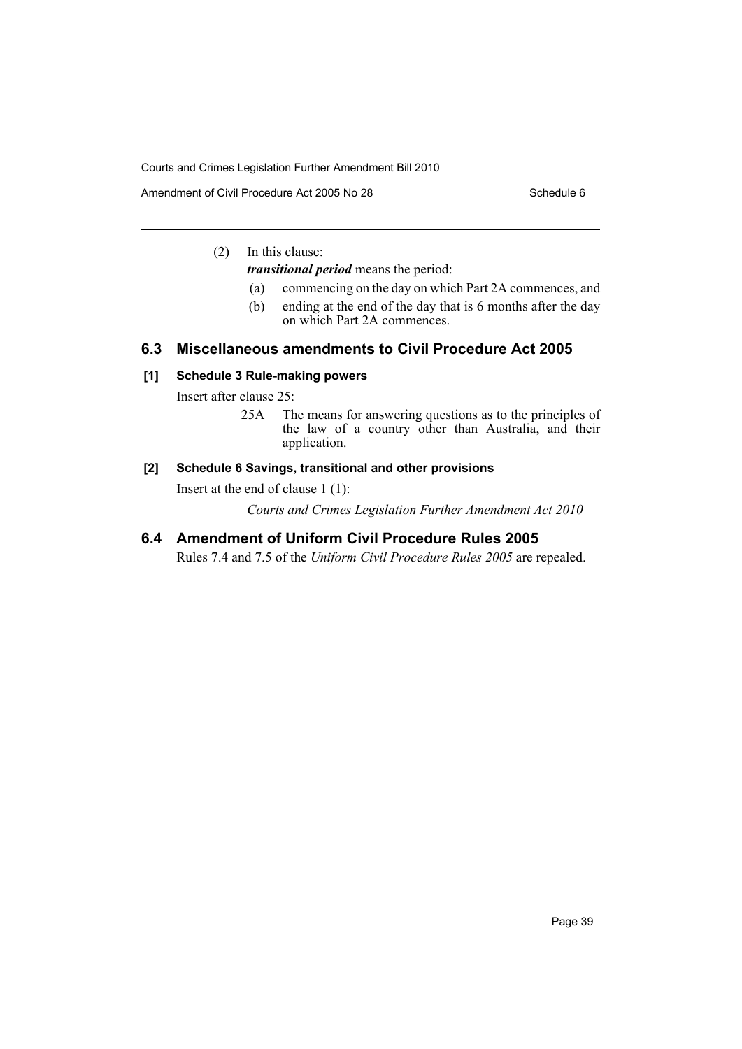Amendment of Civil Procedure Act 2005 No 28 Schedule 6

# (2) In this clause:

*transitional period* means the period:

- (a) commencing on the day on which Part 2A commences, and
- (b) ending at the end of the day that is 6 months after the day on which Part 2A commences.

# **6.3 Miscellaneous amendments to Civil Procedure Act 2005**

# **[1] Schedule 3 Rule-making powers**

Insert after clause 25:

25A The means for answering questions as to the principles of the law of a country other than Australia, and their application.

# **[2] Schedule 6 Savings, transitional and other provisions**

Insert at the end of clause 1 (1):

*Courts and Crimes Legislation Further Amendment Act 2010*

# **6.4 Amendment of Uniform Civil Procedure Rules 2005**

Rules 7.4 and 7.5 of the *Uniform Civil Procedure Rules 2005* are repealed.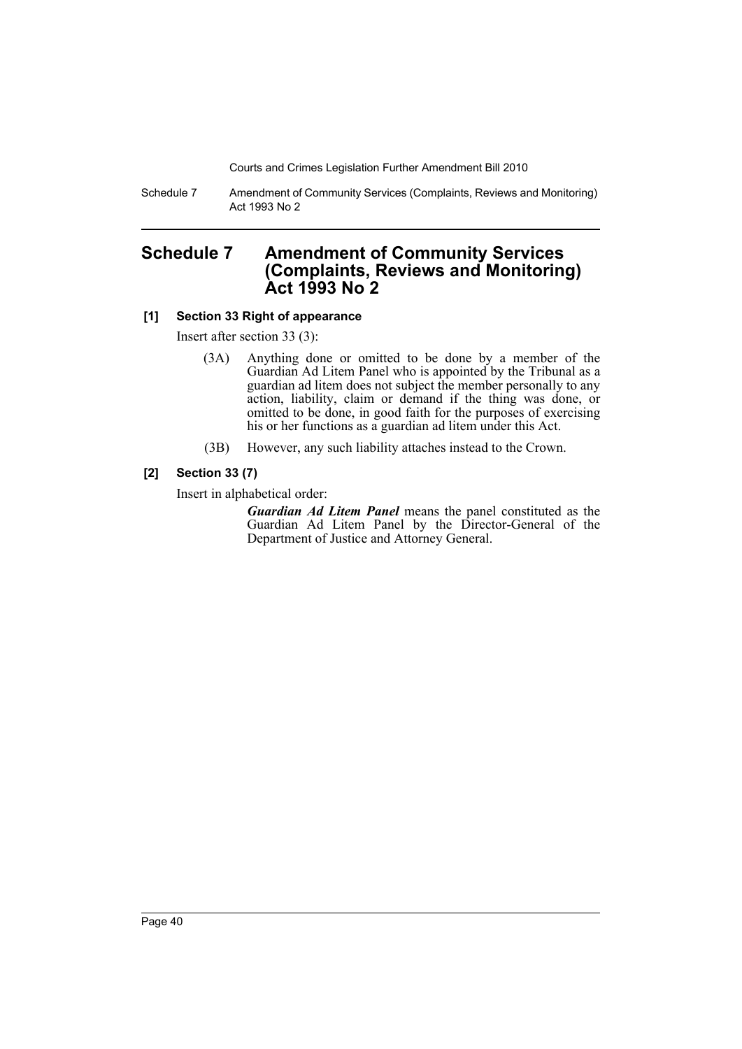Schedule 7 Amendment of Community Services (Complaints, Reviews and Monitoring) Act 1993 No 2

# **Schedule 7 Amendment of Community Services (Complaints, Reviews and Monitoring) Act 1993 No 2**

# **[1] Section 33 Right of appearance**

Insert after section 33 (3):

- (3A) Anything done or omitted to be done by a member of the Guardian Ad Litem Panel who is appointed by the Tribunal as a guardian ad litem does not subject the member personally to any action, liability, claim or demand if the thing was done, or omitted to be done, in good faith for the purposes of exercising his or her functions as a guardian ad litem under this Act.
- (3B) However, any such liability attaches instead to the Crown.

# **[2] Section 33 (7)**

Insert in alphabetical order:

*Guardian Ad Litem Panel* means the panel constituted as the Guardian Ad Litem Panel by the Director-General of the Department of Justice and Attorney General.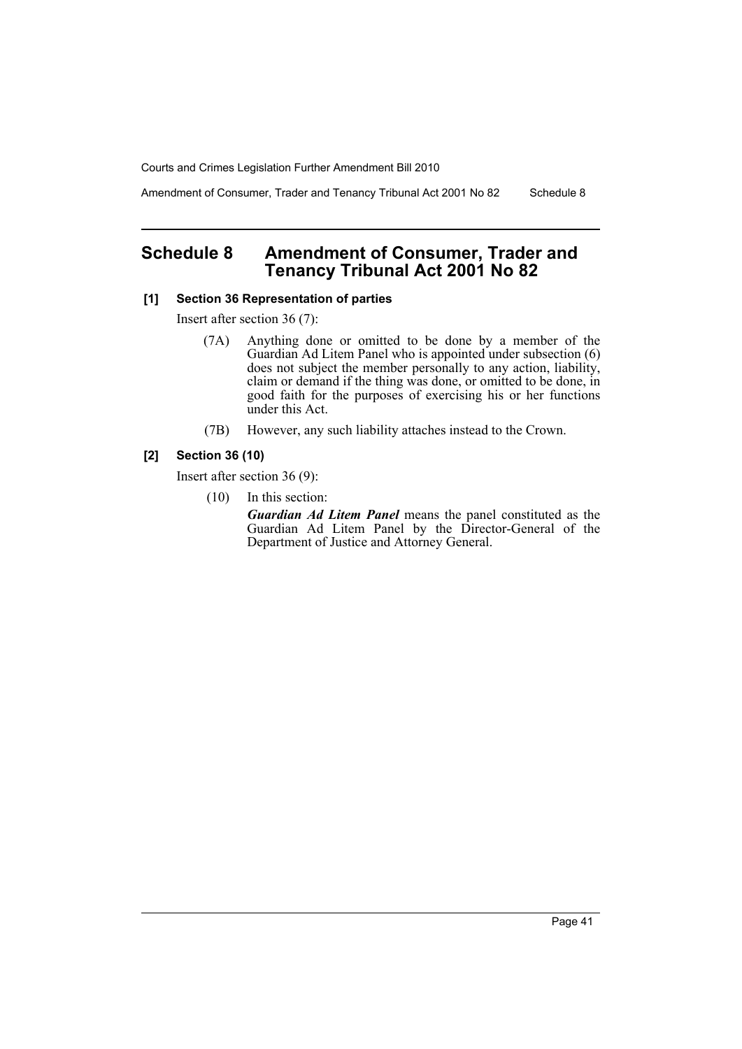Amendment of Consumer, Trader and Tenancy Tribunal Act 2001 No 82 Schedule 8

# **Schedule 8 Amendment of Consumer, Trader and Tenancy Tribunal Act 2001 No 82**

## **[1] Section 36 Representation of parties**

Insert after section 36 (7):

- (7A) Anything done or omitted to be done by a member of the Guardian Ad Litem Panel who is appointed under subsection (6) does not subject the member personally to any action, liability, claim or demand if the thing was done, or omitted to be done, in good faith for the purposes of exercising his or her functions under this Act.
- (7B) However, any such liability attaches instead to the Crown.

### **[2] Section 36 (10)**

Insert after section 36 (9):

(10) In this section:

*Guardian Ad Litem Panel* means the panel constituted as the Guardian Ad Litem Panel by the Director-General of the Department of Justice and Attorney General.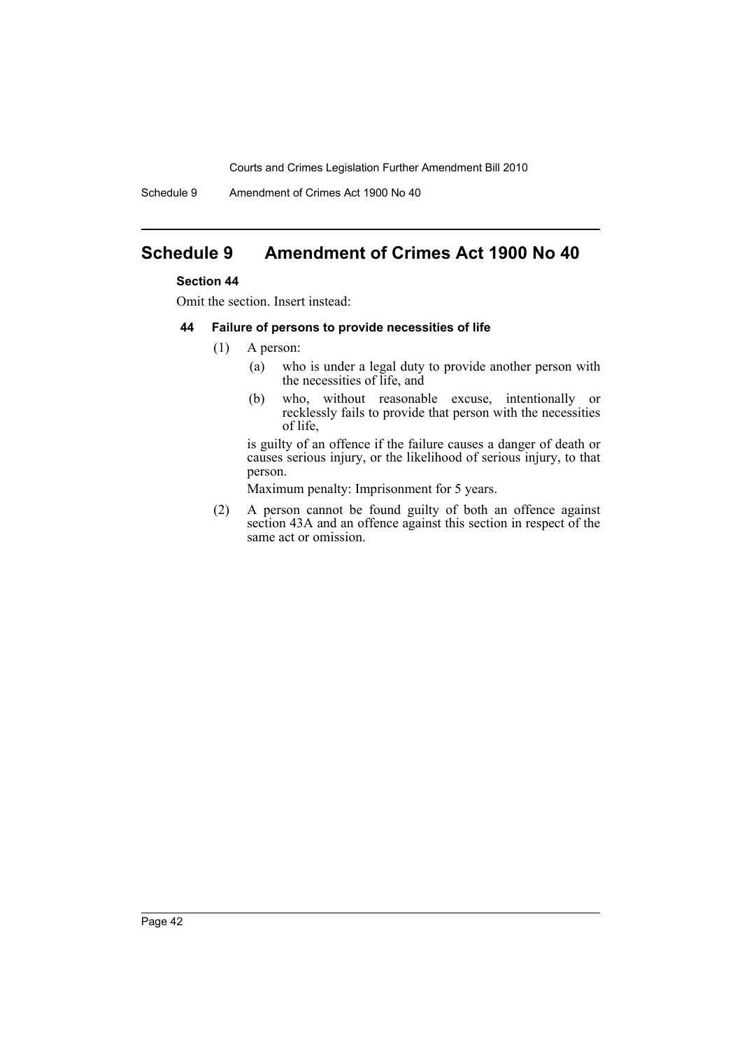Schedule 9 Amendment of Crimes Act 1900 No 40

# **Schedule 9 Amendment of Crimes Act 1900 No 40**

# **Section 44**

Omit the section. Insert instead:

### **44 Failure of persons to provide necessities of life**

- (1) A person:
	- (a) who is under a legal duty to provide another person with the necessities of life, and
	- (b) who, without reasonable excuse, intentionally or recklessly fails to provide that person with the necessities of life,

is guilty of an offence if the failure causes a danger of death or causes serious injury, or the likelihood of serious injury, to that person.

Maximum penalty: Imprisonment for 5 years.

(2) A person cannot be found guilty of both an offence against section 43A and an offence against this section in respect of the same act or omission.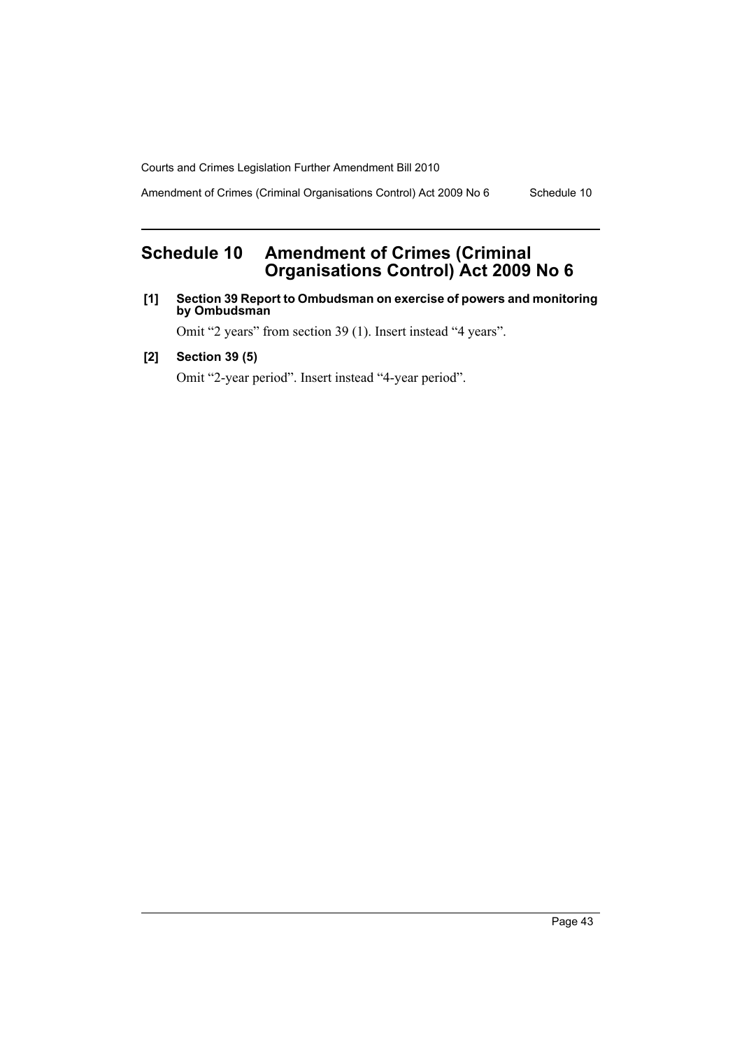Amendment of Crimes (Criminal Organisations Control) Act 2009 No 6 Schedule 10

# **Schedule 10 Amendment of Crimes (Criminal Organisations Control) Act 2009 No 6**

**[1] Section 39 Report to Ombudsman on exercise of powers and monitoring by Ombudsman**

Omit "2 years" from section 39 (1). Insert instead "4 years".

**[2] Section 39 (5)**

Omit "2-year period". Insert instead "4-year period".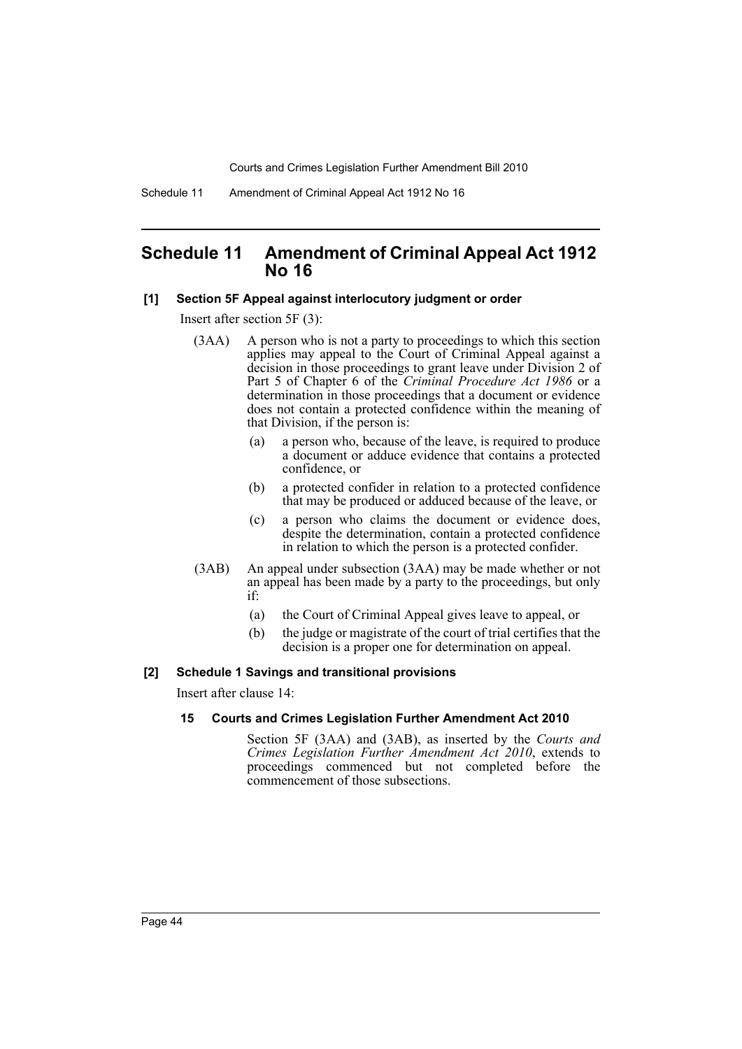Schedule 11 Amendment of Criminal Appeal Act 1912 No 16

# **Schedule 11 Amendment of Criminal Appeal Act 1912 No 16**

### **[1] Section 5F Appeal against interlocutory judgment or order**

Insert after section 5F (3):

- (3AA) A person who is not a party to proceedings to which this section applies may appeal to the Court of Criminal Appeal against a decision in those proceedings to grant leave under Division 2 of Part 5 of Chapter 6 of the *Criminal Procedure Act 1986* or a determination in those proceedings that a document or evidence does not contain a protected confidence within the meaning of that Division, if the person is:
	- (a) a person who, because of the leave, is required to produce a document or adduce evidence that contains a protected confidence, or
	- (b) a protected confider in relation to a protected confidence that may be produced or adduced because of the leave, or
	- (c) a person who claims the document or evidence does, despite the determination, contain a protected confidence in relation to which the person is a protected confider.
- (3AB) An appeal under subsection (3AA) may be made whether or not an appeal has been made by a party to the proceedings, but only if:
	- (a) the Court of Criminal Appeal gives leave to appeal, or
	- (b) the judge or magistrate of the court of trial certifies that the decision is a proper one for determination on appeal.

#### **[2] Schedule 1 Savings and transitional provisions**

Insert after clause 14:

### **15 Courts and Crimes Legislation Further Amendment Act 2010**

Section 5F (3AA) and (3AB), as inserted by the *Courts and Crimes Legislation Further Amendment Act 2010*, extends to proceedings commenced but not completed before the commencement of those subsections.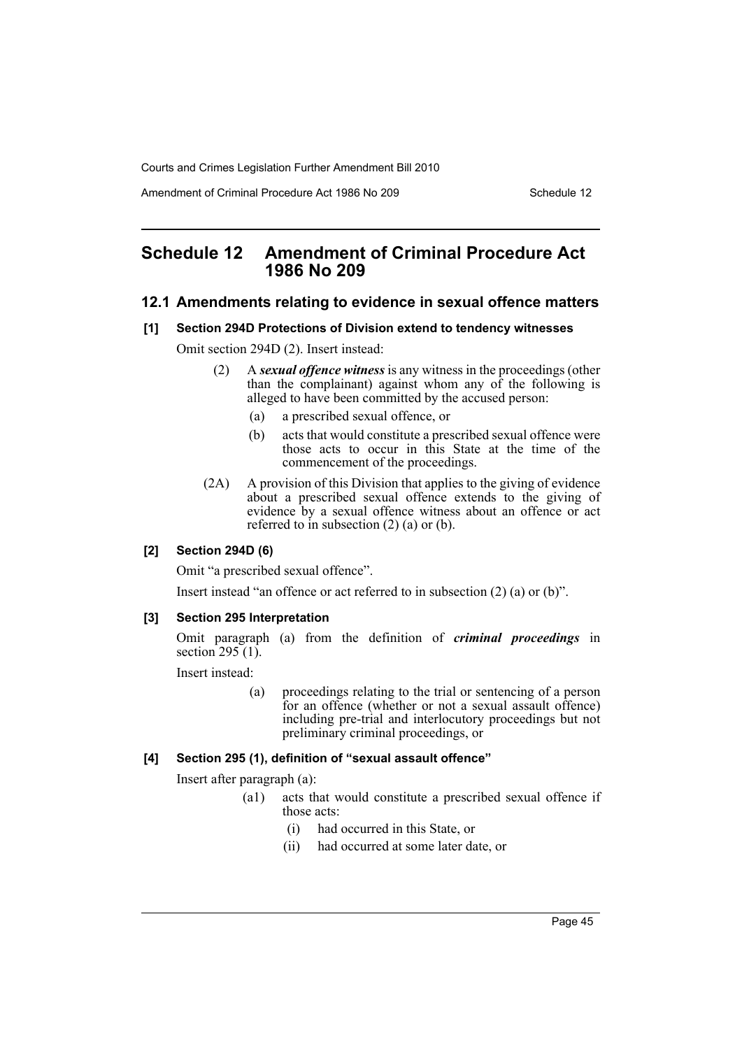Amendment of Criminal Procedure Act 1986 No 209 Schedule 12

# **Schedule 12 Amendment of Criminal Procedure Act 1986 No 209**

### **12.1 Amendments relating to evidence in sexual offence matters**

### **[1] Section 294D Protections of Division extend to tendency witnesses**

Omit section 294D (2). Insert instead:

- (2) A *sexual offence witness* is any witness in the proceedings (other than the complainant) against whom any of the following is alleged to have been committed by the accused person:
	- (a) a prescribed sexual offence, or
	- (b) acts that would constitute a prescribed sexual offence were those acts to occur in this State at the time of the commencement of the proceedings.
- (2A) A provision of this Division that applies to the giving of evidence about a prescribed sexual offence extends to the giving of evidence by a sexual offence witness about an offence or act referred to in subsection  $(2)$   $(a)$  or  $(b)$ .

# **[2] Section 294D (6)**

Omit "a prescribed sexual offence".

Insert instead "an offence or act referred to in subsection (2) (a) or (b)".

### **[3] Section 295 Interpretation**

Omit paragraph (a) from the definition of *criminal proceedings* in section  $295(1)$ .

Insert instead:

(a) proceedings relating to the trial or sentencing of a person for an offence (whether or not a sexual assault offence) including pre-trial and interlocutory proceedings but not preliminary criminal proceedings, or

# **[4] Section 295 (1), definition of "sexual assault offence"**

Insert after paragraph (a):

- (a1) acts that would constitute a prescribed sexual offence if those acts:
	- (i) had occurred in this State, or
	- (ii) had occurred at some later date, or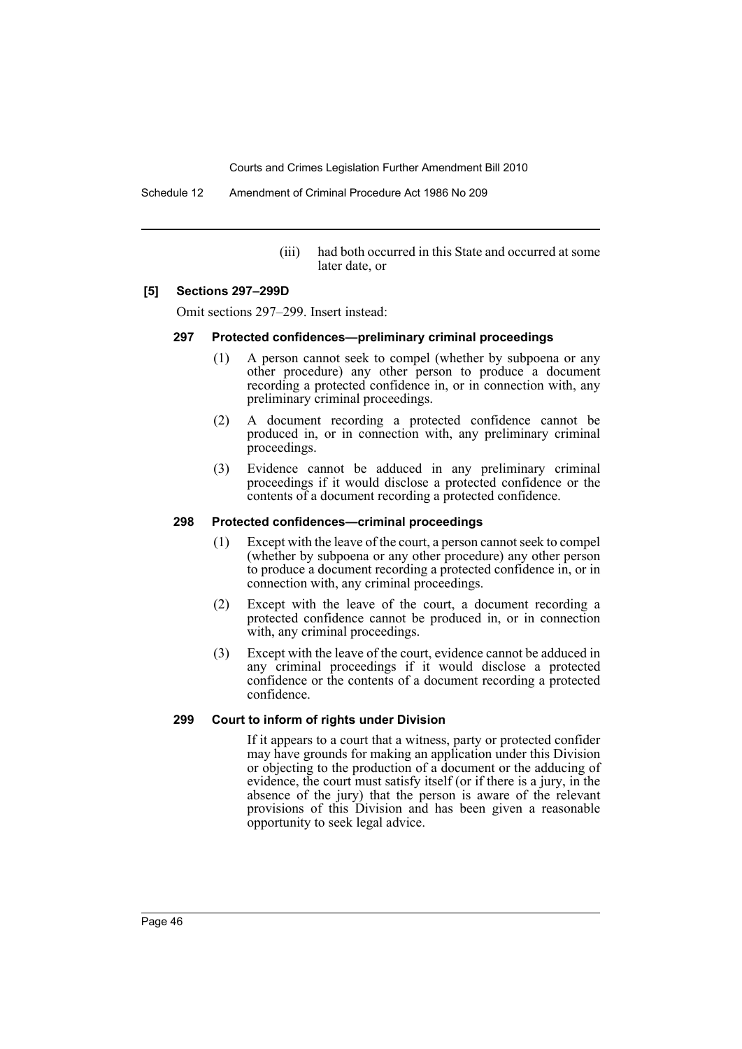Schedule 12 Amendment of Criminal Procedure Act 1986 No 209

(iii) had both occurred in this State and occurred at some later date, or

### **[5] Sections 297–299D**

Omit sections 297–299. Insert instead:

### **297 Protected confidences—preliminary criminal proceedings**

- (1) A person cannot seek to compel (whether by subpoena or any other procedure) any other person to produce a document recording a protected confidence in, or in connection with, any preliminary criminal proceedings.
- (2) A document recording a protected confidence cannot be produced in, or in connection with, any preliminary criminal proceedings.
- (3) Evidence cannot be adduced in any preliminary criminal proceedings if it would disclose a protected confidence or the contents of a document recording a protected confidence.

### **298 Protected confidences—criminal proceedings**

- (1) Except with the leave of the court, a person cannot seek to compel (whether by subpoena or any other procedure) any other person to produce a document recording a protected confidence in, or in connection with, any criminal proceedings.
- (2) Except with the leave of the court, a document recording a protected confidence cannot be produced in, or in connection with, any criminal proceedings.
- (3) Except with the leave of the court, evidence cannot be adduced in any criminal proceedings if it would disclose a protected confidence or the contents of a document recording a protected confidence.

# **299 Court to inform of rights under Division**

If it appears to a court that a witness, party or protected confider may have grounds for making an application under this Division or objecting to the production of a document or the adducing of evidence, the court must satisfy itself (or if there is a jury, in the absence of the jury) that the person is aware of the relevant provisions of this Division and has been given a reasonable opportunity to seek legal advice.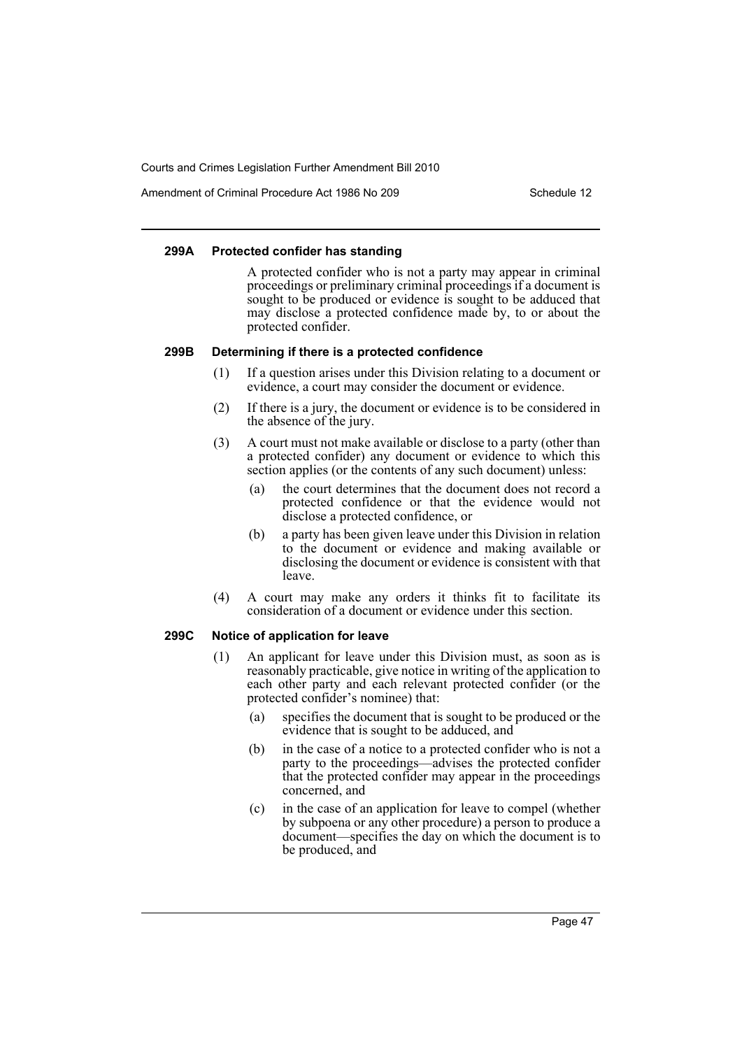Amendment of Criminal Procedure Act 1986 No 209

### **299A Protected confider has standing**

A protected confider who is not a party may appear in criminal proceedings or preliminary criminal proceedings if a document is sought to be produced or evidence is sought to be adduced that may disclose a protected confidence made by, to or about the protected confider.

### **299B Determining if there is a protected confidence**

- (1) If a question arises under this Division relating to a document or evidence, a court may consider the document or evidence.
- (2) If there is a jury, the document or evidence is to be considered in the absence of the jury.
- (3) A court must not make available or disclose to a party (other than a protected confider) any document or evidence to which this section applies (or the contents of any such document) unless:
	- (a) the court determines that the document does not record a protected confidence or that the evidence would not disclose a protected confidence, or
	- (b) a party has been given leave under this Division in relation to the document or evidence and making available or disclosing the document or evidence is consistent with that leave.
- (4) A court may make any orders it thinks fit to facilitate its consideration of a document or evidence under this section.

#### **299C Notice of application for leave**

- (1) An applicant for leave under this Division must, as soon as is reasonably practicable, give notice in writing of the application to each other party and each relevant protected confider (or the protected confider's nominee) that:
	- (a) specifies the document that is sought to be produced or the evidence that is sought to be adduced, and
	- (b) in the case of a notice to a protected confider who is not a party to the proceedings—advises the protected confider that the protected confider may appear in the proceedings concerned, and
	- (c) in the case of an application for leave to compel (whether by subpoena or any other procedure) a person to produce a document—specifies the day on which the document is to be produced, and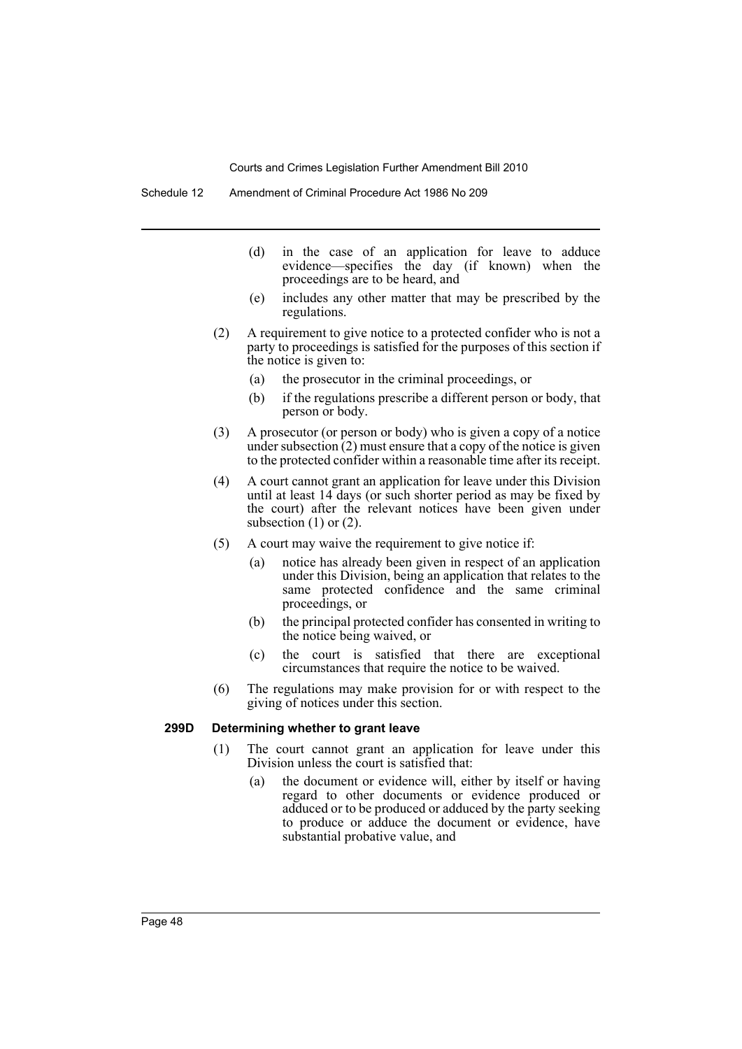- (d) in the case of an application for leave to adduce evidence—specifies the day (if known) when the proceedings are to be heard, and
- (e) includes any other matter that may be prescribed by the regulations.
- (2) A requirement to give notice to a protected confider who is not a party to proceedings is satisfied for the purposes of this section if the notice is given to:
	- (a) the prosecutor in the criminal proceedings, or
	- (b) if the regulations prescribe a different person or body, that person or body.
- (3) A prosecutor (or person or body) who is given a copy of a notice under subsection  $(2)$  must ensure that a copy of the notice is given to the protected confider within a reasonable time after its receipt.
- (4) A court cannot grant an application for leave under this Division until at least 14 days (or such shorter period as may be fixed by the court) after the relevant notices have been given under subsection  $(1)$  or  $(2)$ .
- (5) A court may waive the requirement to give notice if:
	- (a) notice has already been given in respect of an application under this Division, being an application that relates to the same protected confidence and the same criminal proceedings, or
	- (b) the principal protected confider has consented in writing to the notice being waived, or
	- (c) the court is satisfied that there are exceptional circumstances that require the notice to be waived.
- (6) The regulations may make provision for or with respect to the giving of notices under this section.

# **299D Determining whether to grant leave**

- (1) The court cannot grant an application for leave under this Division unless the court is satisfied that:
	- (a) the document or evidence will, either by itself or having regard to other documents or evidence produced or adduced or to be produced or adduced by the party seeking to produce or adduce the document or evidence, have substantial probative value, and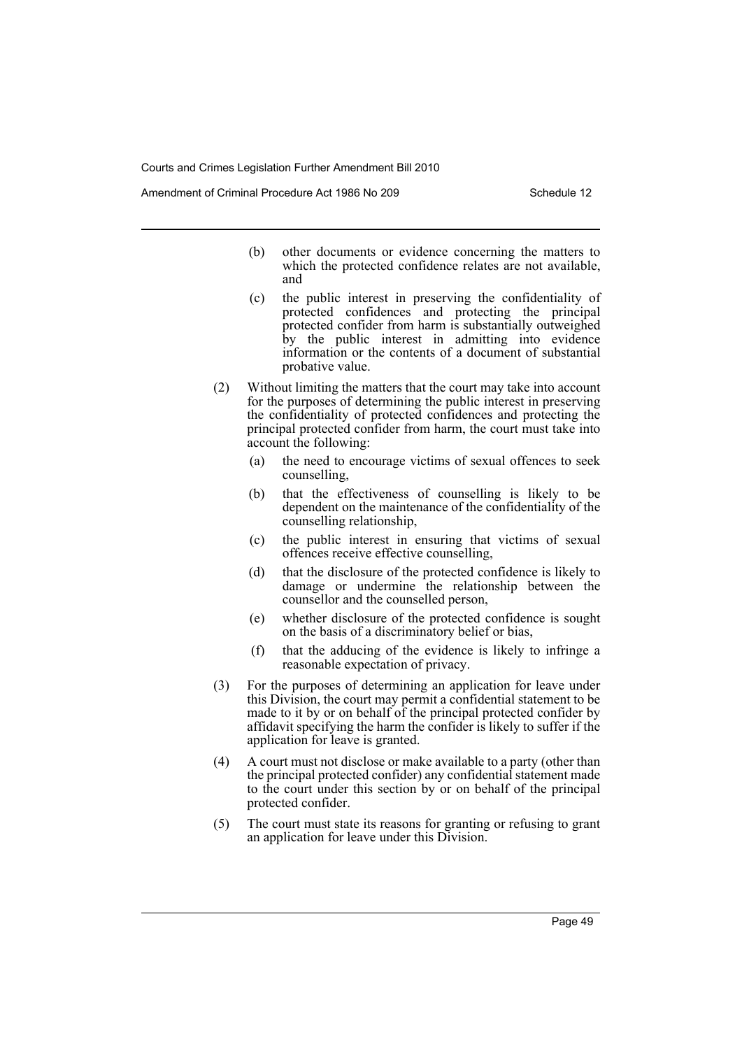Amendment of Criminal Procedure Act 1986 No 209

- (b) other documents or evidence concerning the matters to which the protected confidence relates are not available, and
- (c) the public interest in preserving the confidentiality of protected confidences and protecting the principal protected confider from harm is substantially outweighed by the public interest in admitting into evidence information or the contents of a document of substantial probative value.
- (2) Without limiting the matters that the court may take into account for the purposes of determining the public interest in preserving the confidentiality of protected confidences and protecting the principal protected confider from harm, the court must take into account the following:
	- (a) the need to encourage victims of sexual offences to seek counselling,
	- (b) that the effectiveness of counselling is likely to be dependent on the maintenance of the confidentiality of the counselling relationship,
	- (c) the public interest in ensuring that victims of sexual offences receive effective counselling,
	- (d) that the disclosure of the protected confidence is likely to damage or undermine the relationship between the counsellor and the counselled person,
	- (e) whether disclosure of the protected confidence is sought on the basis of a discriminatory belief or bias,
	- (f) that the adducing of the evidence is likely to infringe a reasonable expectation of privacy.
- (3) For the purposes of determining an application for leave under this Division, the court may permit a confidential statement to be made to it by or on behalf of the principal protected confider by affidavit specifying the harm the confider is likely to suffer if the application for leave is granted.
- (4) A court must not disclose or make available to a party (other than the principal protected confider) any confidential statement made to the court under this section by or on behalf of the principal protected confider.
- (5) The court must state its reasons for granting or refusing to grant an application for leave under this Division.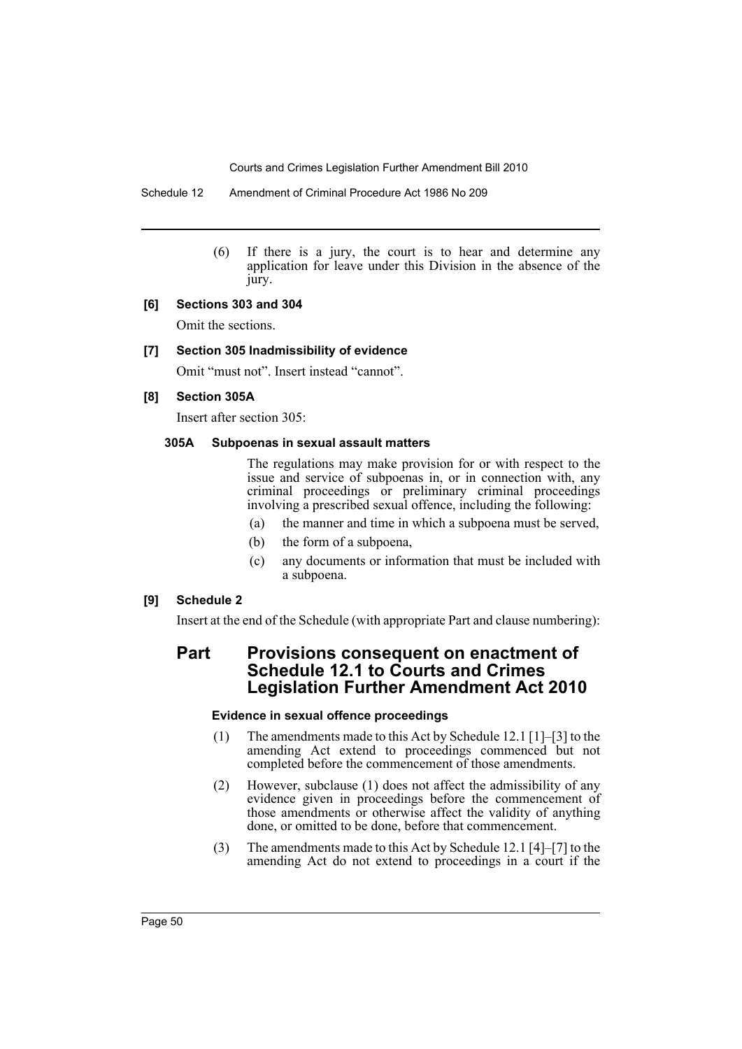Schedule 12 Amendment of Criminal Procedure Act 1986 No 209

(6) If there is a jury, the court is to hear and determine any application for leave under this Division in the absence of the jury.

### **[6] Sections 303 and 304**

Omit the sections.

# **[7] Section 305 Inadmissibility of evidence**

Omit "must not". Insert instead "cannot".

### **[8] Section 305A**

Insert after section 305:

### **305A Subpoenas in sexual assault matters**

The regulations may make provision for or with respect to the issue and service of subpoenas in, or in connection with, any criminal proceedings or preliminary criminal proceedings involving a prescribed sexual offence, including the following:

- (a) the manner and time in which a subpoena must be served,
- (b) the form of a subpoena,
- (c) any documents or information that must be included with a subpoena.

# **[9] Schedule 2**

Insert at the end of the Schedule (with appropriate Part and clause numbering):

# **Part Provisions consequent on enactment of Schedule 12.1 to Courts and Crimes Legislation Further Amendment Act 2010**

### **Evidence in sexual offence proceedings**

- (1) The amendments made to this Act by Schedule 12.1 [1]–[3] to the amending Act extend to proceedings commenced but not completed before the commencement of those amendments.
- (2) However, subclause (1) does not affect the admissibility of any evidence given in proceedings before the commencement of those amendments or otherwise affect the validity of anything done, or omitted to be done, before that commencement.
- (3) The amendments made to this Act by Schedule 12.1 [4]–[7] to the amending Act do not extend to proceedings in a court if the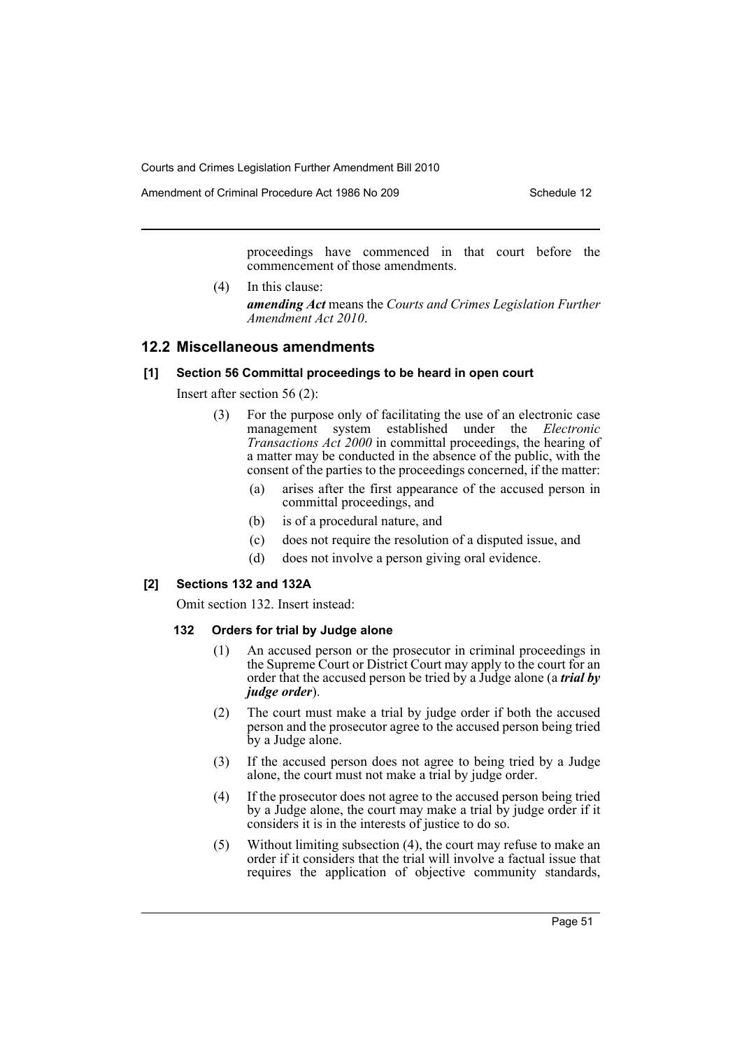Amendment of Criminal Procedure Act 1986 No 209 Schedule 12

proceedings have commenced in that court before the commencement of those amendments.

(4) In this clause: *amending Act* means the *Courts and Crimes Legislation Further Amendment Act 2010*.

# **12.2 Miscellaneous amendments**

### **[1] Section 56 Committal proceedings to be heard in open court**

Insert after section 56 (2):

- (3) For the purpose only of facilitating the use of an electronic case management system established under the *Electronic Transactions Act 2000* in committal proceedings, the hearing of a matter may be conducted in the absence of the public, with the consent of the parties to the proceedings concerned, if the matter:
	- (a) arises after the first appearance of the accused person in committal proceedings, and
	- (b) is of a procedural nature, and
	- (c) does not require the resolution of a disputed issue, and
	- (d) does not involve a person giving oral evidence.

### **[2] Sections 132 and 132A**

Omit section 132. Insert instead:

### **132 Orders for trial by Judge alone**

- (1) An accused person or the prosecutor in criminal proceedings in the Supreme Court or District Court may apply to the court for an order that the accused person be tried by a Judge alone (a *trial by judge order*).
- (2) The court must make a trial by judge order if both the accused person and the prosecutor agree to the accused person being tried by a Judge alone.
- (3) If the accused person does not agree to being tried by a Judge alone, the court must not make a trial by judge order.
- (4) If the prosecutor does not agree to the accused person being tried by a Judge alone, the court may make a trial by judge order if it considers it is in the interests of justice to do so.
- (5) Without limiting subsection (4), the court may refuse to make an order if it considers that the trial will involve a factual issue that requires the application of objective community standards,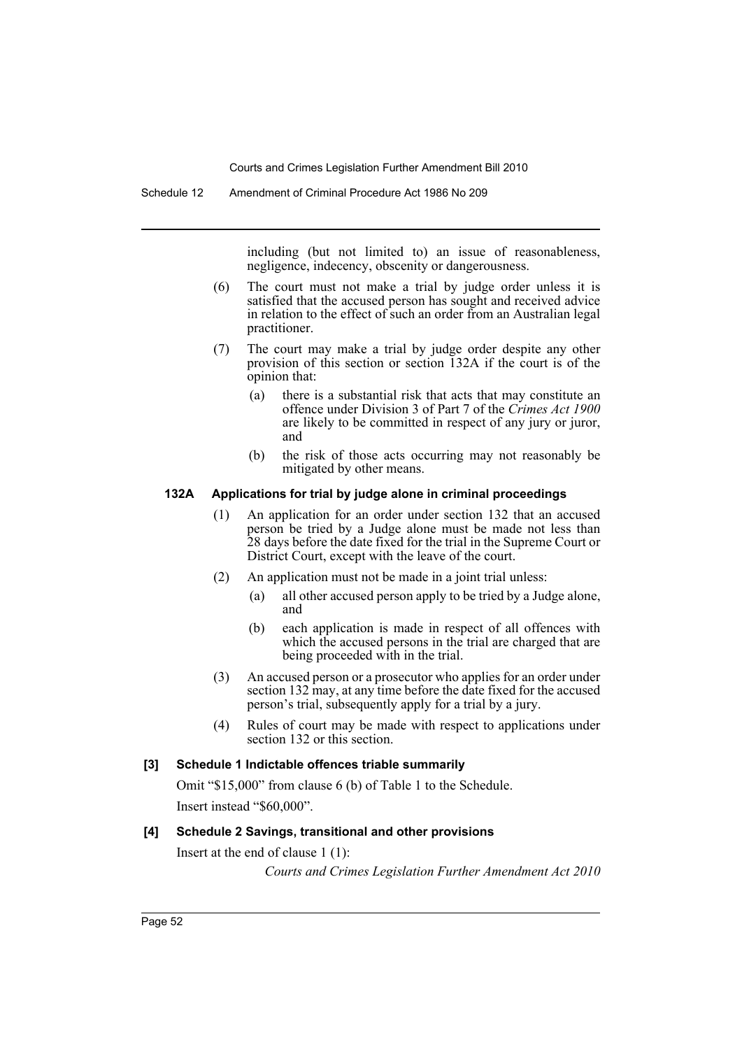Schedule 12 Amendment of Criminal Procedure Act 1986 No 209

including (but not limited to) an issue of reasonableness, negligence, indecency, obscenity or dangerousness.

- (6) The court must not make a trial by judge order unless it is satisfied that the accused person has sought and received advice in relation to the effect of such an order from an Australian legal practitioner.
- (7) The court may make a trial by judge order despite any other provision of this section or section 132A if the court is of the opinion that:
	- (a) there is a substantial risk that acts that may constitute an offence under Division 3 of Part 7 of the *Crimes Act 1900* are likely to be committed in respect of any jury or juror, and
	- (b) the risk of those acts occurring may not reasonably be mitigated by other means.

### **132A Applications for trial by judge alone in criminal proceedings**

- (1) An application for an order under section 132 that an accused person be tried by a Judge alone must be made not less than 28 days before the date fixed for the trial in the Supreme Court or District Court, except with the leave of the court.
- (2) An application must not be made in a joint trial unless:
	- (a) all other accused person apply to be tried by a Judge alone, and
	- (b) each application is made in respect of all offences with which the accused persons in the trial are charged that are being proceeded with in the trial.
- (3) An accused person or a prosecutor who applies for an order under section 132 may, at any time before the date fixed for the accused person's trial, subsequently apply for a trial by a jury.
- (4) Rules of court may be made with respect to applications under section 132 or this section.

### **[3] Schedule 1 Indictable offences triable summarily**

Omit "\$15,000" from clause 6 (b) of Table 1 to the Schedule. Insert instead "\$60,000".

# **[4] Schedule 2 Savings, transitional and other provisions**

Insert at the end of clause 1 (1): *Courts and Crimes Legislation Further Amendment Act 2010*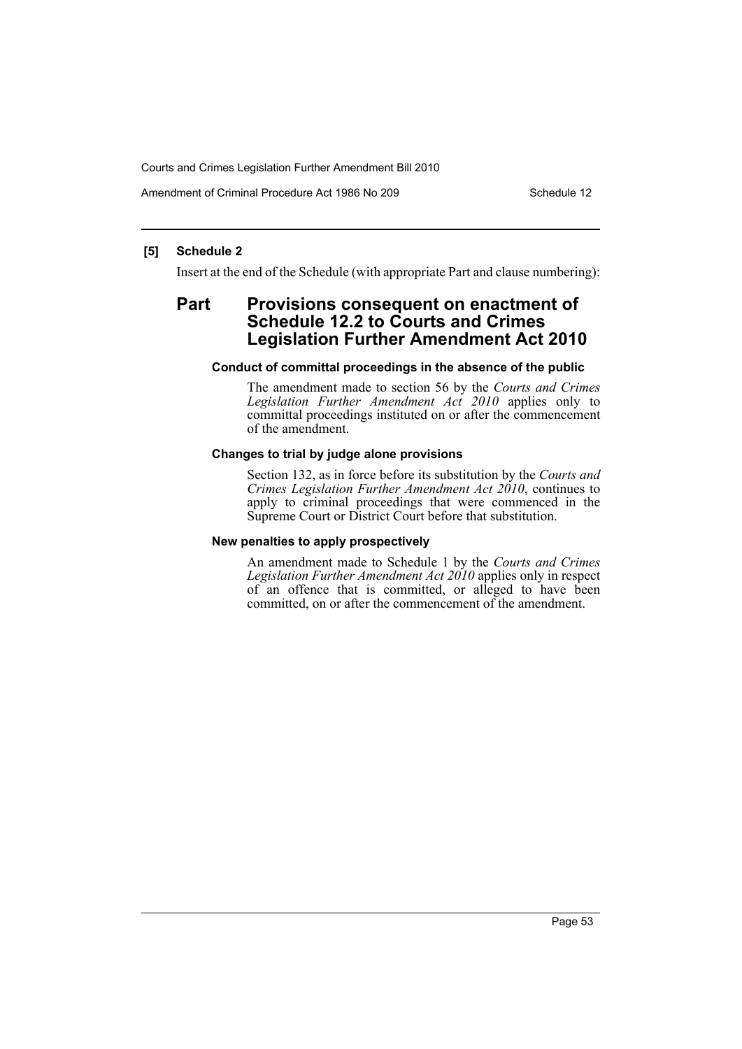Amendment of Criminal Procedure Act 1986 No 209 Schedule 12

### **[5] Schedule 2**

Insert at the end of the Schedule (with appropriate Part and clause numbering):

# **Part Provisions consequent on enactment of Schedule 12.2 to Courts and Crimes Legislation Further Amendment Act 2010**

#### **Conduct of committal proceedings in the absence of the public**

The amendment made to section 56 by the *Courts and Crimes Legislation Further Amendment Act 2010* applies only to committal proceedings instituted on or after the commencement of the amendment.

### **Changes to trial by judge alone provisions**

Section 132, as in force before its substitution by the *Courts and Crimes Legislation Further Amendment Act 2010*, continues to apply to criminal proceedings that were commenced in the Supreme Court or District Court before that substitution.

#### **New penalties to apply prospectively**

An amendment made to Schedule 1 by the *Courts and Crimes Legislation Further Amendment Act 2010* applies only in respect of an offence that is committed, or alleged to have been committed, on or after the commencement of the amendment.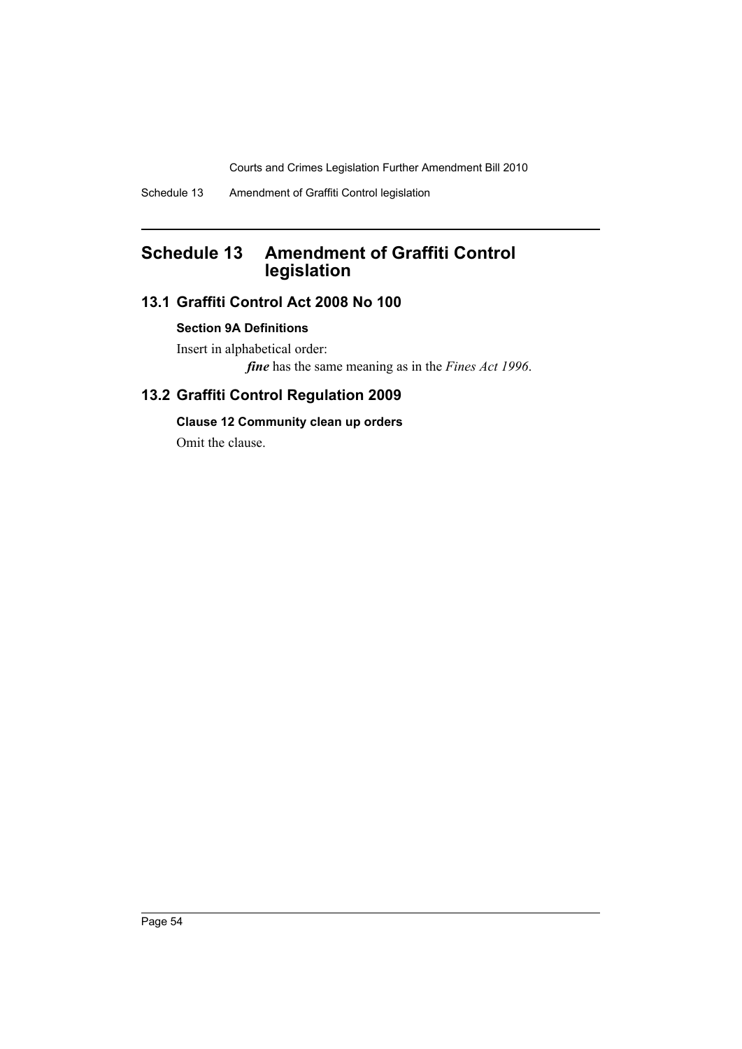# **Schedule 13 Amendment of Graffiti Control legislation**

# **13.1 Graffiti Control Act 2008 No 100**

# **Section 9A Definitions**

Insert in alphabetical order: *fine* has the same meaning as in the *Fines Act 1996*.

# **13.2 Graffiti Control Regulation 2009**

# **Clause 12 Community clean up orders**

Omit the clause.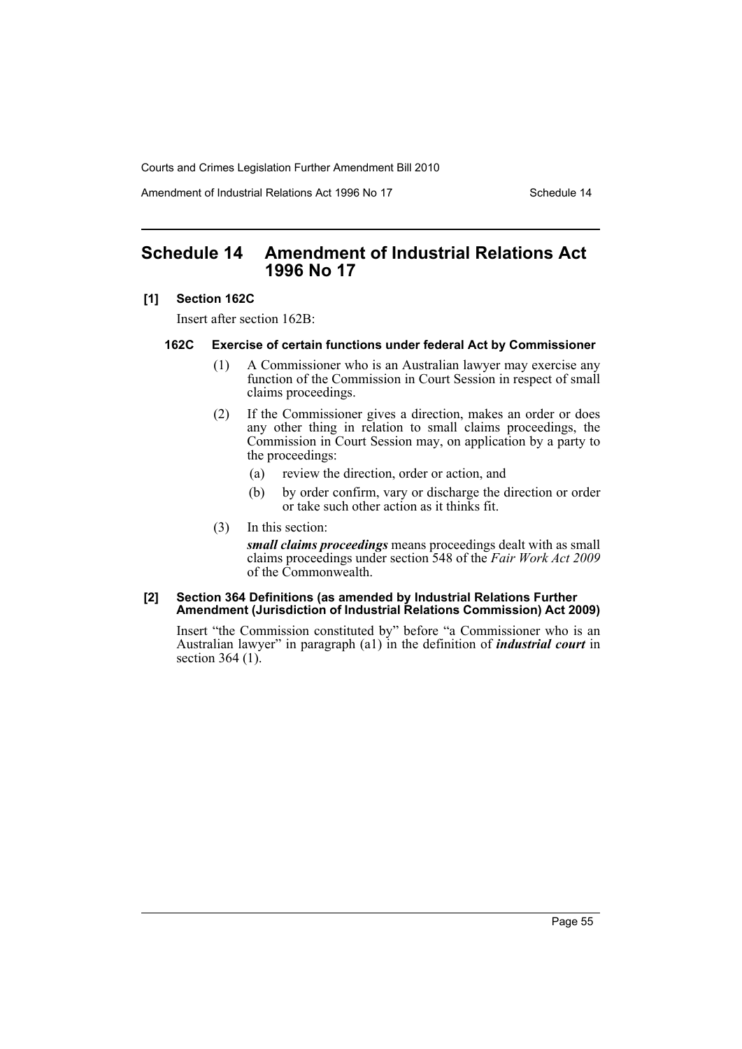Amendment of Industrial Relations Act 1996 No 17 Schedule 14

# **Schedule 14 Amendment of Industrial Relations Act 1996 No 17**

### **[1] Section 162C**

Insert after section 162B:

### **162C Exercise of certain functions under federal Act by Commissioner**

- (1) A Commissioner who is an Australian lawyer may exercise any function of the Commission in Court Session in respect of small claims proceedings.
- (2) If the Commissioner gives a direction, makes an order or does any other thing in relation to small claims proceedings, the Commission in Court Session may, on application by a party to the proceedings:
	- (a) review the direction, order or action, and
	- (b) by order confirm, vary or discharge the direction or order or take such other action as it thinks fit.
- (3) In this section:

*small claims proceedings* means proceedings dealt with as small claims proceedings under section 548 of the *Fair Work Act 2009* of the Commonwealth.

#### **[2] Section 364 Definitions (as amended by Industrial Relations Further Amendment (Jurisdiction of Industrial Relations Commission) Act 2009)**

Insert "the Commission constituted by" before "a Commissioner who is an Australian lawyer" in paragraph (a1) in the definition of *industrial court* in section 364 (1).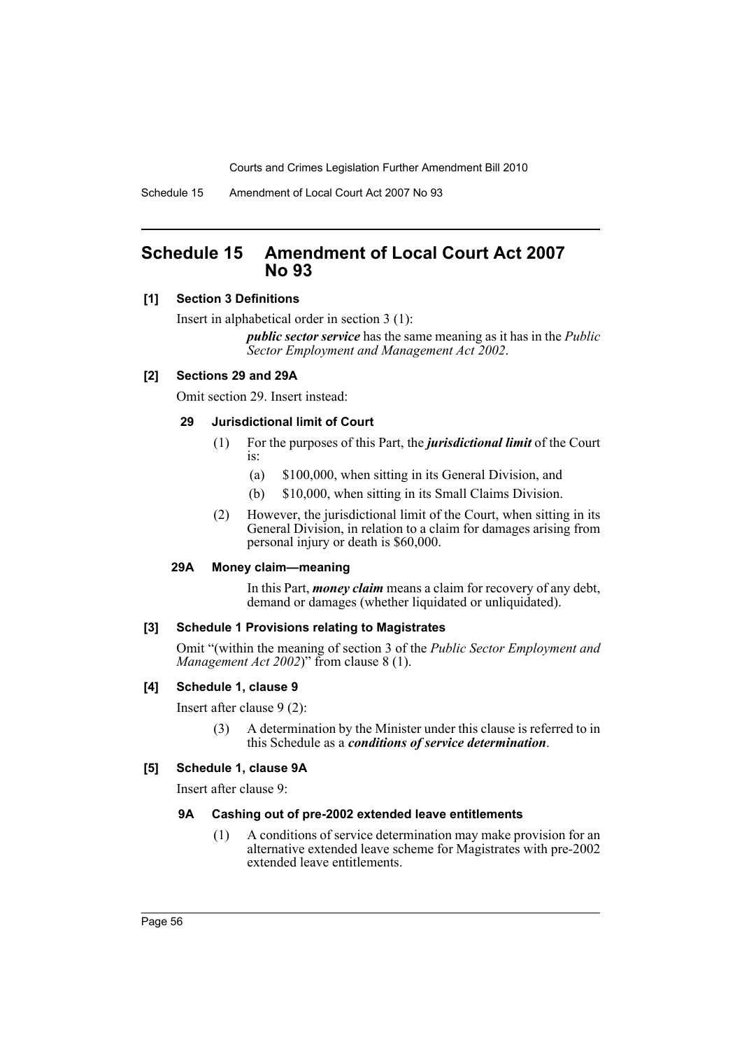Schedule 15 Amendment of Local Court Act 2007 No 93

# **Schedule 15 Amendment of Local Court Act 2007 No 93**

# **[1] Section 3 Definitions**

Insert in alphabetical order in section 3 (1):

*public sector service* has the same meaning as it has in the *Public Sector Employment and Management Act 2002*.

# **[2] Sections 29 and 29A**

Omit section 29. Insert instead:

# **29 Jurisdictional limit of Court**

- (1) For the purposes of this Part, the *jurisdictional limit* of the Court is:
	- (a) \$100,000, when sitting in its General Division, and
	- (b) \$10,000, when sitting in its Small Claims Division.
- (2) However, the jurisdictional limit of the Court, when sitting in its General Division, in relation to a claim for damages arising from personal injury or death is \$60,000.

# **29A Money claim—meaning**

In this Part, *money claim* means a claim for recovery of any debt, demand or damages (whether liquidated or unliquidated).

# **[3] Schedule 1 Provisions relating to Magistrates**

Omit "(within the meaning of section 3 of the *Public Sector Employment and Management Act 2002*)" from clause 8 (1).

# **[4] Schedule 1, clause 9**

Insert after clause 9 (2):

(3) A determination by the Minister under this clause is referred to in this Schedule as a *conditions of service determination*.

# **[5] Schedule 1, clause 9A**

Insert after clause 9:

# **9A Cashing out of pre-2002 extended leave entitlements**

(1) A conditions of service determination may make provision for an alternative extended leave scheme for Magistrates with pre-2002 extended leave entitlements.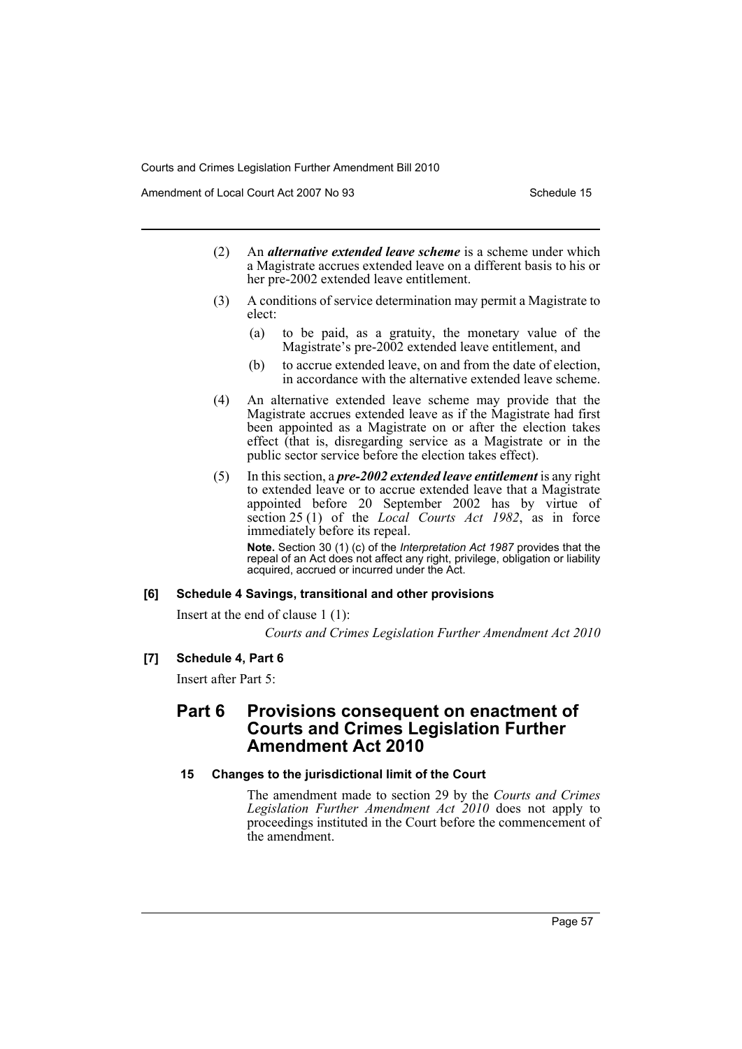Amendment of Local Court Act 2007 No 93 Schedule 15

- (2) An *alternative extended leave scheme* is a scheme under which a Magistrate accrues extended leave on a different basis to his or her pre-2002 extended leave entitlement.
- (3) A conditions of service determination may permit a Magistrate to elect:
	- (a) to be paid, as a gratuity, the monetary value of the Magistrate's pre-2002 extended leave entitlement, and
	- (b) to accrue extended leave, on and from the date of election, in accordance with the alternative extended leave scheme.
- (4) An alternative extended leave scheme may provide that the Magistrate accrues extended leave as if the Magistrate had first been appointed as a Magistrate on or after the election takes effect (that is, disregarding service as a Magistrate or in the public sector service before the election takes effect).
- (5) In this section, a *pre-2002 extended leave entitlement* is any right to extended leave or to accrue extended leave that a Magistrate appointed before 20 September 2002 has by virtue of section 25 (1) of the *Local Courts Act 1982*, as in force immediately before its repeal.

**Note.** Section 30 (1) (c) of the *Interpretation Act 1987* provides that the repeal of an Act does not affect any right, privilege, obligation or liability acquired, accrued or incurred under the Act.

# **[6] Schedule 4 Savings, transitional and other provisions**

Insert at the end of clause 1 (1):

*Courts and Crimes Legislation Further Amendment Act 2010*

# **[7] Schedule 4, Part 6**

Insert after Part 5:

# **Part 6 Provisions consequent on enactment of Courts and Crimes Legislation Further Amendment Act 2010**

# **15 Changes to the jurisdictional limit of the Court**

The amendment made to section 29 by the *Courts and Crimes Legislation Further Amendment Act 2010* does not apply to proceedings instituted in the Court before the commencement of the amendment.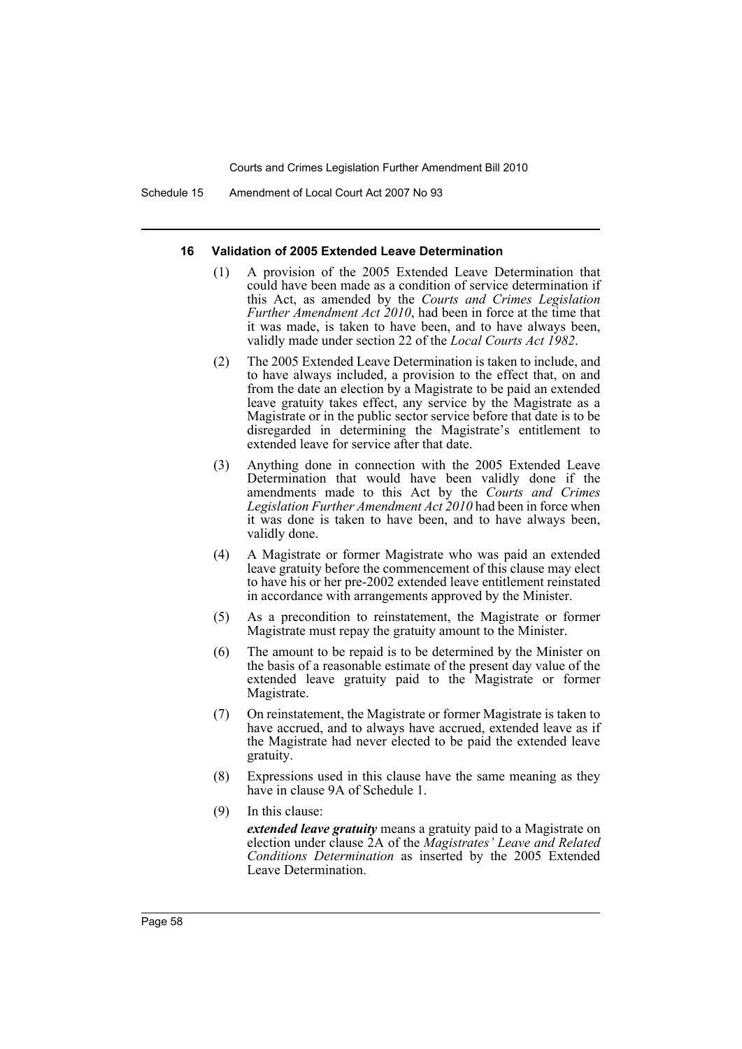Schedule 15 Amendment of Local Court Act 2007 No 93

#### **16 Validation of 2005 Extended Leave Determination**

- (1) A provision of the 2005 Extended Leave Determination that could have been made as a condition of service determination if this Act, as amended by the *Courts and Crimes Legislation Further Amendment Act 2010*, had been in force at the time that it was made, is taken to have been, and to have always been, validly made under section 22 of the *Local Courts Act 1982*.
- (2) The 2005 Extended Leave Determination is taken to include, and to have always included, a provision to the effect that, on and from the date an election by a Magistrate to be paid an extended leave gratuity takes effect, any service by the Magistrate as a Magistrate or in the public sector service before that date is to be disregarded in determining the Magistrate's entitlement to extended leave for service after that date.
- (3) Anything done in connection with the 2005 Extended Leave Determination that would have been validly done if the amendments made to this Act by the *Courts and Crimes Legislation Further Amendment Act 2010* had been in force when it was done is taken to have been, and to have always been, validly done.
- (4) A Magistrate or former Magistrate who was paid an extended leave gratuity before the commencement of this clause may elect to have his or her pre-2002 extended leave entitlement reinstated in accordance with arrangements approved by the Minister.
- (5) As a precondition to reinstatement, the Magistrate or former Magistrate must repay the gratuity amount to the Minister.
- (6) The amount to be repaid is to be determined by the Minister on the basis of a reasonable estimate of the present day value of the extended leave gratuity paid to the Magistrate or former Magistrate.
- (7) On reinstatement, the Magistrate or former Magistrate is taken to have accrued, and to always have accrued, extended leave as if the Magistrate had never elected to be paid the extended leave gratuity.
- (8) Expressions used in this clause have the same meaning as they have in clause 9A of Schedule 1.
- (9) In this clause:

*extended leave gratuity* means a gratuity paid to a Magistrate on election under clause 2A of the *Magistrates' Leave and Related Conditions Determination* as inserted by the 2005 Extended Leave Determination.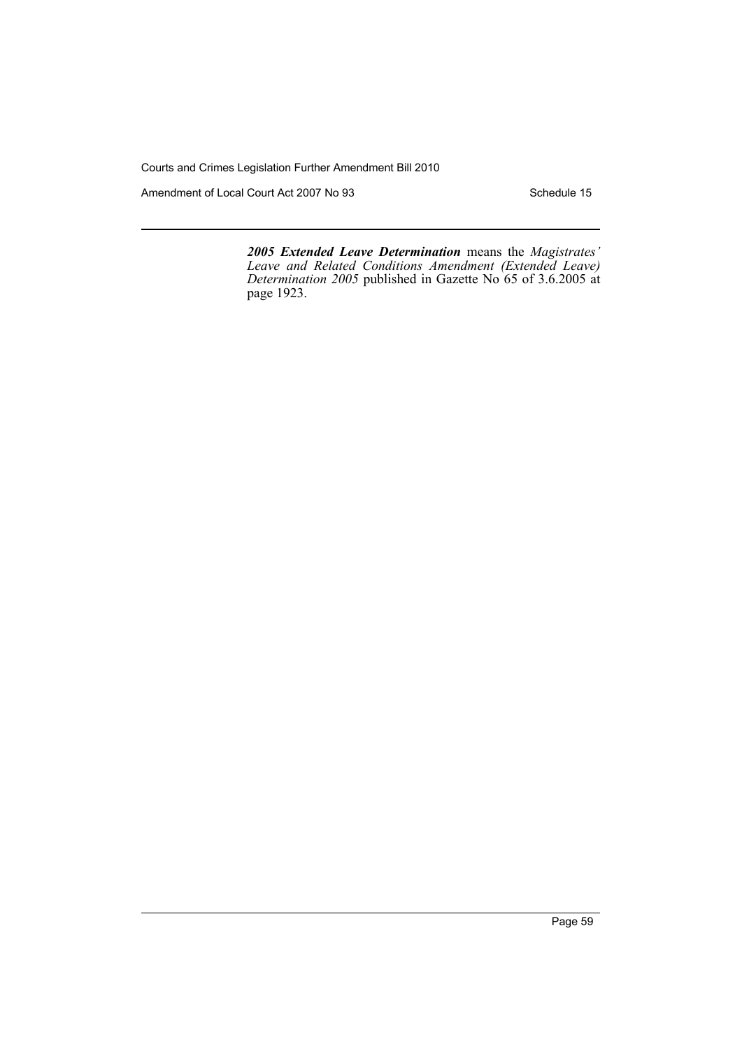Amendment of Local Court Act 2007 No 93 Schedule 15

*2005 Extended Leave Determination* means the *Magistrates' Leave and Related Conditions Amendment (Extended Leave) Determination 2005* published in Gazette No 65 of 3.6.2005 at page 1923.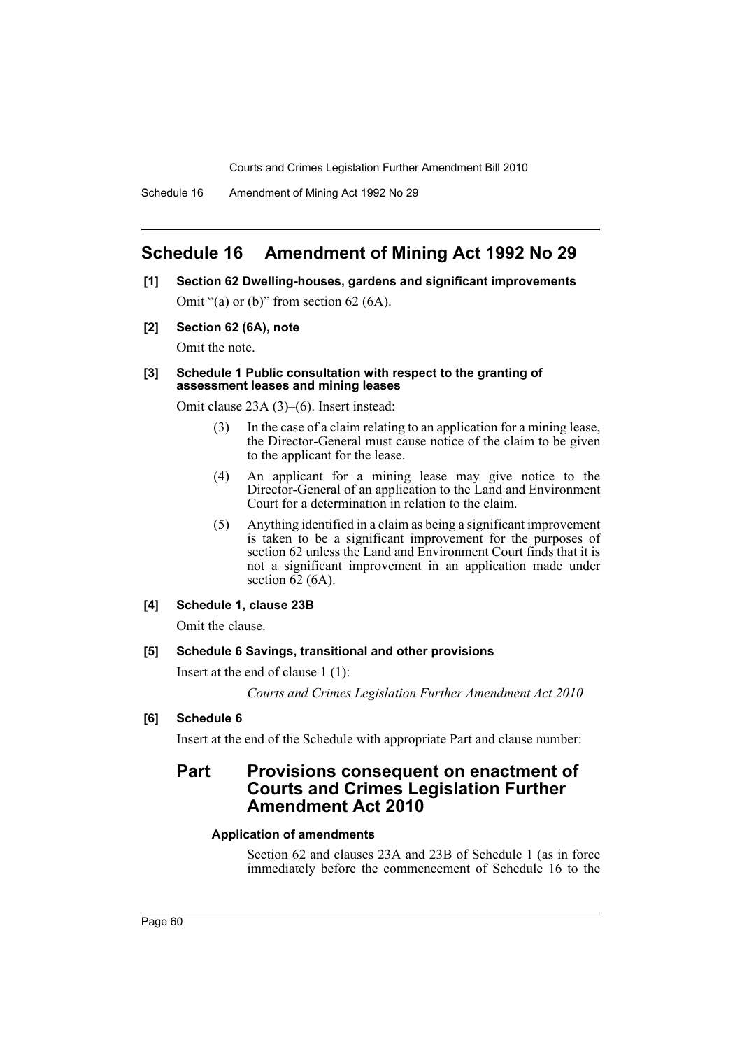# **Schedule 16 Amendment of Mining Act 1992 No 29**

- **[1] Section 62 Dwelling-houses, gardens and significant improvements** Omit "(a) or (b)" from section 62 (6A).
- **[2] Section 62 (6A), note**

Omit the note.

#### **[3] Schedule 1 Public consultation with respect to the granting of assessment leases and mining leases**

Omit clause 23A (3)–(6). Insert instead:

- (3) In the case of a claim relating to an application for a mining lease, the Director-General must cause notice of the claim to be given to the applicant for the lease.
- (4) An applicant for a mining lease may give notice to the Director-General of an application to the Land and Environment Court for a determination in relation to the claim.
- (5) Anything identified in a claim as being a significant improvement is taken to be a significant improvement for the purposes of section 62 unless the Land and Environment Court finds that it is not a significant improvement in an application made under section  $\overline{62}$  (6A).

### **[4] Schedule 1, clause 23B**

Omit the clause.

### **[5] Schedule 6 Savings, transitional and other provisions**

Insert at the end of clause 1 (1):

*Courts and Crimes Legislation Further Amendment Act 2010*

**[6] Schedule 6**

Insert at the end of the Schedule with appropriate Part and clause number:

# **Part Provisions consequent on enactment of Courts and Crimes Legislation Further Amendment Act 2010**

### **Application of amendments**

Section 62 and clauses 23A and 23B of Schedule 1 (as in force immediately before the commencement of Schedule 16 to the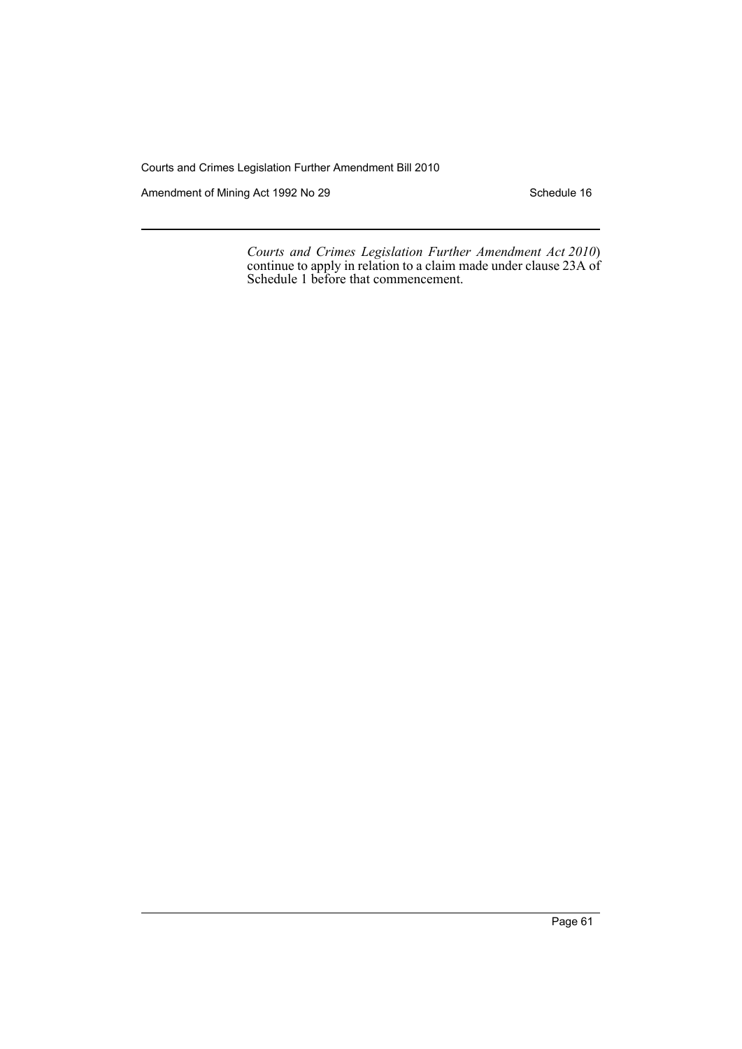Amendment of Mining Act 1992 No 29 Schedule 16

*Courts and Crimes Legislation Further Amendment Act 2010*) continue to apply in relation to a claim made under clause 23A of Schedule 1 before that commencement.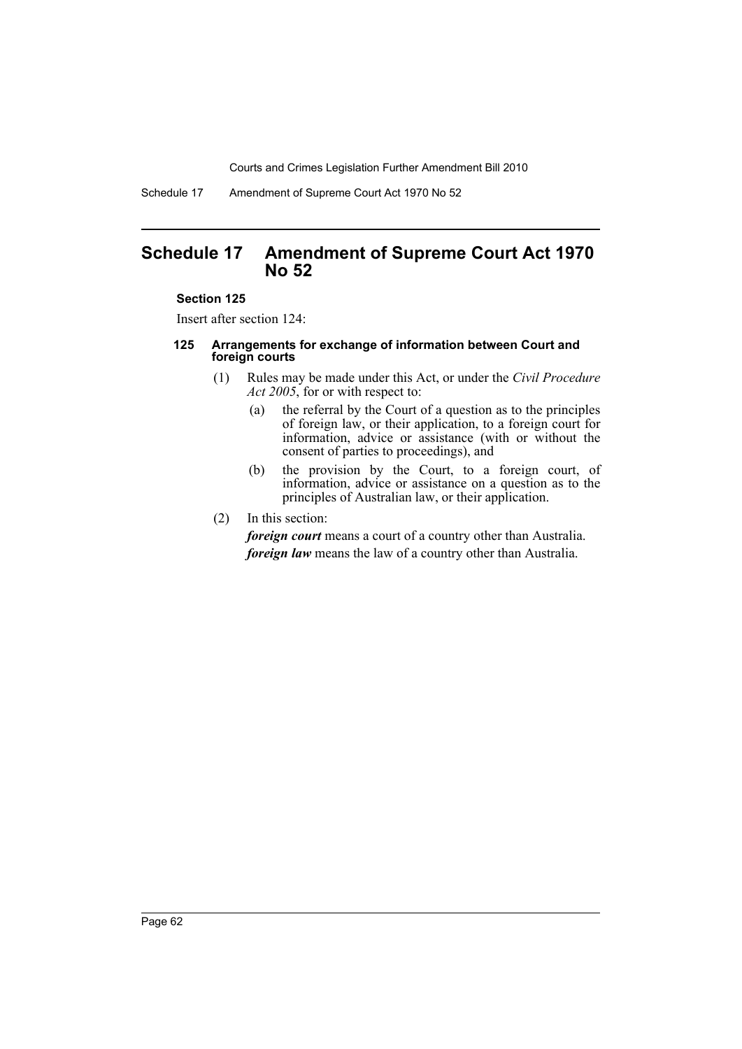Schedule 17 Amendment of Supreme Court Act 1970 No 52

# **Schedule 17 Amendment of Supreme Court Act 1970 No 52**

### **Section 125**

Insert after section 124:

### **125 Arrangements for exchange of information between Court and foreign courts**

- (1) Rules may be made under this Act, or under the *Civil Procedure Act 2005*, for or with respect to:
	- (a) the referral by the Court of a question as to the principles of foreign law, or their application, to a foreign court for information, advice or assistance (with or without the consent of parties to proceedings), and
	- (b) the provision by the Court, to a foreign court, of information, advice or assistance on a question as to the principles of Australian law, or their application.
- (2) In this section:

*foreign court* means a court of a country other than Australia. *foreign law* means the law of a country other than Australia.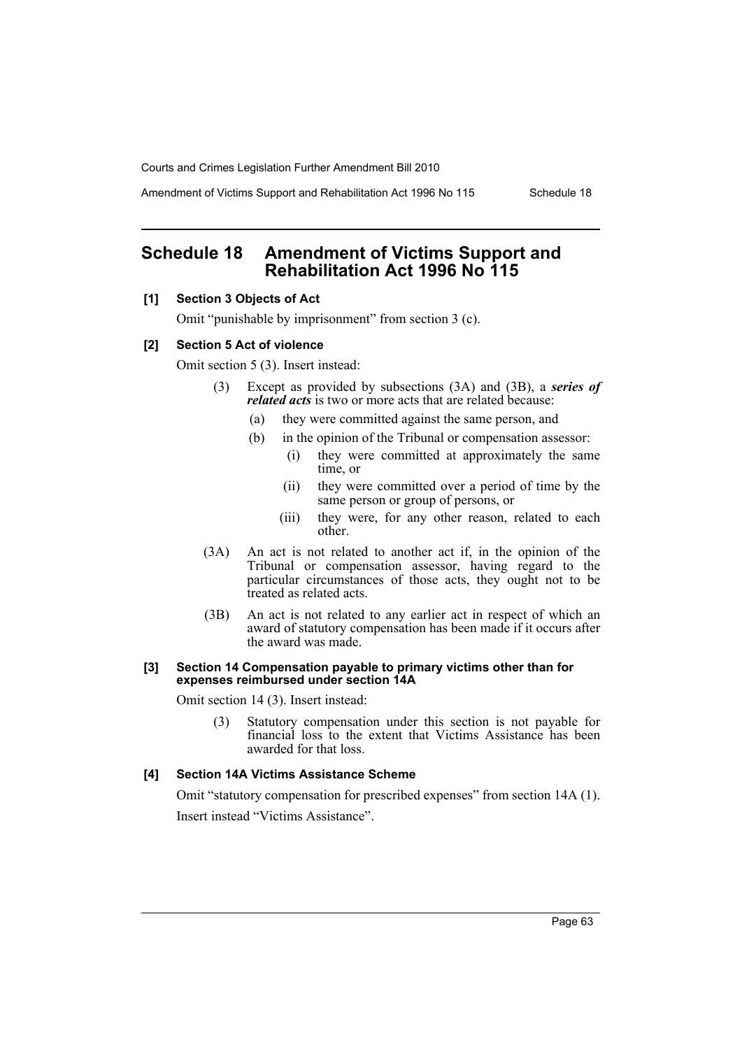Amendment of Victims Support and Rehabilitation Act 1996 No 115 Schedule 18

# **Schedule 18 Amendment of Victims Support and Rehabilitation Act 1996 No 115**

# **[1] Section 3 Objects of Act**

Omit "punishable by imprisonment" from section 3 (c).

#### **[2] Section 5 Act of violence**

Omit section 5 (3). Insert instead:

- (3) Except as provided by subsections (3A) and (3B), a *series of related acts* is two or more acts that are related because:
	- (a) they were committed against the same person, and
	- (b) in the opinion of the Tribunal or compensation assessor:
		- (i) they were committed at approximately the same time, or
		- (ii) they were committed over a period of time by the same person or group of persons, or
		- (iii) they were, for any other reason, related to each other.
- (3A) An act is not related to another act if, in the opinion of the Tribunal or compensation assessor, having regard to the particular circumstances of those acts, they ought not to be treated as related acts.
- (3B) An act is not related to any earlier act in respect of which an award of statutory compensation has been made if it occurs after the award was made.

#### **[3] Section 14 Compensation payable to primary victims other than for expenses reimbursed under section 14A**

Omit section 14 (3). Insert instead:

(3) Statutory compensation under this section is not payable for financial loss to the extent that Victims Assistance has been awarded for that loss.

# **[4] Section 14A Victims Assistance Scheme**

Omit "statutory compensation for prescribed expenses" from section 14A (1). Insert instead "Victims Assistance".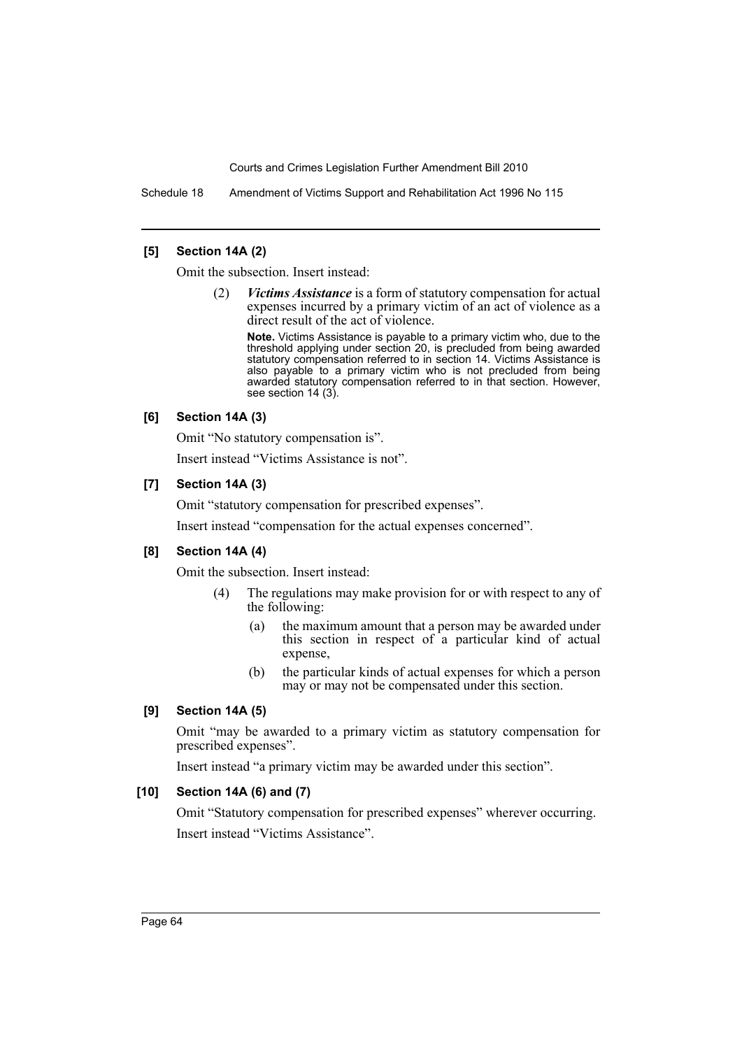Schedule 18 Amendment of Victims Support and Rehabilitation Act 1996 No 115

### **[5] Section 14A (2)**

Omit the subsection. Insert instead:

(2) *Victims Assistance* is a form of statutory compensation for actual expenses incurred by a primary victim of an act of violence as a direct result of the act of violence.

**Note.** Victims Assistance is payable to a primary victim who, due to the threshold applying under section 20, is precluded from being awarded statutory compensation referred to in section 14. Victims Assistance is also payable to a primary victim who is not precluded from being awarded statutory compensation referred to in that section. However, see section 14 (3).

### **[6] Section 14A (3)**

Omit "No statutory compensation is".

Insert instead "Victims Assistance is not".

### **[7] Section 14A (3)**

Omit "statutory compensation for prescribed expenses".

Insert instead "compensation for the actual expenses concerned".

### **[8] Section 14A (4)**

Omit the subsection. Insert instead:

- (4) The regulations may make provision for or with respect to any of the following:
	- (a) the maximum amount that a person may be awarded under this section in respect of a particular kind of actual expense,
	- (b) the particular kinds of actual expenses for which a person may or may not be compensated under this section.

# **[9] Section 14A (5)**

Omit "may be awarded to a primary victim as statutory compensation for prescribed expenses".

Insert instead "a primary victim may be awarded under this section".

# **[10] Section 14A (6) and (7)**

Omit "Statutory compensation for prescribed expenses" wherever occurring. Insert instead "Victims Assistance".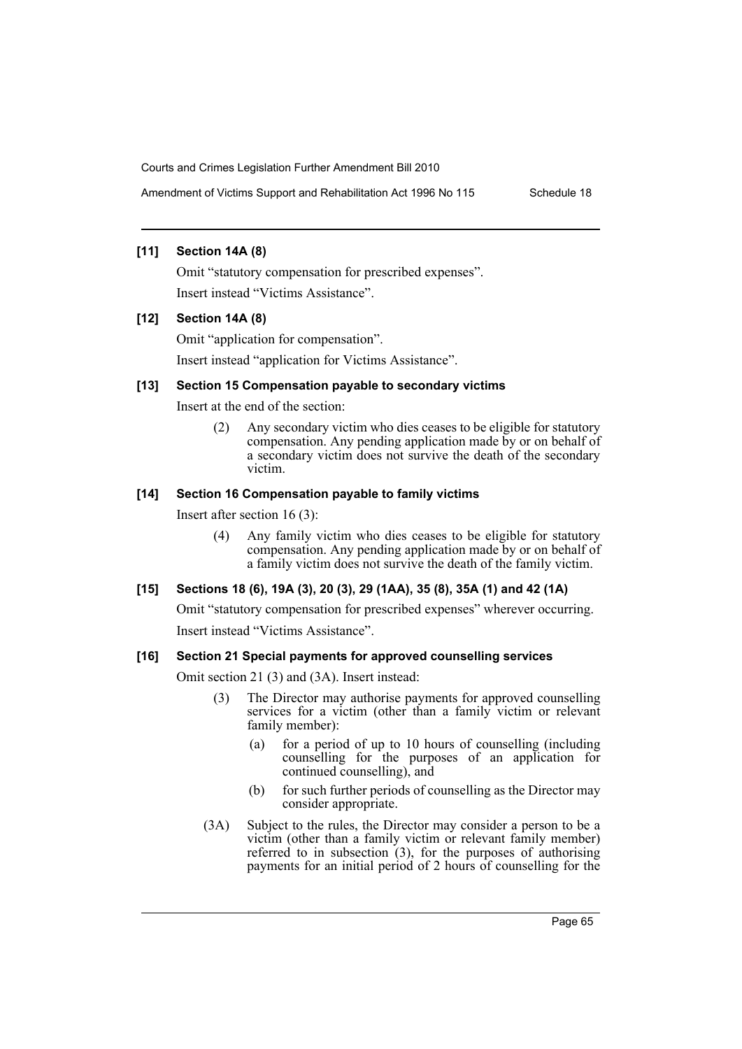Amendment of Victims Support and Rehabilitation Act 1996 No 115 Schedule 18

# **[11] Section 14A (8)**

Omit "statutory compensation for prescribed expenses". Insert instead "Victims Assistance".

# **[12] Section 14A (8)**

Omit "application for compensation". Insert instead "application for Victims Assistance".

# **[13] Section 15 Compensation payable to secondary victims**

Insert at the end of the section:

(2) Any secondary victim who dies ceases to be eligible for statutory compensation. Any pending application made by or on behalf of a secondary victim does not survive the death of the secondary victim.

### **[14] Section 16 Compensation payable to family victims**

Insert after section 16 (3):

(4) Any family victim who dies ceases to be eligible for statutory compensation. Any pending application made by or on behalf of a family victim does not survive the death of the family victim.

# **[15] Sections 18 (6), 19A (3), 20 (3), 29 (1AA), 35 (8), 35A (1) and 42 (1A)**

Omit "statutory compensation for prescribed expenses" wherever occurring. Insert instead "Victims Assistance".

# **[16] Section 21 Special payments for approved counselling services**

Omit section 21 (3) and (3A). Insert instead:

- (3) The Director may authorise payments for approved counselling services for a victim (other than a family victim or relevant family member):
	- (a) for a period of up to 10 hours of counselling (including counselling for the purposes of an application for continued counselling), and
	- (b) for such further periods of counselling as the Director may consider appropriate.
- (3A) Subject to the rules, the Director may consider a person to be a victim (other than a family victim or relevant family member) referred to in subsection (3), for the purposes of authorising payments for an initial period of 2 hours of counselling for the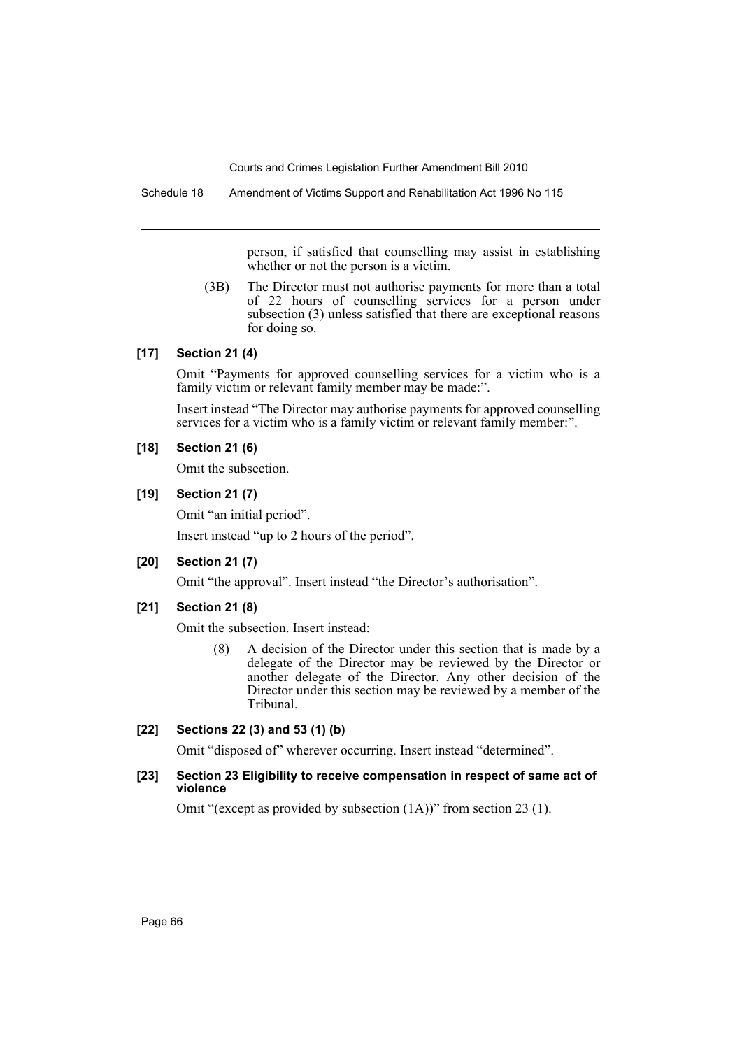Schedule 18 Amendment of Victims Support and Rehabilitation Act 1996 No 115

person, if satisfied that counselling may assist in establishing whether or not the person is a victim.

(3B) The Director must not authorise payments for more than a total of 22 hours of counselling services for a person under subsection (3) unless satisfied that there are exceptional reasons for doing so.

# **[17] Section 21 (4)**

Omit "Payments for approved counselling services for a victim who is a family victim or relevant family member may be made:".

Insert instead "The Director may authorise payments for approved counselling services for a victim who is a family victim or relevant family member:".

# **[18] Section 21 (6)**

Omit the subsection.

**[19] Section 21 (7)**

Omit "an initial period".

Insert instead "up to 2 hours of the period".

# **[20] Section 21 (7)**

Omit "the approval". Insert instead "the Director's authorisation".

# **[21] Section 21 (8)**

Omit the subsection. Insert instead:

(8) A decision of the Director under this section that is made by a delegate of the Director may be reviewed by the Director or another delegate of the Director. Any other decision of the Director under this section may be reviewed by a member of the Tribunal.

# **[22] Sections 22 (3) and 53 (1) (b)**

Omit "disposed of" wherever occurring. Insert instead "determined".

### **[23] Section 23 Eligibility to receive compensation in respect of same act of violence**

Omit "(except as provided by subsection (1A))" from section 23 (1).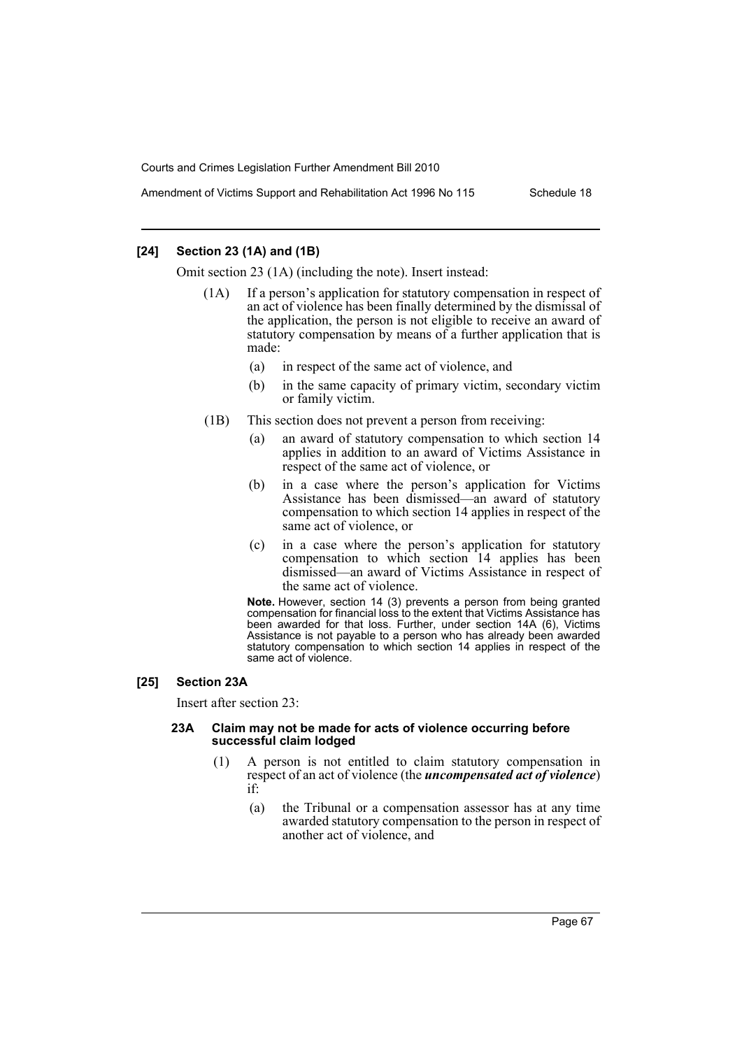Amendment of Victims Support and Rehabilitation Act 1996 No 115 Schedule 18

### **[24] Section 23 (1A) and (1B)**

Omit section 23 (1A) (including the note). Insert instead:

- (1A) If a person's application for statutory compensation in respect of an act of violence has been finally determined by the dismissal of the application, the person is not eligible to receive an award of statutory compensation by means of a further application that is made:
	- (a) in respect of the same act of violence, and
	- (b) in the same capacity of primary victim, secondary victim or family victim.
- (1B) This section does not prevent a person from receiving:
	- (a) an award of statutory compensation to which section 14 applies in addition to an award of Victims Assistance in respect of the same act of violence, or
	- (b) in a case where the person's application for Victims Assistance has been dismissed—an award of statutory compensation to which section 14 applies in respect of the same act of violence, or
	- (c) in a case where the person's application for statutory compensation to which section 14 applies has been dismissed—an award of Victims Assistance in respect of the same act of violence.

**Note.** However, section 14 (3) prevents a person from being granted compensation for financial loss to the extent that Victims Assistance has been awarded for that loss. Further, under section 14A (6), Victims Assistance is not payable to a person who has already been awarded statutory compensation to which section 14 applies in respect of the same act of violence.

### **[25] Section 23A**

Insert after section 23:

#### **23A Claim may not be made for acts of violence occurring before successful claim lodged**

- (1) A person is not entitled to claim statutory compensation in respect of an act of violence (the *uncompensated act of violence*) if:
	- (a) the Tribunal or a compensation assessor has at any time awarded statutory compensation to the person in respect of another act of violence, and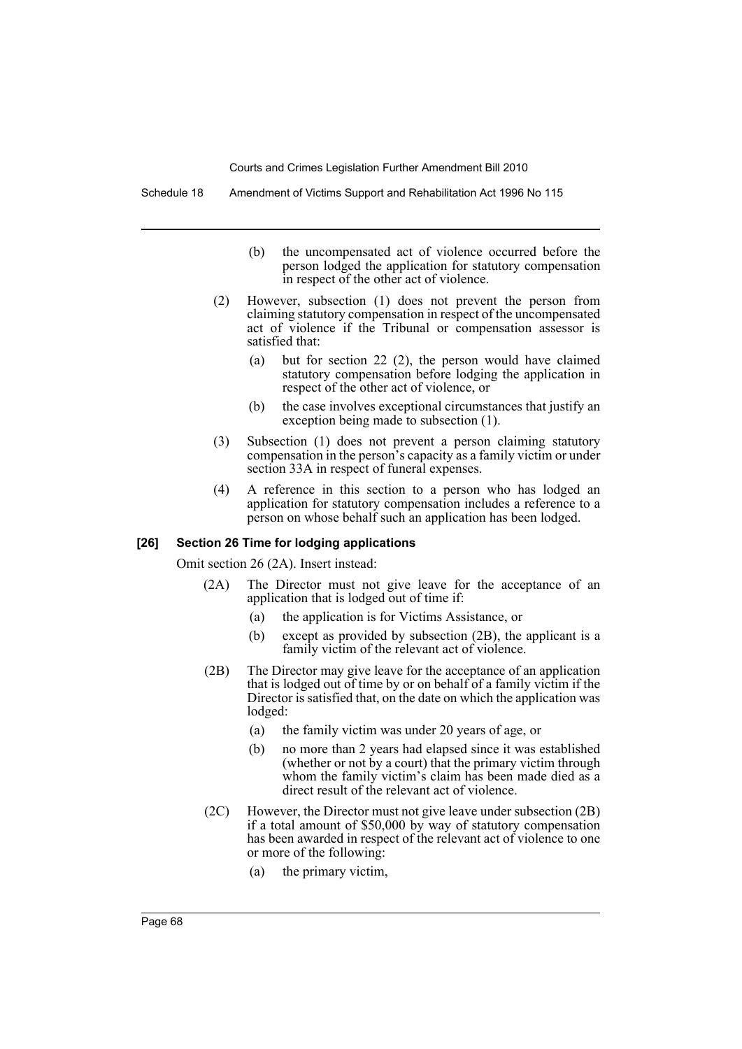Schedule 18 Amendment of Victims Support and Rehabilitation Act 1996 No 115

- (b) the uncompensated act of violence occurred before the person lodged the application for statutory compensation in respect of the other act of violence.
- (2) However, subsection (1) does not prevent the person from claiming statutory compensation in respect of the uncompensated act of violence if the Tribunal or compensation assessor is satisfied that:
	- (a) but for section 22 (2), the person would have claimed statutory compensation before lodging the application in respect of the other act of violence, or
	- (b) the case involves exceptional circumstances that justify an exception being made to subsection (1).
- (3) Subsection (1) does not prevent a person claiming statutory compensation in the person's capacity as a family victim or under section 33A in respect of funeral expenses.
- (4) A reference in this section to a person who has lodged an application for statutory compensation includes a reference to a person on whose behalf such an application has been lodged.

### **[26] Section 26 Time for lodging applications**

Omit section 26 (2A). Insert instead:

- (2A) The Director must not give leave for the acceptance of an application that is lodged out of time if:
	- (a) the application is for Victims Assistance, or
	- (b) except as provided by subsection (2B), the applicant is a family victim of the relevant act of violence.
- (2B) The Director may give leave for the acceptance of an application that is lodged out of time by or on behalf of a family victim if the Director is satisfied that, on the date on which the application was lodged:
	- (a) the family victim was under 20 years of age, or
	- (b) no more than 2 years had elapsed since it was established (whether or not by a court) that the primary victim through whom the family victim's claim has been made died as a direct result of the relevant act of violence.
- (2C) However, the Director must not give leave under subsection (2B) if a total amount of \$50,000 by way of statutory compensation has been awarded in respect of the relevant act of violence to one or more of the following:
	- (a) the primary victim,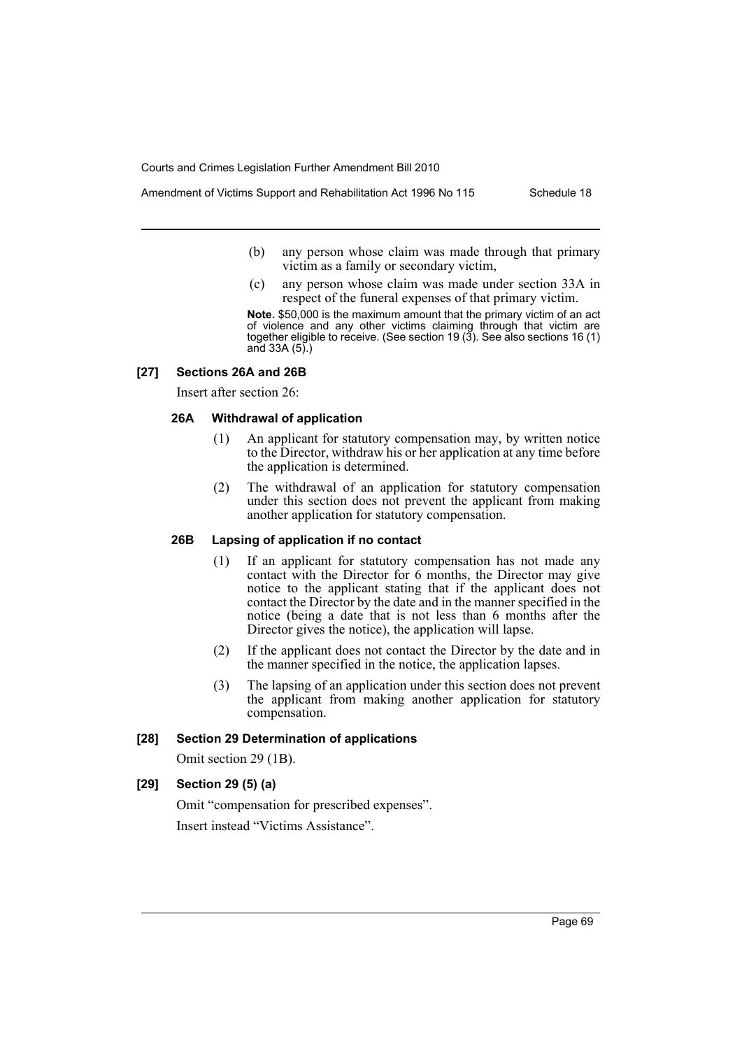Amendment of Victims Support and Rehabilitation Act 1996 No 115 Schedule 18

- (b) any person whose claim was made through that primary victim as a family or secondary victim,
- (c) any person whose claim was made under section 33A in respect of the funeral expenses of that primary victim.

**Note.** \$50,000 is the maximum amount that the primary victim of an act of violence and any other victims claiming through that victim are together eligible to receive. (See section 19 (3). See also sections 16 (1) and 33A (5).)

#### **[27] Sections 26A and 26B**

Insert after section 26:

### **26A Withdrawal of application**

- (1) An applicant for statutory compensation may, by written notice to the Director, withdraw his or her application at any time before the application is determined.
- (2) The withdrawal of an application for statutory compensation under this section does not prevent the applicant from making another application for statutory compensation.

# **26B Lapsing of application if no contact**

- (1) If an applicant for statutory compensation has not made any contact with the Director for 6 months, the Director may give notice to the applicant stating that if the applicant does not contact the Director by the date and in the manner specified in the notice (being a date that is not less than 6 months after the Director gives the notice), the application will lapse.
- (2) If the applicant does not contact the Director by the date and in the manner specified in the notice, the application lapses.
- (3) The lapsing of an application under this section does not prevent the applicant from making another application for statutory compensation.

### **[28] Section 29 Determination of applications**

Omit section 29 (1B).

### **[29] Section 29 (5) (a)**

Omit "compensation for prescribed expenses". Insert instead "Victims Assistance".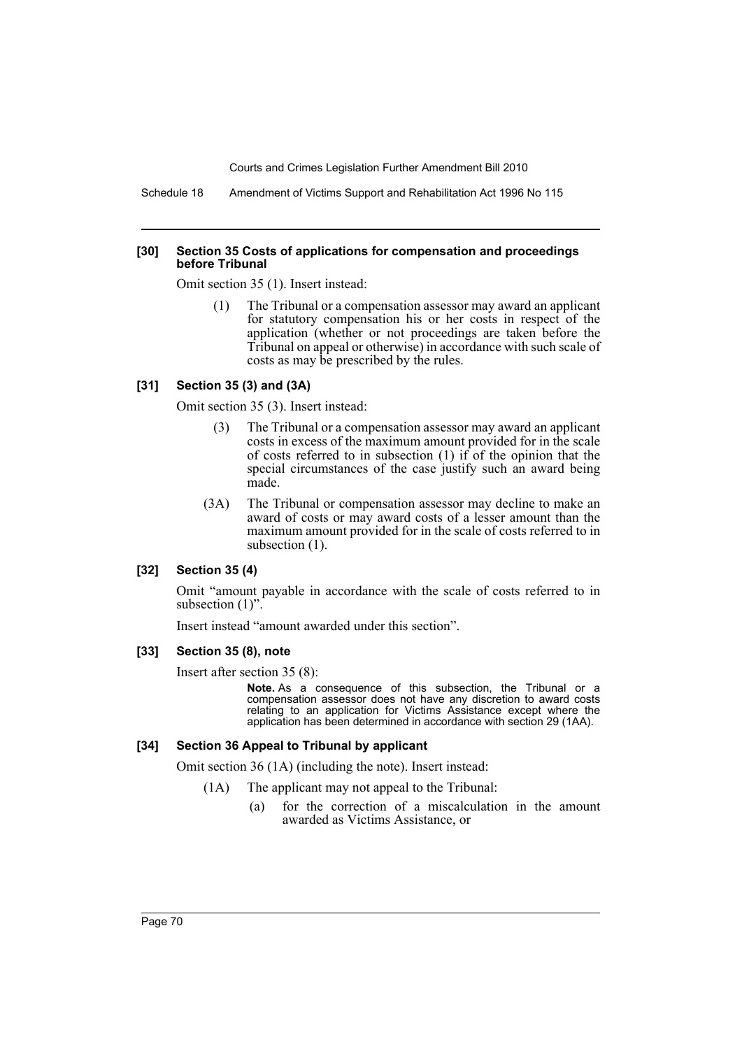Schedule 18 Amendment of Victims Support and Rehabilitation Act 1996 No 115

#### **[30] Section 35 Costs of applications for compensation and proceedings before Tribunal**

Omit section 35 (1). Insert instead:

(1) The Tribunal or a compensation assessor may award an applicant for statutory compensation his or her costs in respect of the application (whether or not proceedings are taken before the Tribunal on appeal or otherwise) in accordance with such scale of costs as may be prescribed by the rules.

### **[31] Section 35 (3) and (3A)**

Omit section 35 (3). Insert instead:

- (3) The Tribunal or a compensation assessor may award an applicant costs in excess of the maximum amount provided for in the scale of costs referred to in subsection  $(1)$  if of the opinion that the special circumstances of the case justify such an award being made.
- (3A) The Tribunal or compensation assessor may decline to make an award of costs or may award costs of a lesser amount than the maximum amount provided for in the scale of costs referred to in subsection  $(1)$ .

### **[32] Section 35 (4)**

Omit "amount payable in accordance with the scale of costs referred to in subsection  $(1)$ ".

Insert instead "amount awarded under this section".

#### **[33] Section 35 (8), note**

Insert after section 35 (8):

**Note.** As a consequence of this subsection, the Tribunal or a compensation assessor does not have any discretion to award costs relating to an application for Victims Assistance except where the application has been determined in accordance with section 29 (1AA).

### **[34] Section 36 Appeal to Tribunal by applicant**

Omit section 36 (1A) (including the note). Insert instead:

- (1A) The applicant may not appeal to the Tribunal:
	- (a) for the correction of a miscalculation in the amount awarded as Victims Assistance, or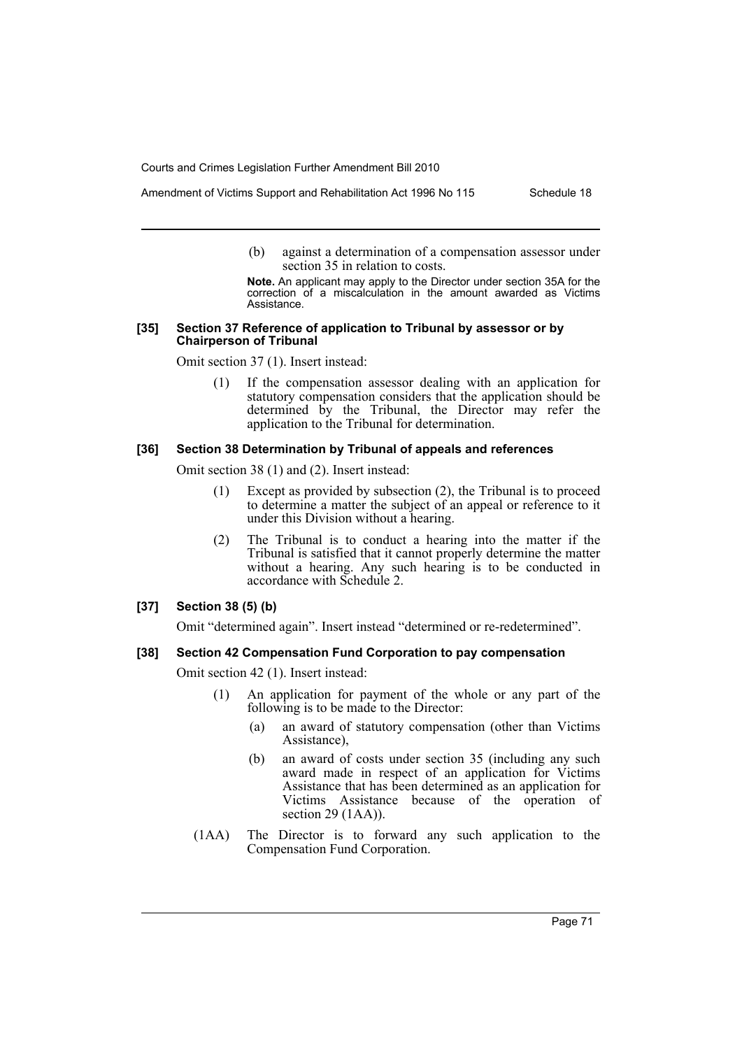- Amendment of Victims Support and Rehabilitation Act 1996 No 115 Schedule 18
	- (b) against a determination of a compensation assessor under section 35 in relation to costs.

**Note.** An applicant may apply to the Director under section 35A for the correction of a miscalculation in the amount awarded as Victims Assistance.

#### **[35] Section 37 Reference of application to Tribunal by assessor or by Chairperson of Tribunal**

Omit section 37 (1). Insert instead:

(1) If the compensation assessor dealing with an application for statutory compensation considers that the application should be determined by the Tribunal, the Director may refer the application to the Tribunal for determination.

## **[36] Section 38 Determination by Tribunal of appeals and references**

Omit section 38 (1) and (2). Insert instead:

- (1) Except as provided by subsection (2), the Tribunal is to proceed to determine a matter the subject of an appeal or reference to it under this Division without a hearing.
- (2) The Tribunal is to conduct a hearing into the matter if the Tribunal is satisfied that it cannot properly determine the matter without a hearing. Any such hearing is to be conducted in accordance with Schedule 2.

## **[37] Section 38 (5) (b)**

Omit "determined again". Insert instead "determined or re-redetermined".

# **[38] Section 42 Compensation Fund Corporation to pay compensation**

Omit section 42 (1). Insert instead:

- (1) An application for payment of the whole or any part of the following is to be made to the Director:
	- (a) an award of statutory compensation (other than Victims Assistance),
	- (b) an award of costs under section 35 (including any such award made in respect of an application for Victims Assistance that has been determined as an application for Victims Assistance because of the operation of section 29 (1AA)).
- (1AA) The Director is to forward any such application to the Compensation Fund Corporation.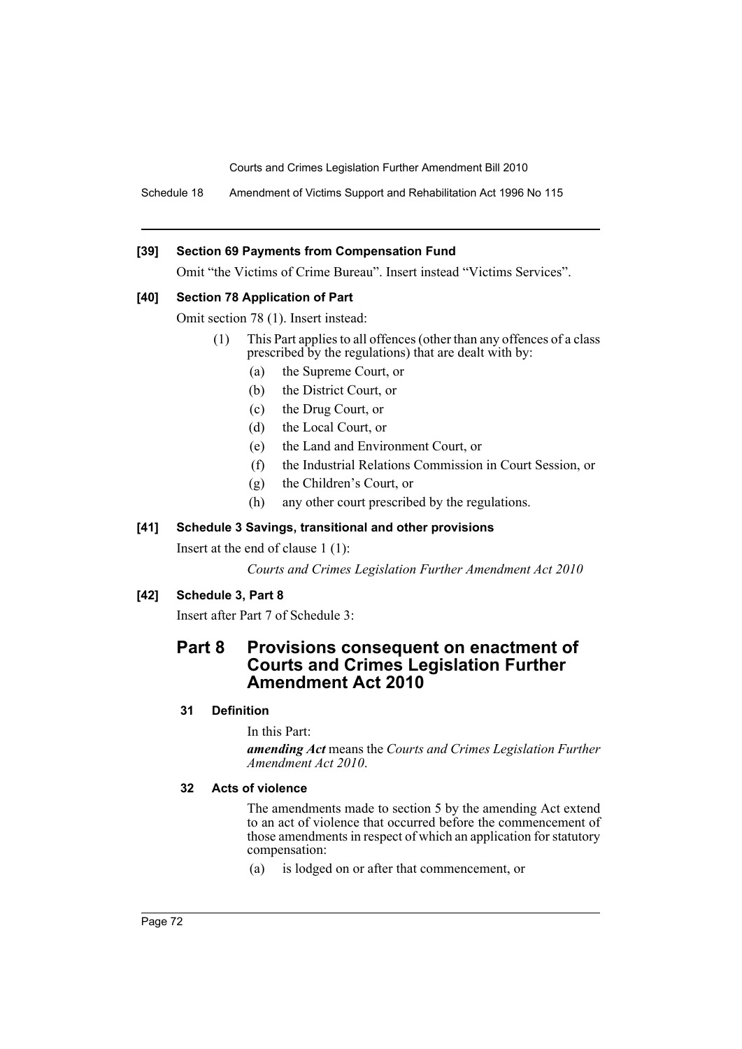Schedule 18 Amendment of Victims Support and Rehabilitation Act 1996 No 115

## **[39] Section 69 Payments from Compensation Fund**

Omit "the Victims of Crime Bureau". Insert instead "Victims Services".

## **[40] Section 78 Application of Part**

Omit section 78 (1). Insert instead:

- (1) This Part applies to all offences (other than any offences of a class prescribed by the regulations) that are dealt with by:
	- (a) the Supreme Court, or
	- (b) the District Court, or
	- (c) the Drug Court, or
	- (d) the Local Court, or
	- (e) the Land and Environment Court, or
	- (f) the Industrial Relations Commission in Court Session, or
	- (g) the Children's Court, or
	- (h) any other court prescribed by the regulations.

## **[41] Schedule 3 Savings, transitional and other provisions**

Insert at the end of clause 1 (1):

*Courts and Crimes Legislation Further Amendment Act 2010*

# **[42] Schedule 3, Part 8**

Insert after Part 7 of Schedule 3:

# **Part 8 Provisions consequent on enactment of Courts and Crimes Legislation Further Amendment Act 2010**

## **31 Definition**

In this Part:

*amending Act* means the *Courts and Crimes Legislation Further Amendment Act 2010*.

## **32 Acts of violence**

The amendments made to section 5 by the amending Act extend to an act of violence that occurred before the commencement of those amendments in respect of which an application for statutory compensation:

(a) is lodged on or after that commencement, or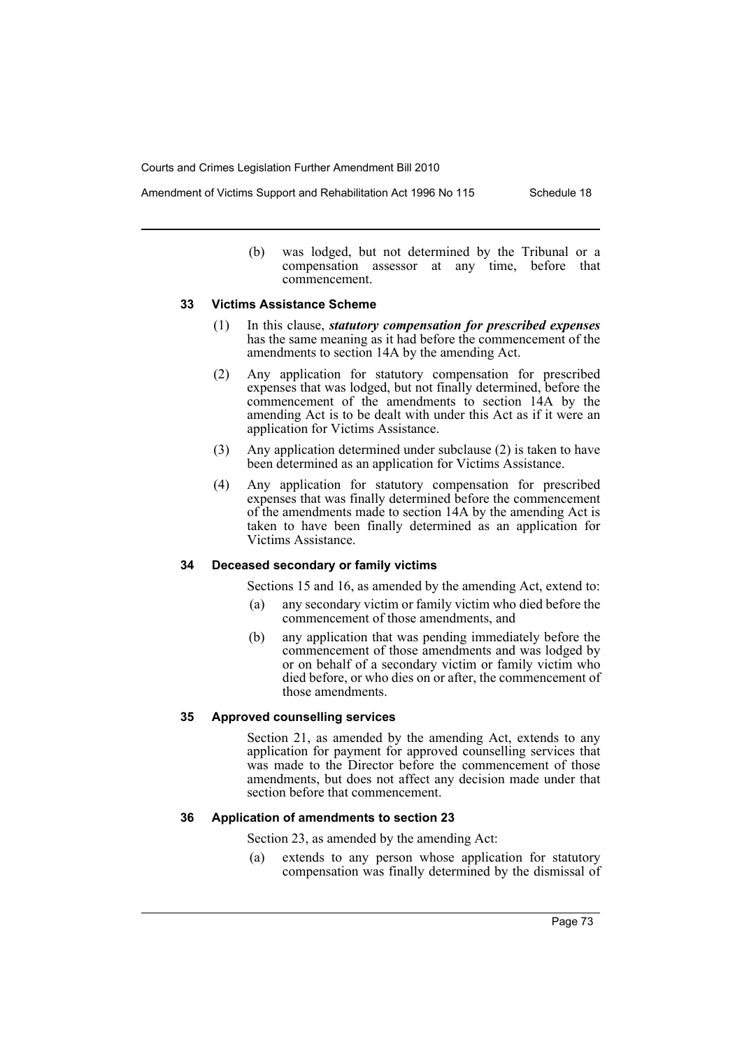Amendment of Victims Support and Rehabilitation Act 1996 No 115 Schedule 18

(b) was lodged, but not determined by the Tribunal or a compensation assessor at any time, before that commencement.

#### **33 Victims Assistance Scheme**

- (1) In this clause, *statutory compensation for prescribed expenses* has the same meaning as it had before the commencement of the amendments to section 14A by the amending Act.
- (2) Any application for statutory compensation for prescribed expenses that was lodged, but not finally determined, before the commencement of the amendments to section 14A by the amending Act is to be dealt with under this Act as if it were an application for Victims Assistance.
- (3) Any application determined under subclause (2) is taken to have been determined as an application for Victims Assistance.
- (4) Any application for statutory compensation for prescribed expenses that was finally determined before the commencement of the amendments made to section 14A by the amending Act is taken to have been finally determined as an application for Victims Assistance.

## **34 Deceased secondary or family victims**

Sections 15 and 16, as amended by the amending Act, extend to:

- (a) any secondary victim or family victim who died before the commencement of those amendments, and
- (b) any application that was pending immediately before the commencement of those amendments and was lodged by or on behalf of a secondary victim or family victim who died before, or who dies on or after, the commencement of those amendments.

## **35 Approved counselling services**

Section 21, as amended by the amending Act, extends to any application for payment for approved counselling services that was made to the Director before the commencement of those amendments, but does not affect any decision made under that section before that commencement.

## **36 Application of amendments to section 23**

Section 23, as amended by the amending Act:

(a) extends to any person whose application for statutory compensation was finally determined by the dismissal of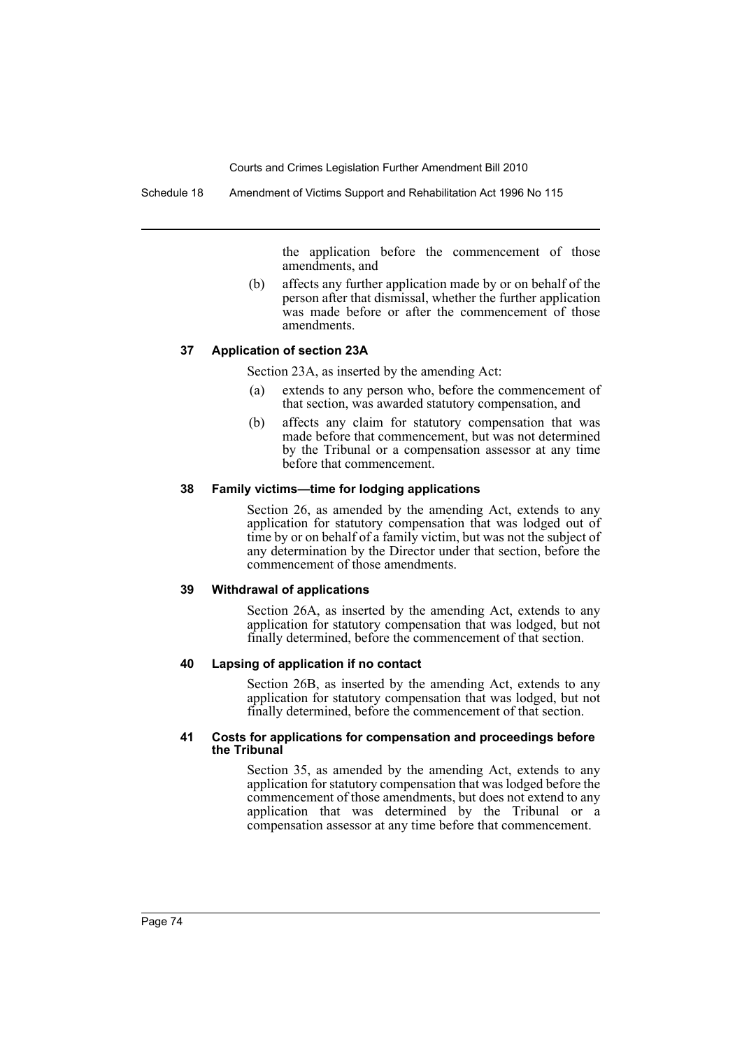Schedule 18 Amendment of Victims Support and Rehabilitation Act 1996 No 115

the application before the commencement of those amendments, and

(b) affects any further application made by or on behalf of the person after that dismissal, whether the further application was made before or after the commencement of those amendments.

#### **37 Application of section 23A**

Section 23A, as inserted by the amending Act:

- (a) extends to any person who, before the commencement of that section, was awarded statutory compensation, and
- (b) affects any claim for statutory compensation that was made before that commencement, but was not determined by the Tribunal or a compensation assessor at any time before that commencement.

#### **38 Family victims—time for lodging applications**

Section 26, as amended by the amending Act, extends to any application for statutory compensation that was lodged out of time by or on behalf of a family victim, but was not the subject of any determination by the Director under that section, before the commencement of those amendments.

#### **39 Withdrawal of applications**

Section 26A, as inserted by the amending Act, extends to any application for statutory compensation that was lodged, but not finally determined, before the commencement of that section.

## **40 Lapsing of application if no contact**

Section 26B, as inserted by the amending Act, extends to any application for statutory compensation that was lodged, but not finally determined, before the commencement of that section.

#### **41 Costs for applications for compensation and proceedings before the Tribunal**

Section 35, as amended by the amending Act, extends to any application for statutory compensation that was lodged before the commencement of those amendments, but does not extend to any application that was determined by the Tribunal or a compensation assessor at any time before that commencement.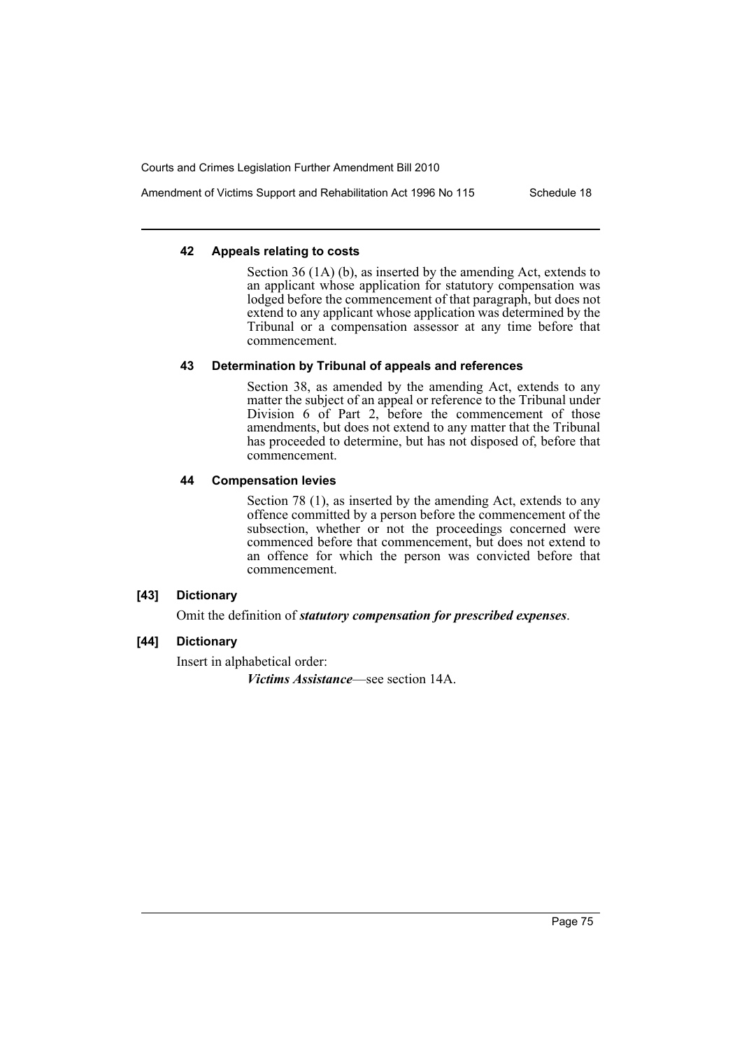Amendment of Victims Support and Rehabilitation Act 1996 No 115 Schedule 18

## **42 Appeals relating to costs**

Section 36 (1A) (b), as inserted by the amending Act, extends to an applicant whose application for statutory compensation was lodged before the commencement of that paragraph, but does not extend to any applicant whose application was determined by the Tribunal or a compensation assessor at any time before that commencement.

# **43 Determination by Tribunal of appeals and references**

Section 38, as amended by the amending Act, extends to any matter the subject of an appeal or reference to the Tribunal under Division 6 of Part 2, before the commencement of those amendments, but does not extend to any matter that the Tribunal has proceeded to determine, but has not disposed of, before that commencement.

## **44 Compensation levies**

Section 78 (1), as inserted by the amending Act, extends to any offence committed by a person before the commencement of the subsection, whether or not the proceedings concerned were commenced before that commencement, but does not extend to an offence for which the person was convicted before that commencement.

# **[43] Dictionary**

Omit the definition of *statutory compensation for prescribed expenses*.

# **[44] Dictionary**

Insert in alphabetical order:

*Victims Assistance*—see section 14A.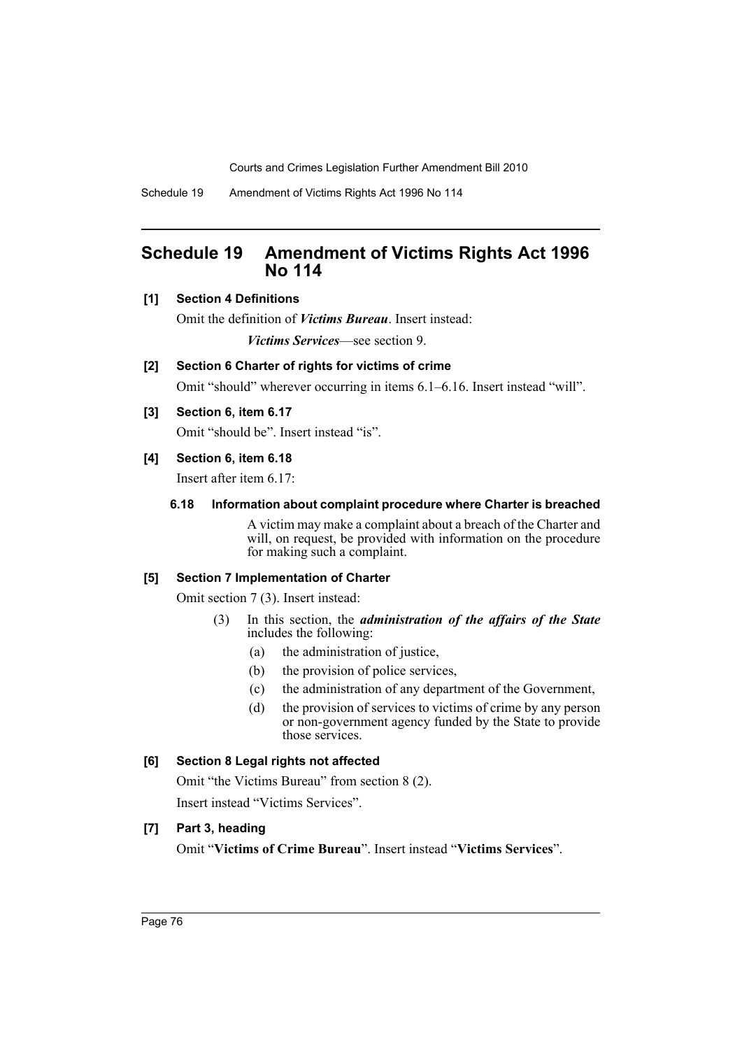Schedule 19 Amendment of Victims Rights Act 1996 No 114

# **Schedule 19 Amendment of Victims Rights Act 1996 No 114**

# **[1] Section 4 Definitions**

Omit the definition of *Victims Bureau*. Insert instead: *Victims Services*—see section 9.

## **[2] Section 6 Charter of rights for victims of crime**

Omit "should" wherever occurring in items 6.1–6.16. Insert instead "will".

## **[3] Section 6, item 6.17**

Omit "should be". Insert instead "is".

## **[4] Section 6, item 6.18**

Insert after item 6.17:

## **6.18 Information about complaint procedure where Charter is breached**

A victim may make a complaint about a breach of the Charter and will, on request, be provided with information on the procedure for making such a complaint.

## **[5] Section 7 Implementation of Charter**

Omit section 7 (3). Insert instead:

- (3) In this section, the *administration of the affairs of the State* includes the following:
	- (a) the administration of justice,
	- (b) the provision of police services,
	- (c) the administration of any department of the Government,
	- (d) the provision of services to victims of crime by any person or non-government agency funded by the State to provide those services.

# **[6] Section 8 Legal rights not affected**

Omit "the Victims Bureau" from section 8 (2). Insert instead "Victims Services".

# **[7] Part 3, heading**

Omit "**Victims of Crime Bureau**". Insert instead "**Victims Services**".